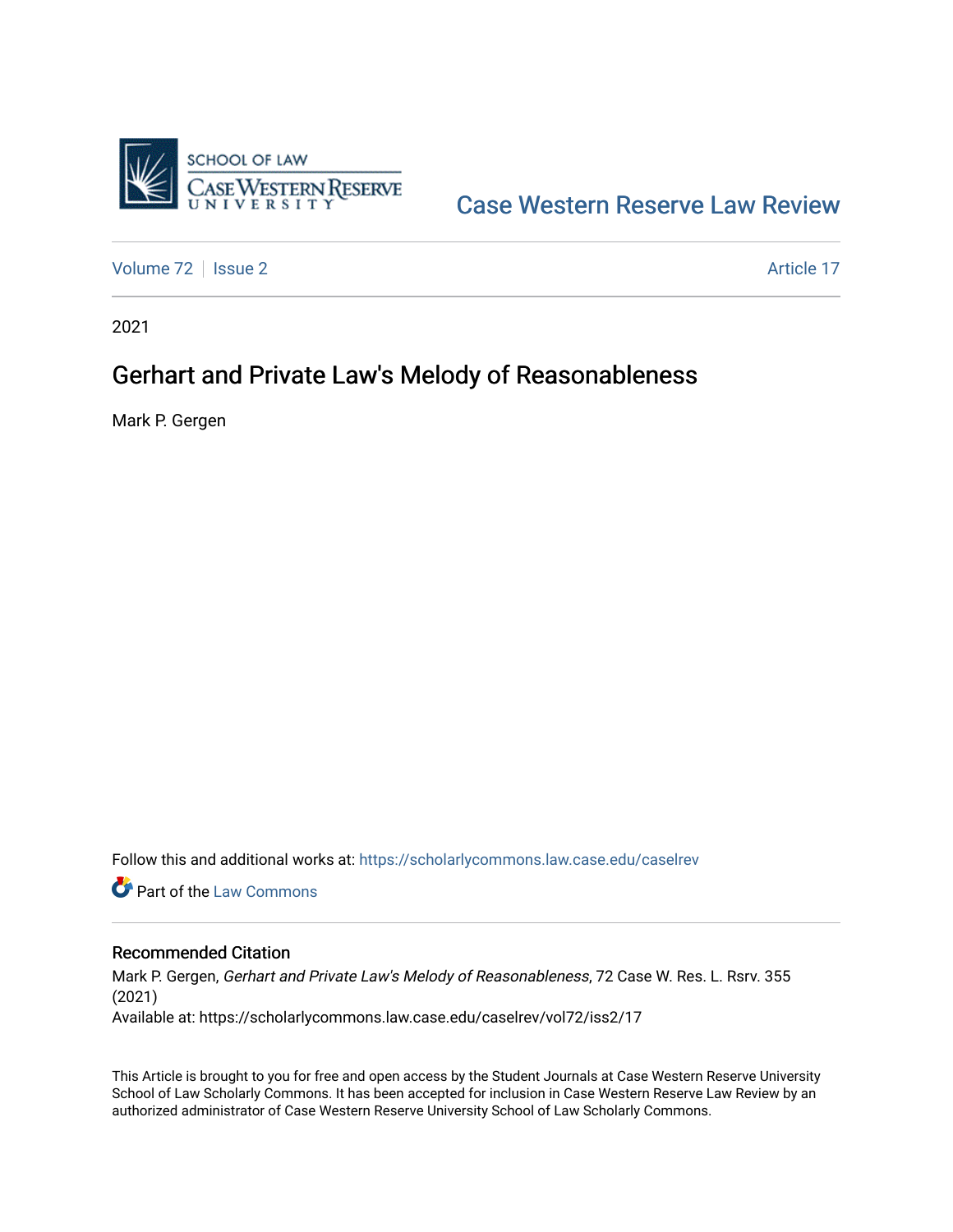

# [Case Western Reserve Law Review](https://scholarlycommons.law.case.edu/caselrev)

[Volume 72](https://scholarlycommons.law.case.edu/caselrev/vol72) | [Issue 2](https://scholarlycommons.law.case.edu/caselrev/vol72/iss2) Article 17

2021

# Gerhart and Private Law's Melody of Reasonableness

Mark P. Gergen

Follow this and additional works at: [https://scholarlycommons.law.case.edu/caselrev](https://scholarlycommons.law.case.edu/caselrev?utm_source=scholarlycommons.law.case.edu%2Fcaselrev%2Fvol72%2Fiss2%2F17&utm_medium=PDF&utm_campaign=PDFCoverPages)

**C** Part of the [Law Commons](https://network.bepress.com/hgg/discipline/578?utm_source=scholarlycommons.law.case.edu%2Fcaselrev%2Fvol72%2Fiss2%2F17&utm_medium=PDF&utm_campaign=PDFCoverPages)

# Recommended Citation

Mark P. Gergen, Gerhart and Private Law's Melody of Reasonableness, 72 Case W. Res. L. Rsrv. 355 (2021) Available at: https://scholarlycommons.law.case.edu/caselrev/vol72/iss2/17

This Article is brought to you for free and open access by the Student Journals at Case Western Reserve University School of Law Scholarly Commons. It has been accepted for inclusion in Case Western Reserve Law Review by an authorized administrator of Case Western Reserve University School of Law Scholarly Commons.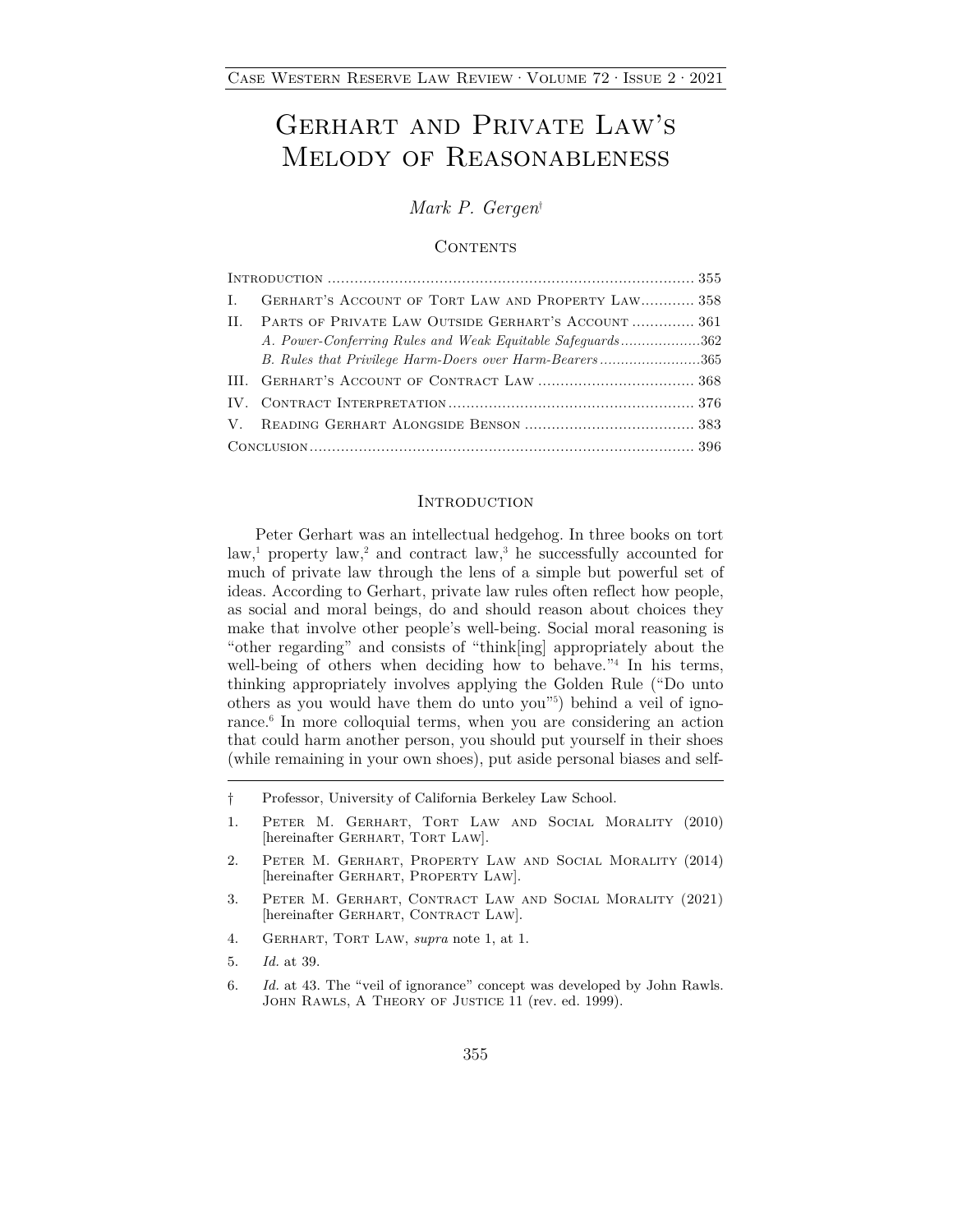# Gerhart and Private Law's Melody of Reasonableness

*Mark P. Gergen*†

### **CONTENTS**

| Т. | GERHART'S ACCOUNT OF TORT LAW AND PROPERTY LAW 358         |
|----|------------------------------------------------------------|
| H. | PARTS OF PRIVATE LAW OUTSIDE GERHART'S ACCOUNT 361         |
|    | A. Power-Conferring Rules and Weak Equitable Safeguards362 |
|    | B. Rules that Privilege Harm-Doers over Harm-Bearers365    |
|    |                                                            |
|    |                                                            |
|    |                                                            |
|    |                                                            |

#### **INTRODUCTION**

Peter Gerhart was an intellectual hedgehog. In three books on tort  $\lambda^{1}$  property  $\lambda^{2}$  and contract  $\lambda^{3}$  he successfully accounted for much of private law through the lens of a simple but powerful set of ideas. According to Gerhart, private law rules often reflect how people, as social and moral beings, do and should reason about choices they make that involve other people's well-being. Social moral reasoning is "other regarding" and consists of "think[ing] appropriately about the well-being of others when deciding how to behave.<sup>"4</sup> In his terms, thinking appropriately involves applying the Golden Rule ("Do unto others as you would have them do unto you"5 ) behind a veil of ignorance.<sup>6</sup> In more colloquial terms, when you are considering an action that could harm another person, you should put yourself in their shoes (while remaining in your own shoes), put aside personal biases and self-

- † Professor, University of California Berkeley Law School.
- 1. Peter M. Gerhart, Tort Law and Social Morality (2010) [hereinafter GERHART, TORT LAW].
- 2. Peter M. Gerhart, Property Law and Social Morality (2014) [hereinafter GERHART, PROPERTY LAW].
- 3. Peter M. Gerhart, Contract Law and Social Morality (2021) [hereinafter GERHART, CONTRACT LAW].
- 4. Gerhart, Tort Law, *supra* note 1, at 1.
- 5. *Id.* at 39.
- 6. *Id.* at 43. The "veil of ignorance" concept was developed by John Rawls. JOHN RAWLS, A THEORY OF JUSTICE 11 (rev. ed. 1999).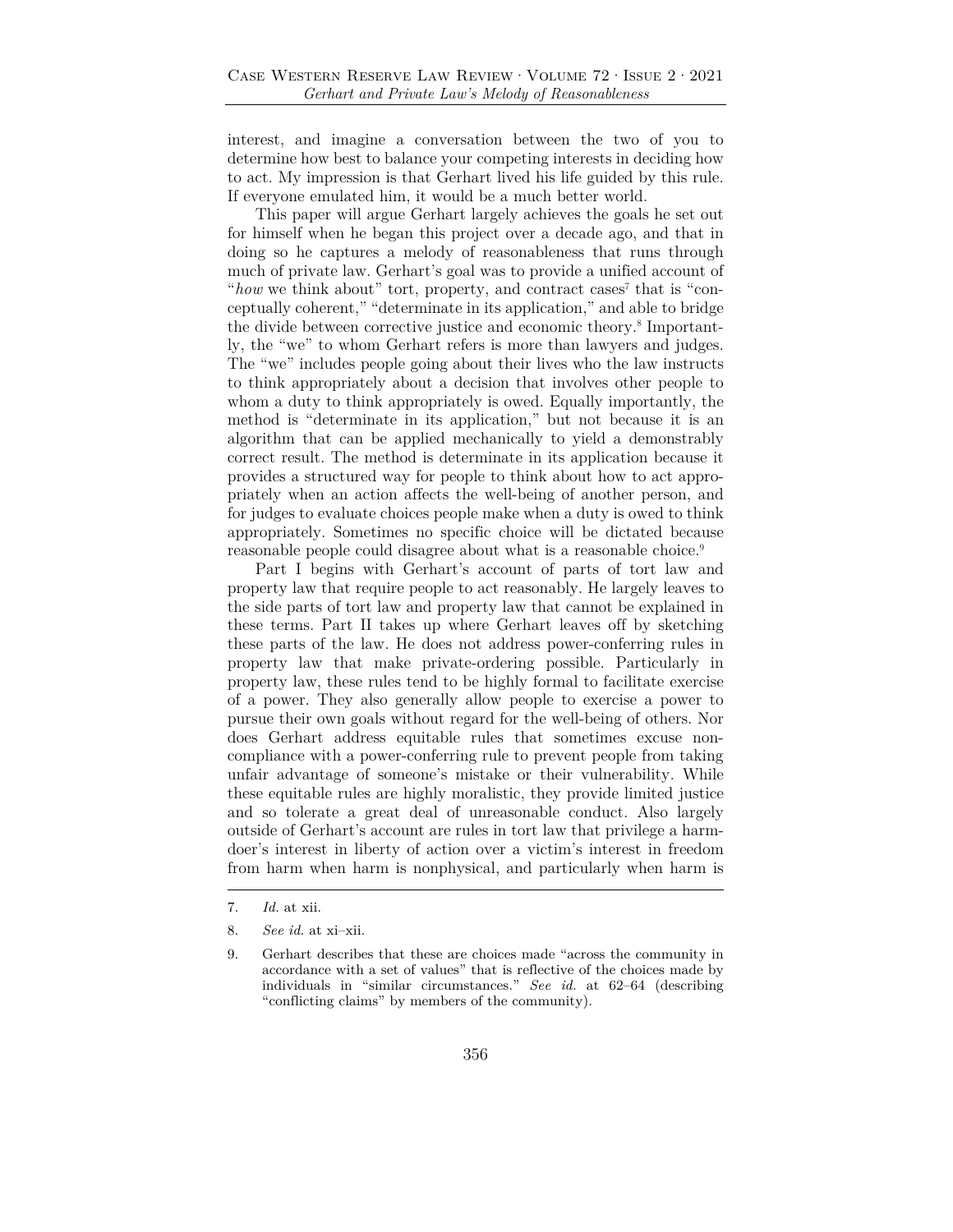interest, and imagine a conversation between the two of you to determine how best to balance your competing interests in deciding how to act. My impression is that Gerhart lived his life guided by this rule. If everyone emulated him, it would be a much better world.

This paper will argue Gerhart largely achieves the goals he set out for himself when he began this project over a decade ago, and that in doing so he captures a melody of reasonableness that runs through much of private law. Gerhart's goal was to provide a unified account of "how we think about" tort, property, and contract cases<sup>7</sup> that is "conceptually coherent," "determinate in its application," and able to bridge the divide between corrective justice and economic theory.<sup>8</sup> Importantly, the "we" to whom Gerhart refers is more than lawyers and judges. The "we" includes people going about their lives who the law instructs to think appropriately about a decision that involves other people to whom a duty to think appropriately is owed. Equally importantly, the method is "determinate in its application," but not because it is an algorithm that can be applied mechanically to yield a demonstrably correct result. The method is determinate in its application because it provides a structured way for people to think about how to act appropriately when an action affects the well-being of another person, and for judges to evaluate choices people make when a duty is owed to think appropriately. Sometimes no specific choice will be dictated because reasonable people could disagree about what is a reasonable choice.<sup>9</sup>

Part I begins with Gerhart's account of parts of tort law and property law that require people to act reasonably. He largely leaves to the side parts of tort law and property law that cannot be explained in these terms. Part II takes up where Gerhart leaves off by sketching these parts of the law. He does not address power-conferring rules in property law that make private-ordering possible. Particularly in property law, these rules tend to be highly formal to facilitate exercise of a power. They also generally allow people to exercise a power to pursue their own goals without regard for the well-being of others. Nor does Gerhart address equitable rules that sometimes excuse noncompliance with a power-conferring rule to prevent people from taking unfair advantage of someone's mistake or their vulnerability. While these equitable rules are highly moralistic, they provide limited justice and so tolerate a great deal of unreasonable conduct. Also largely outside of Gerhart's account are rules in tort law that privilege a harmdoer's interest in liberty of action over a victim's interest in freedom from harm when harm is nonphysical, and particularly when harm is

<sup>7.</sup> *Id.* at xii.

<sup>8.</sup> *See id.* at xi–xii.

<sup>9.</sup> Gerhart describes that these are choices made "across the community in accordance with a set of values" that is reflective of the choices made by individuals in "similar circumstances." *See id.* at 62–64 (describing "conflicting claims" by members of the community).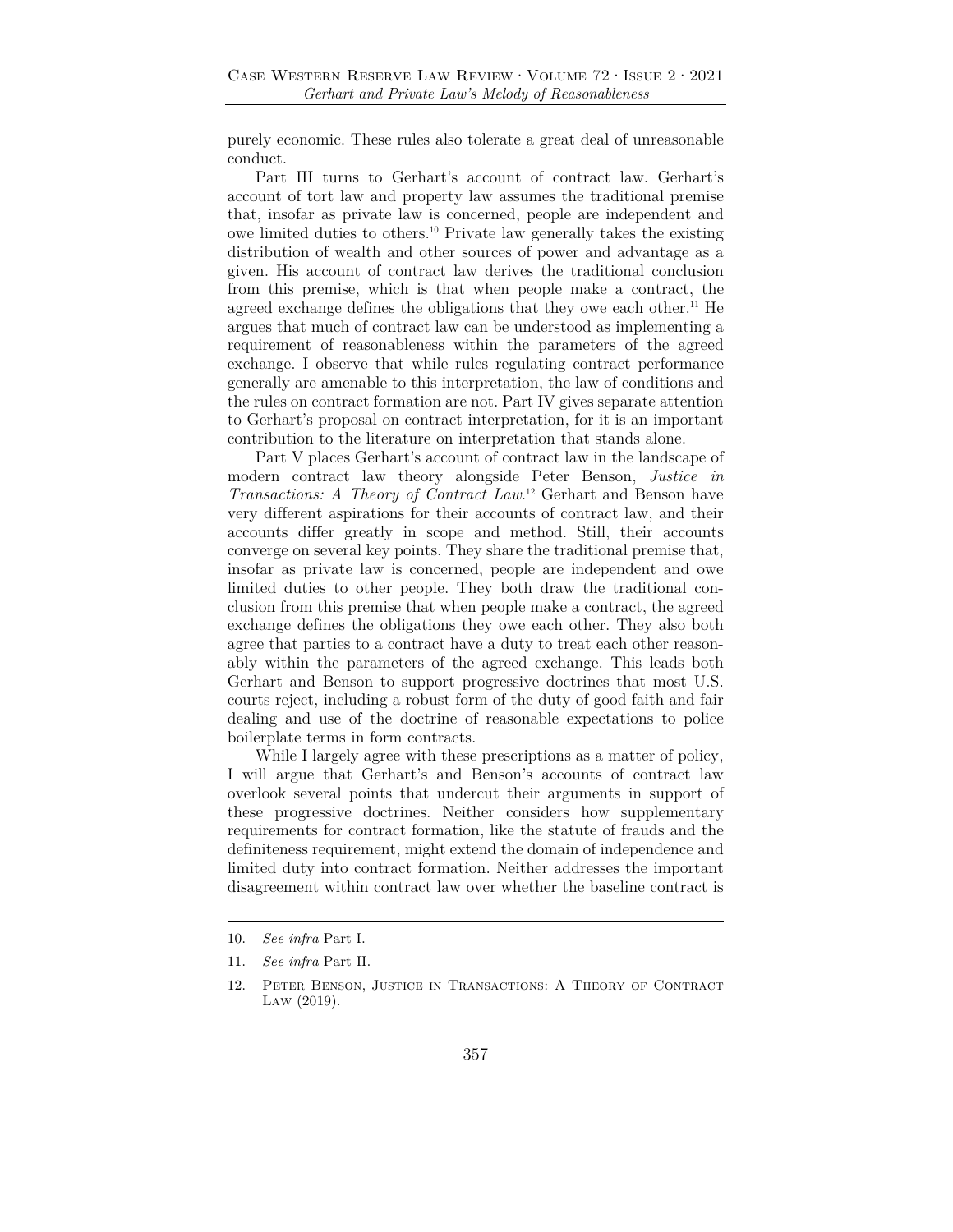purely economic. These rules also tolerate a great deal of unreasonable conduct.

Part III turns to Gerhart's account of contract law. Gerhart's account of tort law and property law assumes the traditional premise that, insofar as private law is concerned, people are independent and owe limited duties to others.10 Private law generally takes the existing distribution of wealth and other sources of power and advantage as a given. His account of contract law derives the traditional conclusion from this premise, which is that when people make a contract, the agreed exchange defines the obligations that they owe each other.<sup>11</sup> He argues that much of contract law can be understood as implementing a requirement of reasonableness within the parameters of the agreed exchange. I observe that while rules regulating contract performance generally are amenable to this interpretation, the law of conditions and the rules on contract formation are not. Part IV gives separate attention to Gerhart's proposal on contract interpretation, for it is an important contribution to the literature on interpretation that stands alone.

Part V places Gerhart's account of contract law in the landscape of modern contract law theory alongside Peter Benson, *Justice in Transactions: A Theory of Contract Law*. 12 Gerhart and Benson have very different aspirations for their accounts of contract law, and their accounts differ greatly in scope and method. Still, their accounts converge on several key points. They share the traditional premise that, insofar as private law is concerned, people are independent and owe limited duties to other people. They both draw the traditional conclusion from this premise that when people make a contract, the agreed exchange defines the obligations they owe each other. They also both agree that parties to a contract have a duty to treat each other reasonably within the parameters of the agreed exchange. This leads both Gerhart and Benson to support progressive doctrines that most U.S. courts reject, including a robust form of the duty of good faith and fair dealing and use of the doctrine of reasonable expectations to police boilerplate terms in form contracts.

While I largely agree with these prescriptions as a matter of policy, I will argue that Gerhart's and Benson's accounts of contract law overlook several points that undercut their arguments in support of these progressive doctrines. Neither considers how supplementary requirements for contract formation, like the statute of frauds and the definiteness requirement, might extend the domain of independence and limited duty into contract formation. Neither addresses the important disagreement within contract law over whether the baseline contract is

<sup>10.</sup> *See infra* Part I.

<sup>11.</sup> *See infra* Part II.

<sup>12.</sup> Peter Benson, Justice in Transactions: A Theory of Contract Law (2019).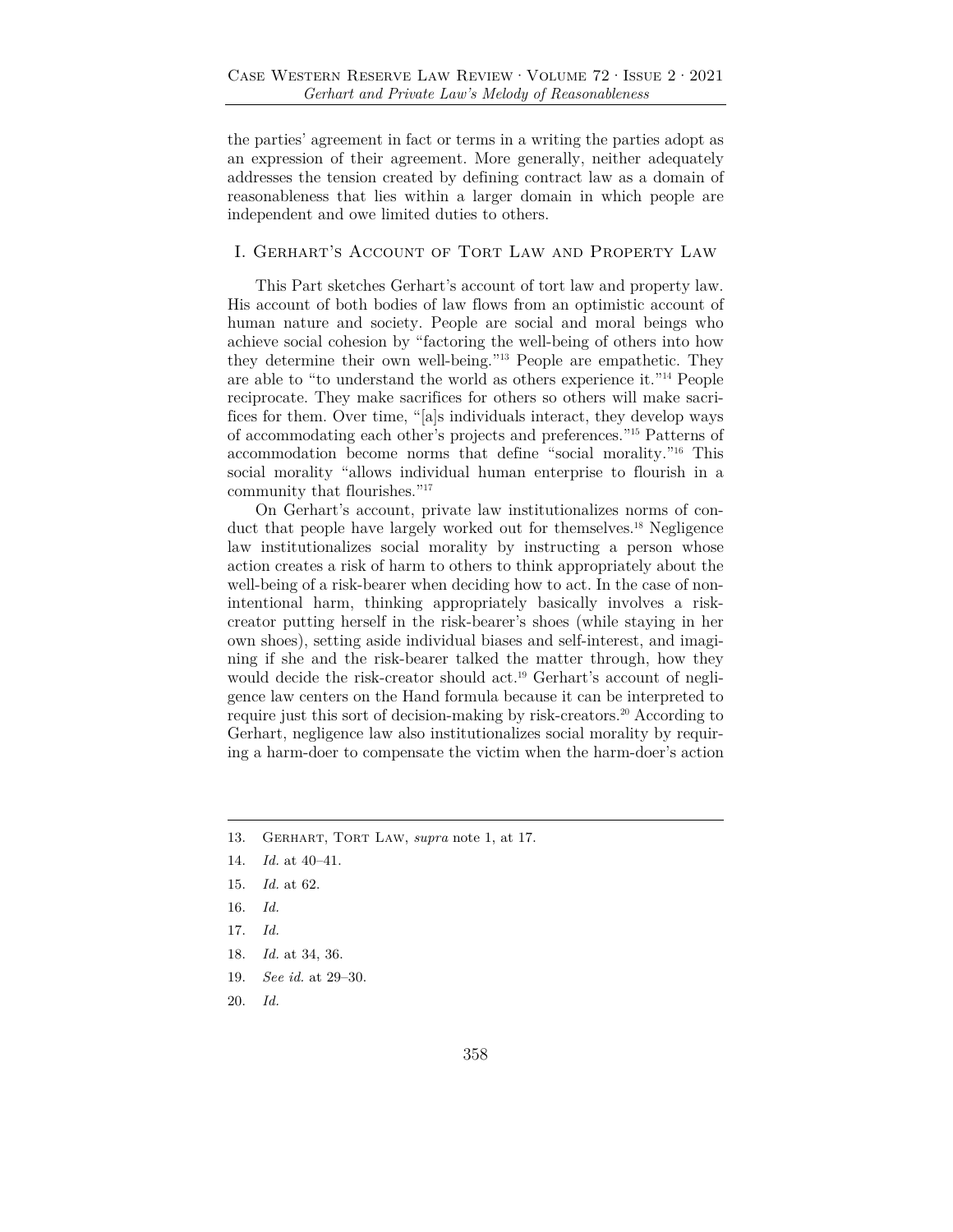the parties' agreement in fact or terms in a writing the parties adopt as an expression of their agreement. More generally, neither adequately addresses the tension created by defining contract law as a domain of reasonableness that lies within a larger domain in which people are independent and owe limited duties to others.

# I. Gerhart's Account of Tort Law and Property Law

This Part sketches Gerhart's account of tort law and property law. His account of both bodies of law flows from an optimistic account of human nature and society. People are social and moral beings who achieve social cohesion by "factoring the well-being of others into how they determine their own well-being."13 People are empathetic. They are able to "to understand the world as others experience it."14 People reciprocate. They make sacrifices for others so others will make sacrifices for them. Over time, "[a]s individuals interact, they develop ways of accommodating each other's projects and preferences."15 Patterns of accommodation become norms that define "social morality."16 This social morality "allows individual human enterprise to flourish in a community that flourishes."17

On Gerhart's account, private law institutionalizes norms of conduct that people have largely worked out for themselves.18 Negligence law institutionalizes social morality by instructing a person whose action creates a risk of harm to others to think appropriately about the well-being of a risk-bearer when deciding how to act. In the case of nonintentional harm, thinking appropriately basically involves a riskcreator putting herself in the risk-bearer's shoes (while staying in her own shoes), setting aside individual biases and self-interest, and imagining if she and the risk-bearer talked the matter through, how they would decide the risk-creator should act.<sup>19</sup> Gerhart's account of negligence law centers on the Hand formula because it can be interpreted to require just this sort of decision-making by risk-creators.20 According to Gerhart, negligence law also institutionalizes social morality by requiring a harm-doer to compensate the victim when the harm-doer's action

- 16. *Id.*
- 17. *Id.*
- 18. *Id.* at 34, 36.
- 19. *See id.* at 29–30.
- 20. *Id.*

<sup>13.</sup> Gerhart, Tort Law, *supra* note 1, at 17.

<sup>14.</sup> *Id.* at 40–41.

<sup>15.</sup> *Id.* at 62.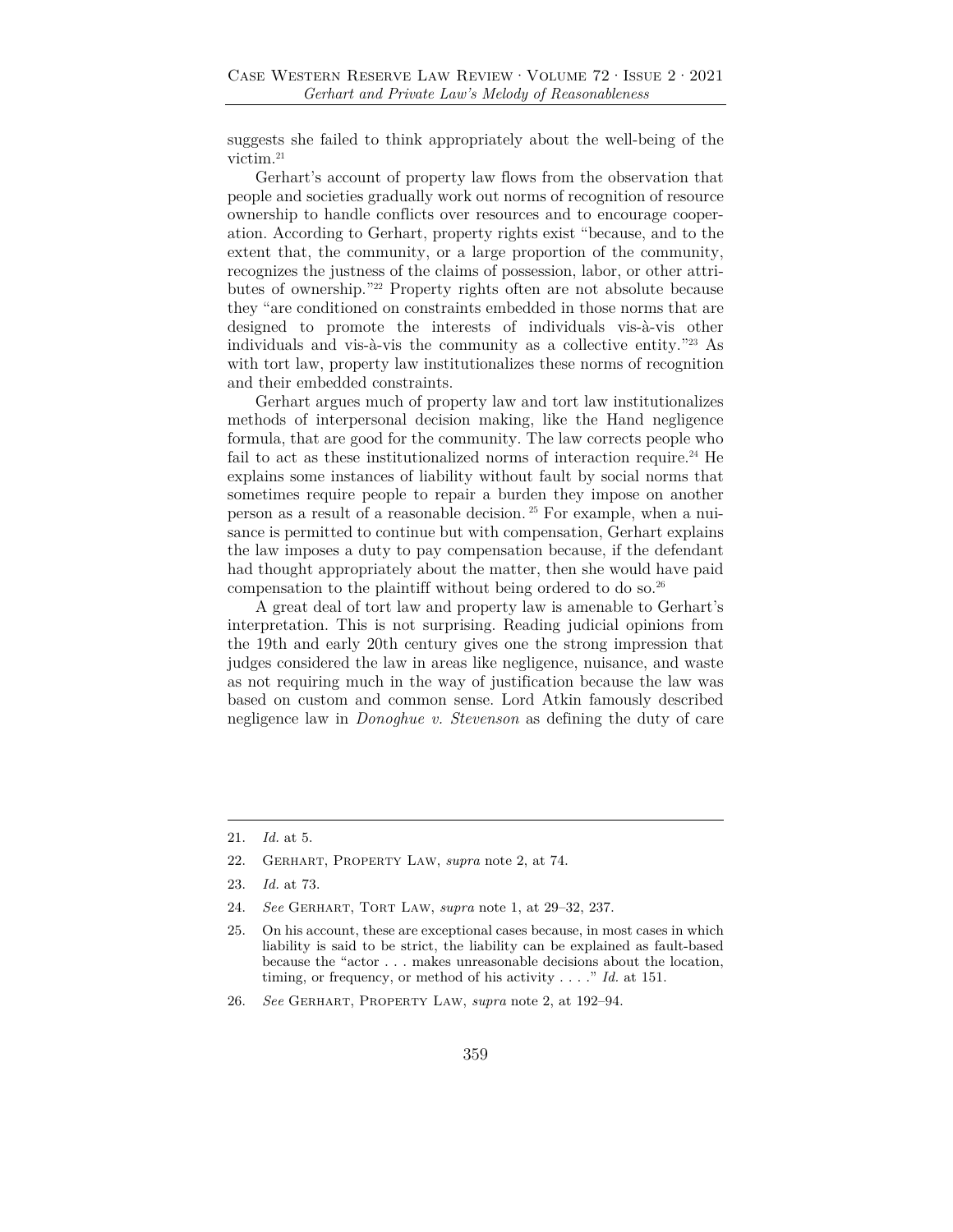suggests she failed to think appropriately about the well-being of the victim.21

Gerhart's account of property law flows from the observation that people and societies gradually work out norms of recognition of resource ownership to handle conflicts over resources and to encourage cooperation. According to Gerhart, property rights exist "because, and to the extent that, the community, or a large proportion of the community, recognizes the justness of the claims of possession, labor, or other attributes of ownership."22 Property rights often are not absolute because they "are conditioned on constraints embedded in those norms that are designed to promote the interests of individuals vis-à-vis other individuals and vis-à-vis the community as a collective entity."23 As with tort law, property law institutionalizes these norms of recognition and their embedded constraints.

Gerhart argues much of property law and tort law institutionalizes methods of interpersonal decision making, like the Hand negligence formula, that are good for the community. The law corrects people who fail to act as these institutionalized norms of interaction require.<sup>24</sup> He explains some instances of liability without fault by social norms that sometimes require people to repair a burden they impose on another person as a result of a reasonable decision. 25 For example, when a nuisance is permitted to continue but with compensation, Gerhart explains the law imposes a duty to pay compensation because, if the defendant had thought appropriately about the matter, then she would have paid compensation to the plaintiff without being ordered to do so.26

A great deal of tort law and property law is amenable to Gerhart's interpretation. This is not surprising. Reading judicial opinions from the 19th and early 20th century gives one the strong impression that judges considered the law in areas like negligence, nuisance, and waste as not requiring much in the way of justification because the law was based on custom and common sense. Lord Atkin famously described negligence law in *Donoghue v. Stevenson* as defining the duty of care

<sup>21.</sup> *Id.* at 5.

<sup>22.</sup> Gerhart, Property Law, *supra* note 2, at 74.

<sup>23.</sup> *Id.* at 73.

<sup>24.</sup> *See* Gerhart, Tort Law, *supra* note 1, at 29–32, 237.

<sup>25.</sup> On his account, these are exceptional cases because, in most cases in which liability is said to be strict, the liability can be explained as fault-based because the "actor . . . makes unreasonable decisions about the location, timing, or frequency, or method of his activity . . . ." *Id.* at 151.

<sup>26.</sup> *See* Gerhart, Property Law, *supra* note 2, at 192–94.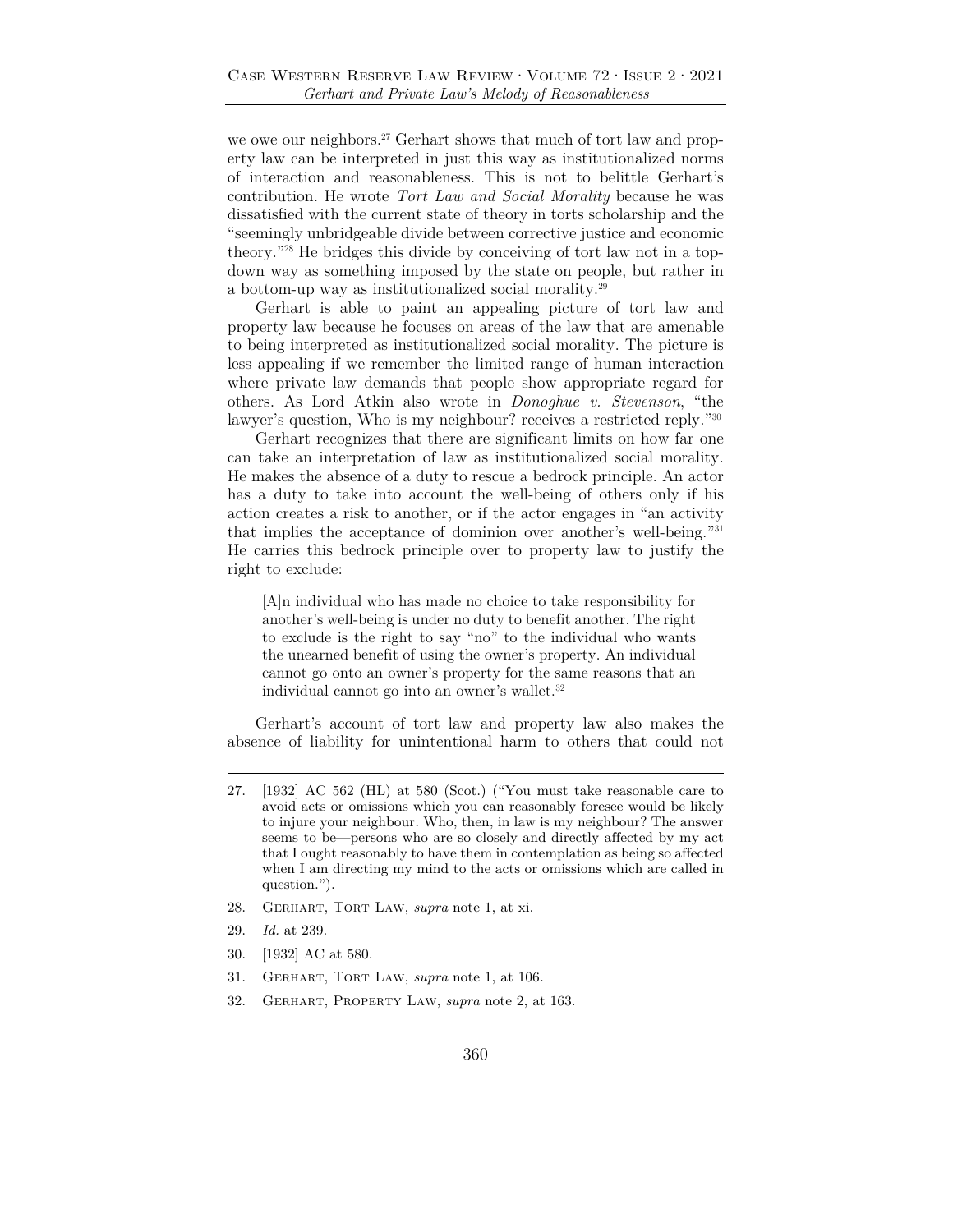we owe our neighbors.<sup>27</sup> Gerhart shows that much of tort law and property law can be interpreted in just this way as institutionalized norms of interaction and reasonableness. This is not to belittle Gerhart's contribution. He wrote *Tort Law and Social Morality* because he was dissatisfied with the current state of theory in torts scholarship and the "seemingly unbridgeable divide between corrective justice and economic theory."28 He bridges this divide by conceiving of tort law not in a topdown way as something imposed by the state on people, but rather in a bottom-up way as institutionalized social morality.29

Gerhart is able to paint an appealing picture of tort law and property law because he focuses on areas of the law that are amenable to being interpreted as institutionalized social morality. The picture is less appealing if we remember the limited range of human interaction where private law demands that people show appropriate regard for others. As Lord Atkin also wrote in *Donoghue v. Stevenson*, "the lawyer's question, Who is my neighbour? receives a restricted reply."30

Gerhart recognizes that there are significant limits on how far one can take an interpretation of law as institutionalized social morality. He makes the absence of a duty to rescue a bedrock principle. An actor has a duty to take into account the well-being of others only if his action creates a risk to another, or if the actor engages in "an activity that implies the acceptance of dominion over another's well-being."31 He carries this bedrock principle over to property law to justify the right to exclude:

[A]n individual who has made no choice to take responsibility for another's well-being is under no duty to benefit another. The right to exclude is the right to say "no" to the individual who wants the unearned benefit of using the owner's property. An individual cannot go onto an owner's property for the same reasons that an individual cannot go into an owner's wallet.32

Gerhart's account of tort law and property law also makes the absence of liability for unintentional harm to others that could not

- 28. Gerhart, Tort Law, *supra* note 1, at xi.
- 29. *Id.* at 239.
- 30. [1932] AC at 580.
- 31. Gerhart, Tort Law, *supra* note 1, at 106.
- 32. Gerhart, Property Law, *supra* note 2, at 163.

<sup>27. [1932]</sup> AC 562 (HL) at 580 (Scot.) ("You must take reasonable care to avoid acts or omissions which you can reasonably foresee would be likely to injure your neighbour. Who, then, in law is my neighbour? The answer seems to be—persons who are so closely and directly affected by my act that I ought reasonably to have them in contemplation as being so affected when I am directing my mind to the acts or omissions which are called in question.").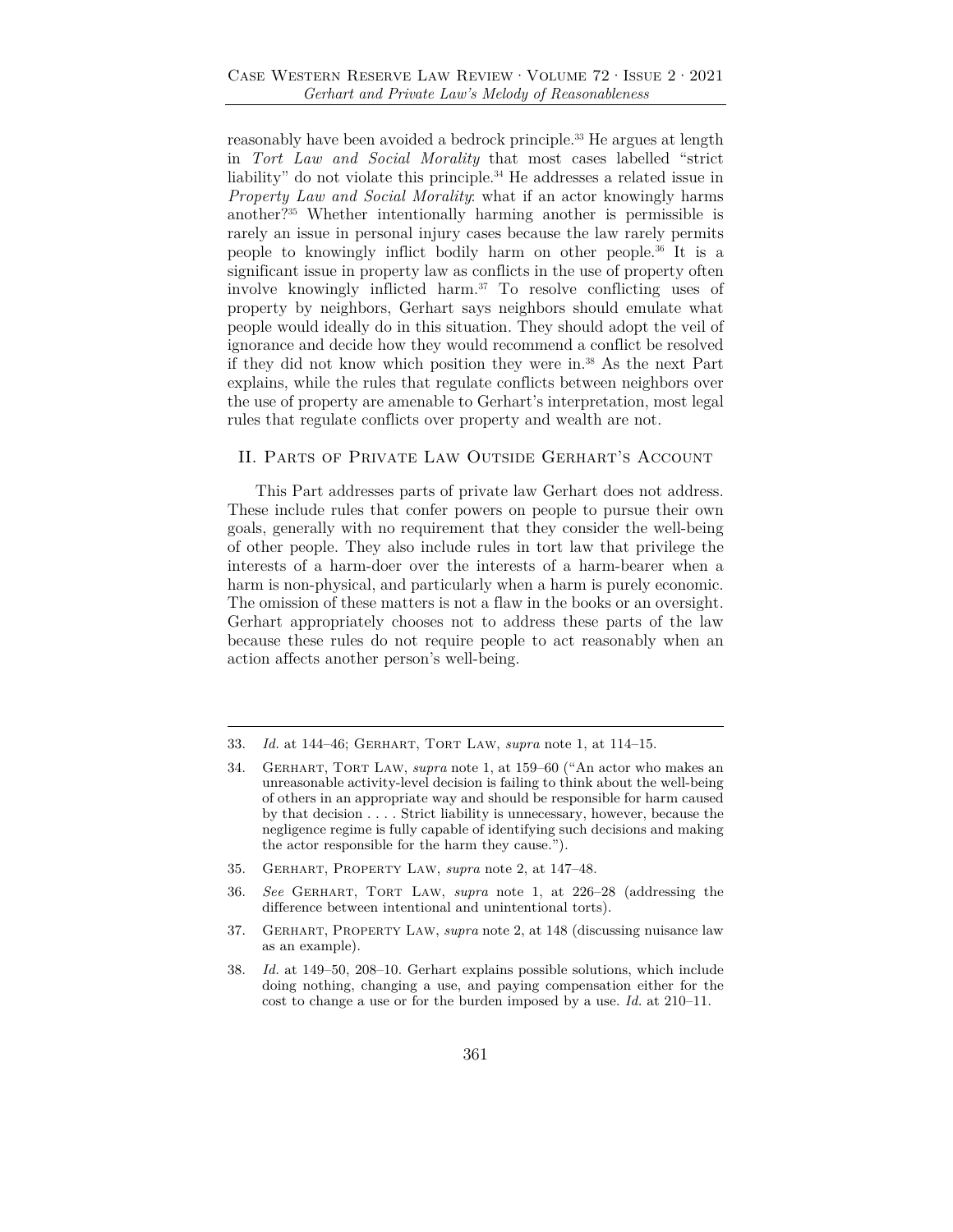reasonably have been avoided a bedrock principle.<sup>33</sup> He argues at length in *Tort Law and Social Morality* that most cases labelled "strict liability" do not violate this principle.<sup>34</sup> He addresses a related issue in *Property Law and Social Morality*: what if an actor knowingly harms another?35 Whether intentionally harming another is permissible is rarely an issue in personal injury cases because the law rarely permits people to knowingly inflict bodily harm on other people.36 It is a significant issue in property law as conflicts in the use of property often involve knowingly inflicted harm.37 To resolve conflicting uses of property by neighbors, Gerhart says neighbors should emulate what people would ideally do in this situation. They should adopt the veil of ignorance and decide how they would recommend a conflict be resolved if they did not know which position they were in.38 As the next Part explains, while the rules that regulate conflicts between neighbors over the use of property are amenable to Gerhart's interpretation, most legal rules that regulate conflicts over property and wealth are not.

## II. Parts of Private Law Outside Gerhart's Account

This Part addresses parts of private law Gerhart does not address. These include rules that confer powers on people to pursue their own goals, generally with no requirement that they consider the well-being of other people. They also include rules in tort law that privilege the interests of a harm-doer over the interests of a harm-bearer when a harm is non-physical, and particularly when a harm is purely economic. The omission of these matters is not a flaw in the books or an oversight. Gerhart appropriately chooses not to address these parts of the law because these rules do not require people to act reasonably when an action affects another person's well-being.

- 35. Gerhart, Property Law, *supra* note 2, at 147–48.
- 36. *See* Gerhart, Tort Law, *supra* note 1, at 226–28 (addressing the difference between intentional and unintentional torts).
- 37. Gerhart, Property Law, *supra* note 2, at 148 (discussing nuisance law as an example).
- 38. *Id.* at 149–50, 208–10. Gerhart explains possible solutions, which include doing nothing, changing a use, and paying compensation either for the cost to change a use or for the burden imposed by a use. *Id.* at 210–11.

<sup>33.</sup> *Id.* at 144–46; Gerhart, Tort Law, *supra* note 1, at 114–15.

<sup>34.</sup> Gerhart, Tort Law, *supra* note 1, at 159–60 ("An actor who makes an unreasonable activity-level decision is failing to think about the well-being of others in an appropriate way and should be responsible for harm caused by that decision . . . . Strict liability is unnecessary, however, because the negligence regime is fully capable of identifying such decisions and making the actor responsible for the harm they cause.").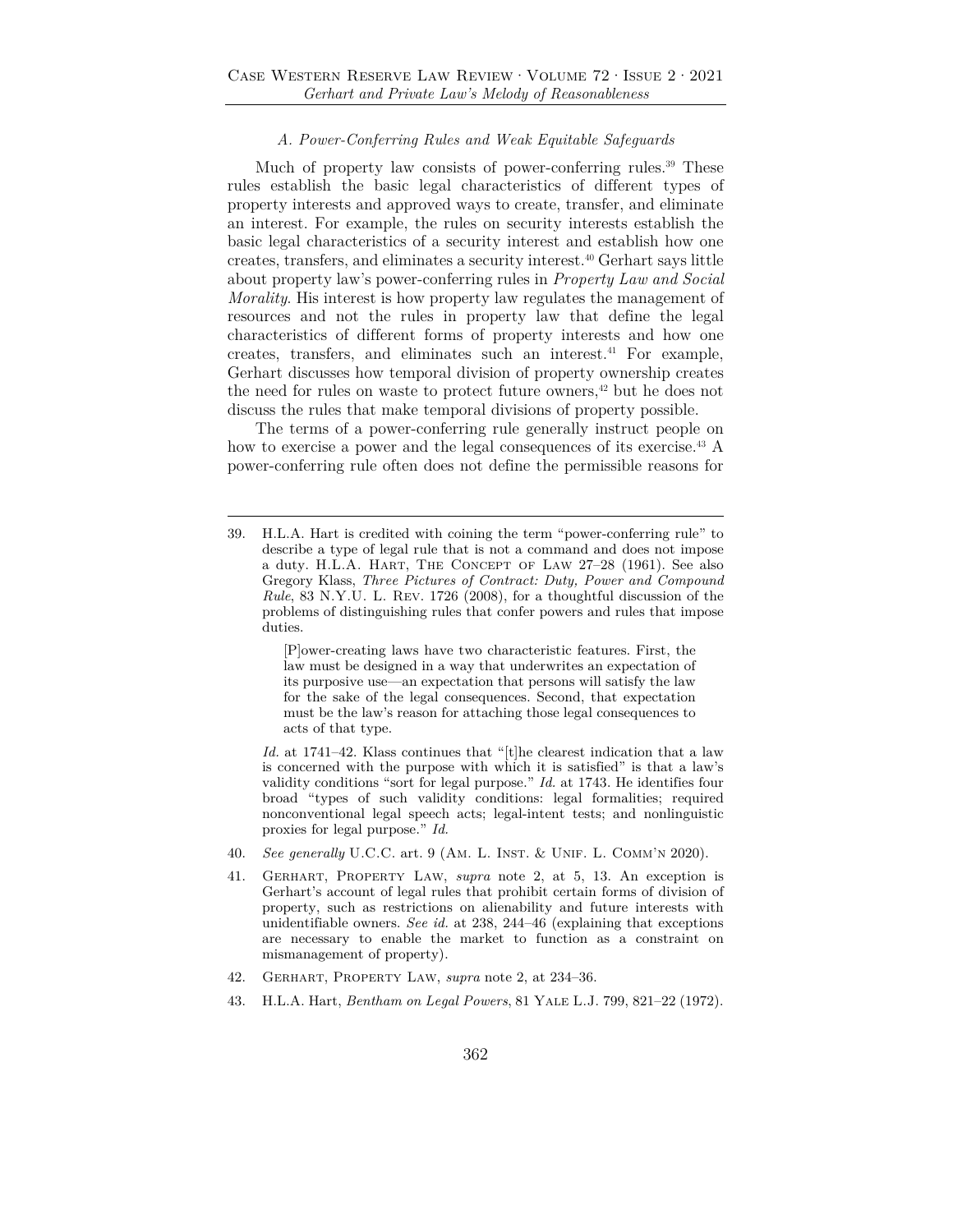#### *A. Power-Conferring Rules and Weak Equitable Safeguards*

Much of property law consists of power-conferring rules.<sup>39</sup> These rules establish the basic legal characteristics of different types of property interests and approved ways to create, transfer, and eliminate an interest. For example, the rules on security interests establish the basic legal characteristics of a security interest and establish how one creates, transfers, and eliminates a security interest.40 Gerhart says little about property law's power-conferring rules in *Property Law and Social Morality*. His interest is how property law regulates the management of resources and not the rules in property law that define the legal characteristics of different forms of property interests and how one creates, transfers, and eliminates such an interest.41 For example, Gerhart discusses how temporal division of property ownership creates the need for rules on waste to protect future owners,<sup>42</sup> but he does not discuss the rules that make temporal divisions of property possible.

The terms of a power-conferring rule generally instruct people on how to exercise a power and the legal consequences of its exercise.<sup>43</sup> A power-conferring rule often does not define the permissible reasons for

[P]ower-creating laws have two characteristic features. First, the law must be designed in a way that underwrites an expectation of its purposive use—an expectation that persons will satisfy the law for the sake of the legal consequences. Second, that expectation must be the law's reason for attaching those legal consequences to acts of that type.

 *Id.* at 1741–42. Klass continues that "[t]he clearest indication that a law is concerned with the purpose with which it is satisfied" is that a law's validity conditions "sort for legal purpose." *Id.* at 1743. He identifies four broad "types of such validity conditions: legal formalities; required nonconventional legal speech acts; legal-intent tests; and nonlinguistic proxies for legal purpose." *Id.*

- 40. *See generally* U.C.C. art. 9 (Am. L. Inst. & Unif. L. Comm'n 2020).
- 41. Gerhart, Property Law, *supra* note 2, at 5, 13. An exception is Gerhart's account of legal rules that prohibit certain forms of division of property, such as restrictions on alienability and future interests with unidentifiable owners. *See id.* at 238, 244–46 (explaining that exceptions are necessary to enable the market to function as a constraint on mismanagement of property).
- 42. Gerhart, Property Law, *supra* note 2, at 234–36.
- 43. H.L.A. Hart, *Bentham on Legal Powers*, 81 Yale L.J. 799, 821–22 (1972).

<sup>39.</sup> H.L.A. Hart is credited with coining the term "power-conferring rule" to describe a type of legal rule that is not a command and does not impose a duty. H.L.A. Hart, The Concept of Law 27–28 (1961). See also Gregory Klass, *Three Pictures of Contract: Duty, Power and Compound Rule*, 83 N.Y.U. L. Rev. 1726 (2008), for a thoughtful discussion of the problems of distinguishing rules that confer powers and rules that impose duties.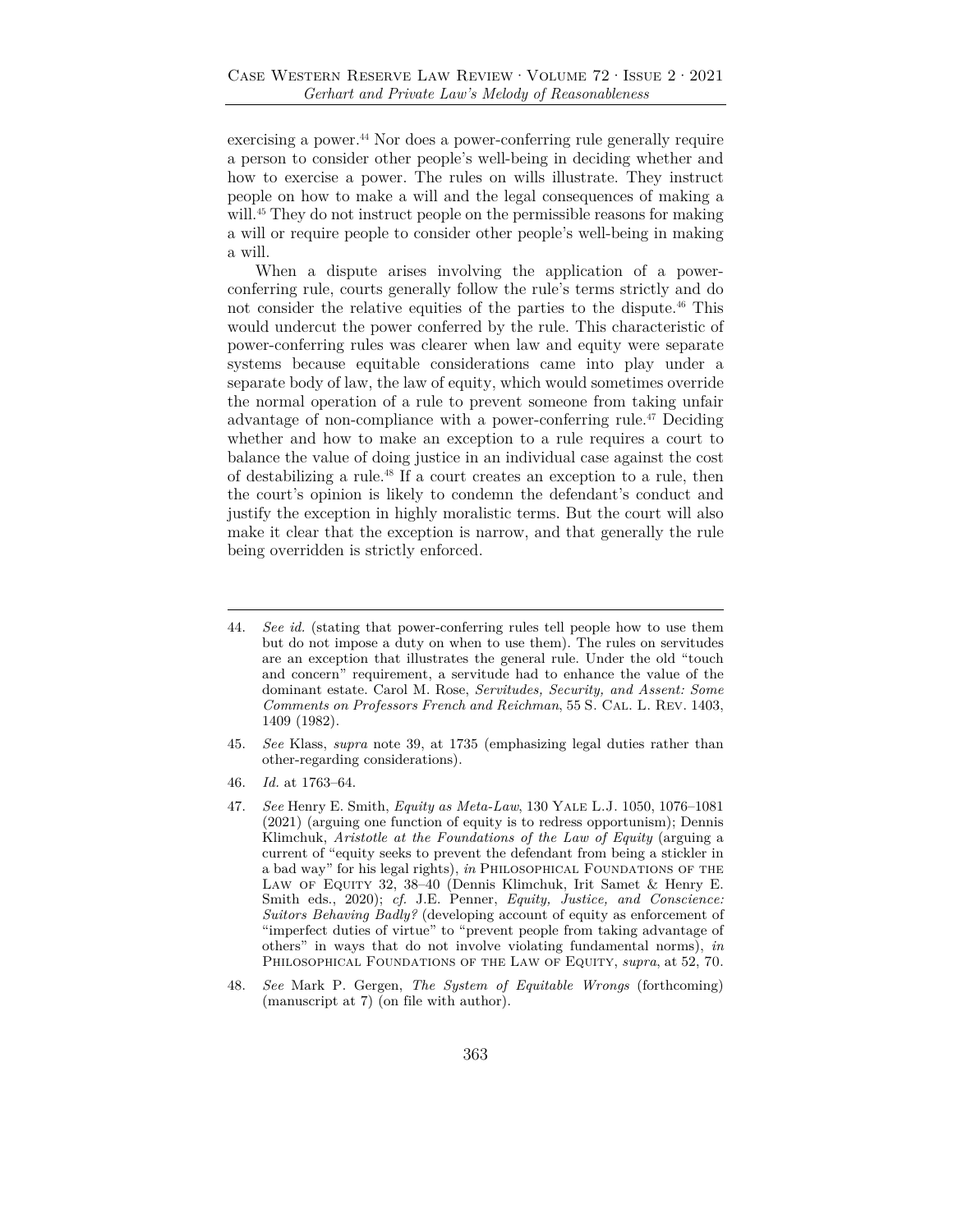exercising a power.<sup>44</sup> Nor does a power-conferring rule generally require a person to consider other people's well-being in deciding whether and how to exercise a power. The rules on wills illustrate. They instruct people on how to make a will and the legal consequences of making a will.<sup>45</sup> They do not instruct people on the permissible reasons for making a will or require people to consider other people's well-being in making a will.

When a dispute arises involving the application of a powerconferring rule, courts generally follow the rule's terms strictly and do not consider the relative equities of the parties to the dispute.46 This would undercut the power conferred by the rule. This characteristic of power-conferring rules was clearer when law and equity were separate systems because equitable considerations came into play under a separate body of law, the law of equity, which would sometimes override the normal operation of a rule to prevent someone from taking unfair advantage of non-compliance with a power-conferring rule.47 Deciding whether and how to make an exception to a rule requires a court to balance the value of doing justice in an individual case against the cost of destabilizing a rule.48 If a court creates an exception to a rule, then the court's opinion is likely to condemn the defendant's conduct and justify the exception in highly moralistic terms. But the court will also make it clear that the exception is narrow, and that generally the rule being overridden is strictly enforced.

<sup>44.</sup> *See id.* (stating that power-conferring rules tell people how to use them but do not impose a duty on when to use them). The rules on servitudes are an exception that illustrates the general rule. Under the old "touch and concern" requirement, a servitude had to enhance the value of the dominant estate. Carol M. Rose, *Servitudes, Security, and Assent: Some Comments on Professors French and Reichman*, 55 S. Cal. L. Rev. 1403, 1409 (1982).

<sup>45.</sup> *See* Klass, *supra* note 39, at 1735 (emphasizing legal duties rather than other-regarding considerations).

<sup>46.</sup> *Id.* at 1763–64.

<sup>47.</sup> *See* Henry E. Smith, *Equity as Meta-Law*, 130 Yale L.J. 1050, 1076–1081 (2021) (arguing one function of equity is to redress opportunism); Dennis Klimchuk, *Aristotle at the Foundations of the Law of Equity* (arguing a current of "equity seeks to prevent the defendant from being a stickler in a bad way" for his legal rights), *in* Philosophical Foundations of the Law of Equity 32, 38–40 (Dennis Klimchuk, Irit Samet & Henry E. Smith eds., 2020); *cf.* J.E. Penner, *Equity, Justice, and Conscience: Suitors Behaving Badly?* (developing account of equity as enforcement of "imperfect duties of virtue" to "prevent people from taking advantage of others" in ways that do not involve violating fundamental norms), *in* Philosophical Foundations of the Law of Equity, *supra*, at 52, 70.

<sup>48.</sup> *See* Mark P. Gergen, *The System of Equitable Wrongs* (forthcoming) (manuscript at 7) (on file with author).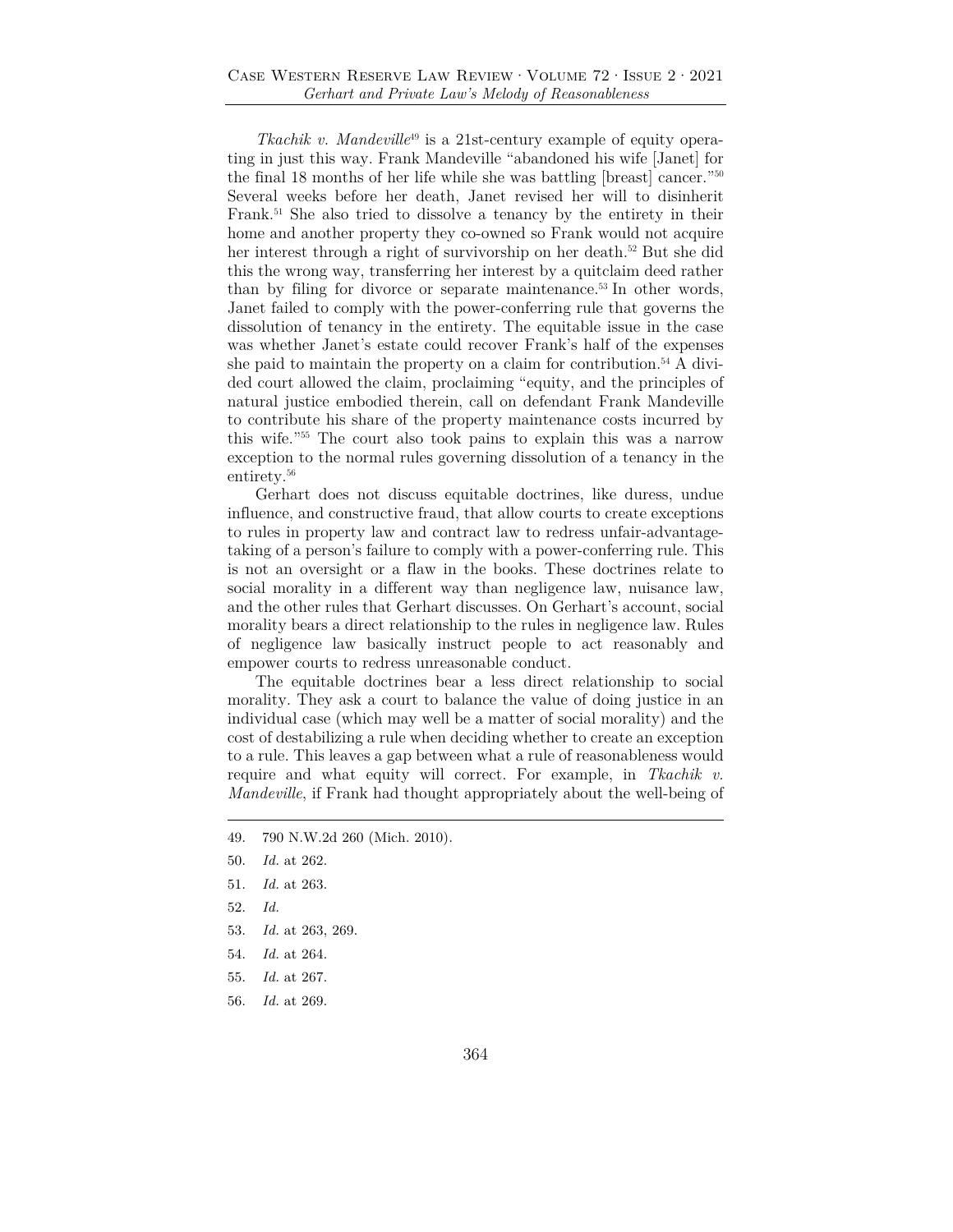*Tkachik v. Mandeville<sup>49</sup>* is a 21st-century example of equity operating in just this way. Frank Mandeville "abandoned his wife [Janet] for the final 18 months of her life while she was battling [breast] cancer."50 Several weeks before her death, Janet revised her will to disinherit Frank.51 She also tried to dissolve a tenancy by the entirety in their home and another property they co-owned so Frank would not acquire her interest through a right of survivorship on her death.<sup>52</sup> But she did this the wrong way, transferring her interest by a quitclaim deed rather than by filing for divorce or separate maintenance.53 In other words, Janet failed to comply with the power-conferring rule that governs the dissolution of tenancy in the entirety. The equitable issue in the case was whether Janet's estate could recover Frank's half of the expenses she paid to maintain the property on a claim for contribution.<sup>54</sup> A divided court allowed the claim, proclaiming "equity, and the principles of natural justice embodied therein, call on defendant Frank Mandeville to contribute his share of the property maintenance costs incurred by this wife."55 The court also took pains to explain this was a narrow exception to the normal rules governing dissolution of a tenancy in the entirety.<sup>56</sup>

Gerhart does not discuss equitable doctrines, like duress, undue influence, and constructive fraud, that allow courts to create exceptions to rules in property law and contract law to redress unfair-advantagetaking of a person's failure to comply with a power-conferring rule. This is not an oversight or a flaw in the books. These doctrines relate to social morality in a different way than negligence law, nuisance law, and the other rules that Gerhart discusses. On Gerhart's account, social morality bears a direct relationship to the rules in negligence law. Rules of negligence law basically instruct people to act reasonably and empower courts to redress unreasonable conduct.

The equitable doctrines bear a less direct relationship to social morality. They ask a court to balance the value of doing justice in an individual case (which may well be a matter of social morality) and the cost of destabilizing a rule when deciding whether to create an exception to a rule. This leaves a gap between what a rule of reasonableness would require and what equity will correct. For example, in *Tkachik v. Mandeville*, if Frank had thought appropriately about the well-being of

- 49. 790 N.W.2d 260 (Mich. 2010).
- 50. *Id.* at 262.
- 51. *Id.* at 263.
- 52. *Id.*
- 53. *Id.* at 263, 269.
- 54. *Id.* at 264.
- 55. *Id.* at 267.
- 56. *Id.* at 269.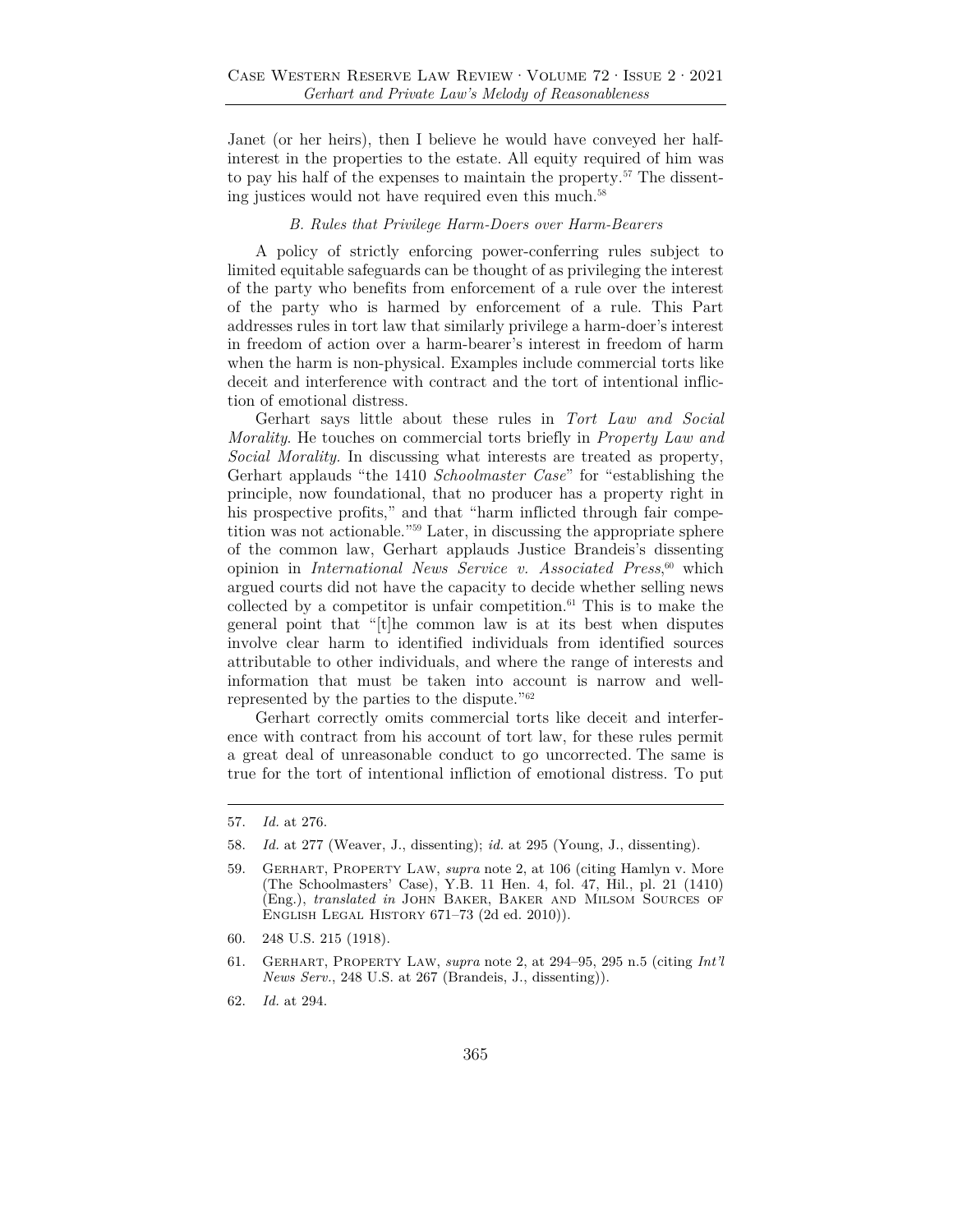Janet (or her heirs), then I believe he would have conveyed her halfinterest in the properties to the estate. All equity required of him was to pay his half of the expenses to maintain the property.<sup>57</sup> The dissenting justices would not have required even this much.58

#### *B. Rules that Privilege Harm-Doers over Harm-Bearers*

A policy of strictly enforcing power-conferring rules subject to limited equitable safeguards can be thought of as privileging the interest of the party who benefits from enforcement of a rule over the interest of the party who is harmed by enforcement of a rule. This Part addresses rules in tort law that similarly privilege a harm-doer's interest in freedom of action over a harm-bearer's interest in freedom of harm when the harm is non-physical. Examples include commercial torts like deceit and interference with contract and the tort of intentional infliction of emotional distress.

Gerhart says little about these rules in *Tort Law and Social Morality*. He touches on commercial torts briefly in *Property Law and Social Morality.* In discussing what interests are treated as property, Gerhart applauds "the 1410 *Schoolmaster Case*" for "establishing the principle, now foundational, that no producer has a property right in his prospective profits," and that "harm inflicted through fair competition was not actionable."59 Later, in discussing the appropriate sphere of the common law, Gerhart applauds Justice Brandeis's dissenting opinion in *International News Service v. Associated Press*, 60 which argued courts did not have the capacity to decide whether selling news collected by a competitor is unfair competition. $61$  This is to make the general point that "[t]he common law is at its best when disputes involve clear harm to identified individuals from identified sources attributable to other individuals, and where the range of interests and information that must be taken into account is narrow and wellrepresented by the parties to the dispute."62

Gerhart correctly omits commercial torts like deceit and interference with contract from his account of tort law, for these rules permit a great deal of unreasonable conduct to go uncorrected. The same is true for the tort of intentional infliction of emotional distress. To put

<sup>57.</sup> *Id.* at 276.

<sup>58.</sup> *Id.* at 277 (Weaver, J., dissenting); *id.* at 295 (Young, J., dissenting).

<sup>59.</sup> Gerhart, Property Law, *supra* note 2, at 106 (citing Hamlyn v. More (The Schoolmasters' Case), Y.B. 11 Hen. 4, fol. 47, Hil., pl. 21 (1410) (Eng.), *translated in* John Baker, Baker and Milsom Sources of English Legal History 671–73 (2d ed. 2010)).

<sup>60. 248</sup> U.S. 215 (1918).

<sup>61.</sup> Gerhart, Property Law, *supra* note 2, at 294–95, 295 n.5 (citing *Int'l News Serv.*, 248 U.S. at 267 (Brandeis, J., dissenting)).

<sup>62.</sup> *Id.* at 294.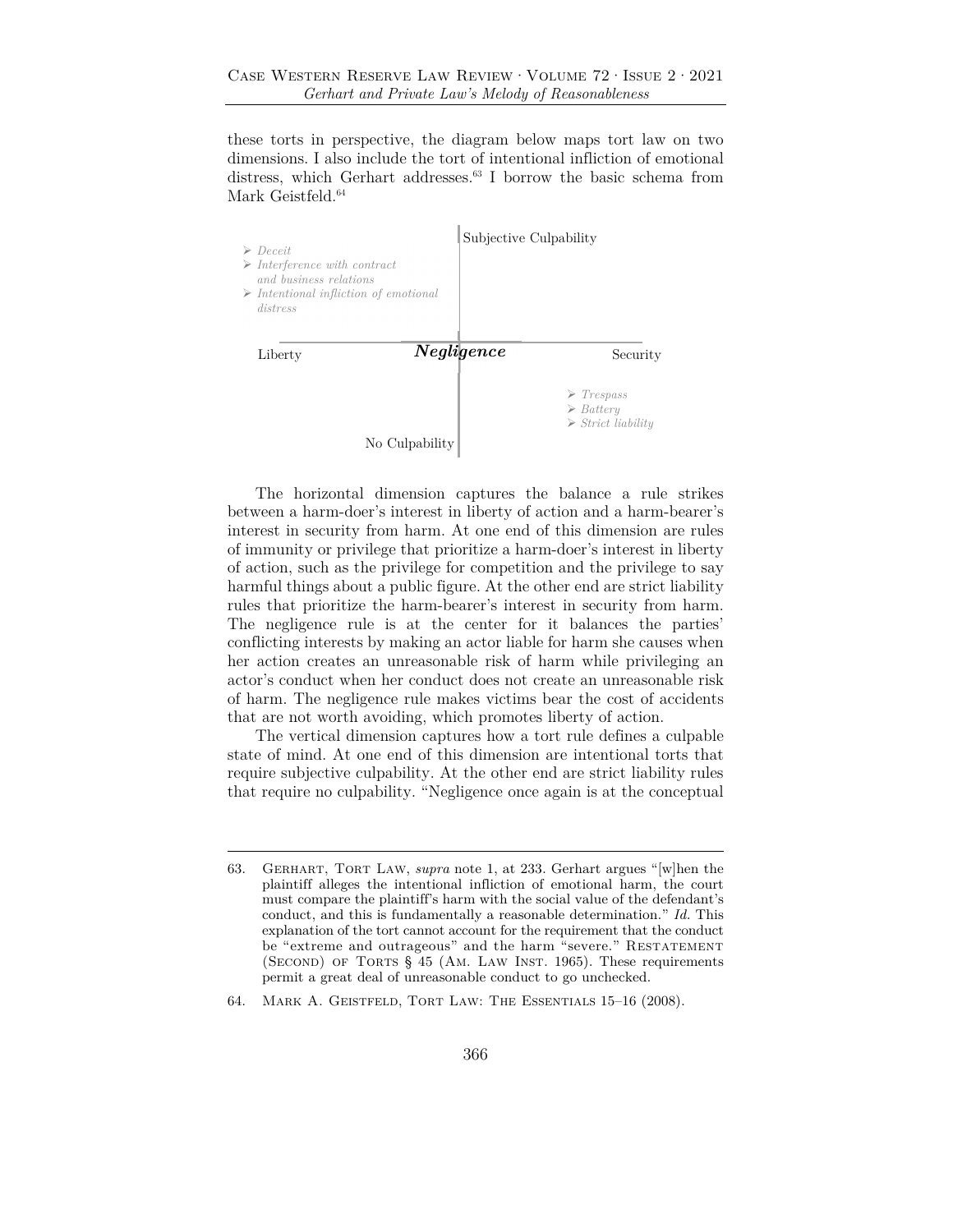these torts in perspective, the diagram below maps tort law on two dimensions. I also include the tort of intentional infliction of emotional distress, which Gerhart addresses.<sup>63</sup> I borrow the basic schema from Mark Geistfeld. $^{64}$ 



The horizontal dimension captures the balance a rule strikes between a harm-doer's interest in liberty of action and a harm-bearer's interest in security from harm. At one end of this dimension are rules of immunity or privilege that prioritize a harm-doer's interest in liberty of action, such as the privilege for competition and the privilege to say harmful things about a public figure. At the other end are strict liability rules that prioritize the harm-bearer's interest in security from harm. The negligence rule is at the center for it balances the parties' conflicting interests by making an actor liable for harm she causes when her action creates an unreasonable risk of harm while privileging an actor's conduct when her conduct does not create an unreasonable risk of harm. The negligence rule makes victims bear the cost of accidents that are not worth avoiding, which promotes liberty of action.

The vertical dimension captures how a tort rule defines a culpable state of mind. At one end of this dimension are intentional torts that require subjective culpability. At the other end are strict liability rules that require no culpability. "Negligence once again is at the conceptual

<sup>63.</sup> Gerhart, Tort Law, *supra* note 1, at 233. Gerhart argues "[w]hen the plaintiff alleges the intentional infliction of emotional harm, the court must compare the plaintiff's harm with the social value of the defendant's conduct, and this is fundamentally a reasonable determination." *Id.* This explanation of the tort cannot account for the requirement that the conduct be "extreme and outrageous" and the harm "severe." RESTATEMENT (SECOND) OF TORTS § 45 (AM. LAW INST. 1965). These requirements permit a great deal of unreasonable conduct to go unchecked.

<sup>64.</sup> Mark A. Geistfeld, Tort Law: The Essentials 15–16 (2008).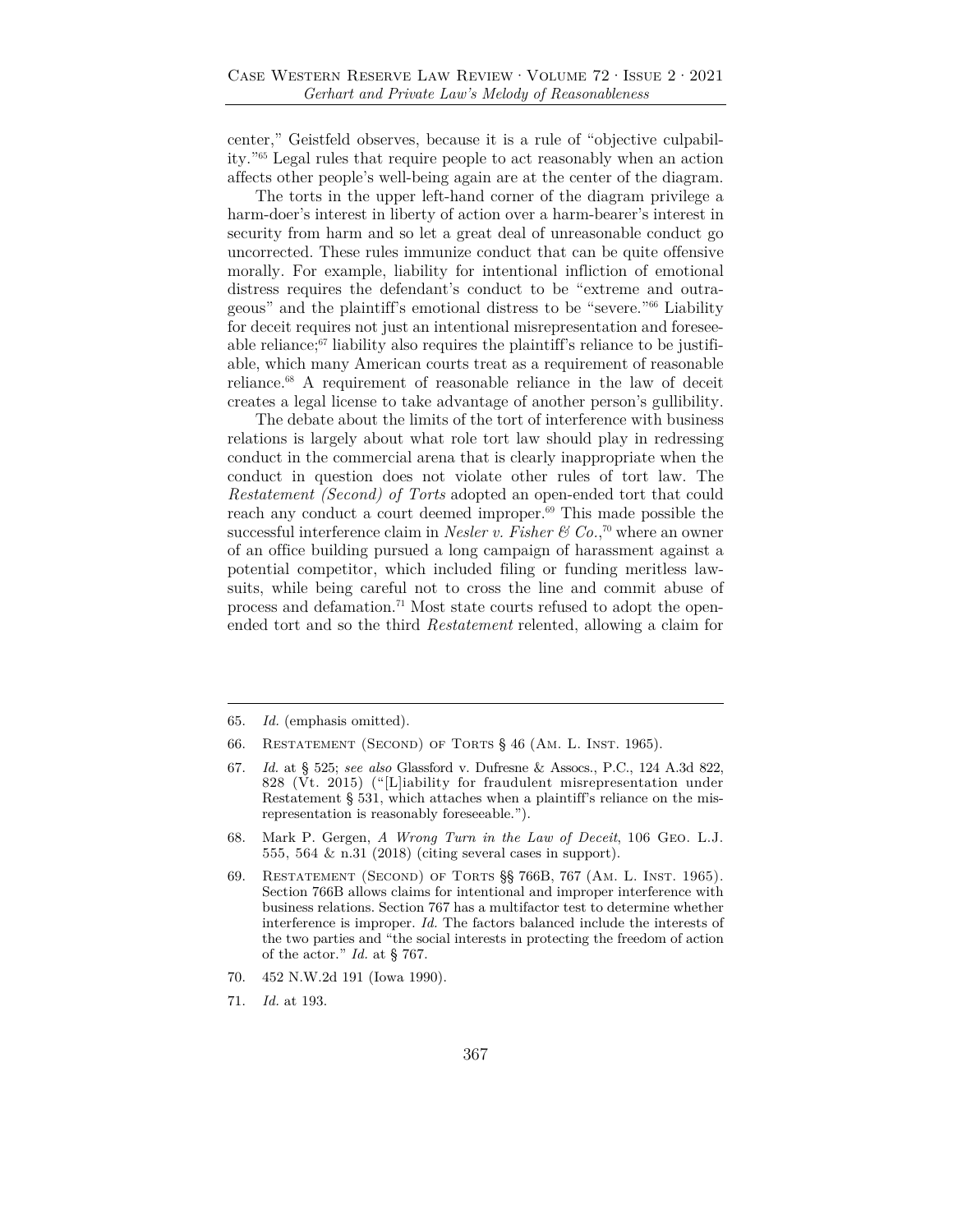center," Geistfeld observes, because it is a rule of "objective culpability."65 Legal rules that require people to act reasonably when an action affects other people's well-being again are at the center of the diagram.

The torts in the upper left-hand corner of the diagram privilege a harm-doer's interest in liberty of action over a harm-bearer's interest in security from harm and so let a great deal of unreasonable conduct go uncorrected. These rules immunize conduct that can be quite offensive morally. For example, liability for intentional infliction of emotional distress requires the defendant's conduct to be "extreme and outrageous" and the plaintiff's emotional distress to be "severe."66 Liability for deceit requires not just an intentional misrepresentation and foreseeable reliance; $67$  liability also requires the plaintiff's reliance to be justifiable, which many American courts treat as a requirement of reasonable reliance.68 A requirement of reasonable reliance in the law of deceit creates a legal license to take advantage of another person's gullibility.

The debate about the limits of the tort of interference with business relations is largely about what role tort law should play in redressing conduct in the commercial arena that is clearly inappropriate when the conduct in question does not violate other rules of tort law. The *Restatement (Second) of Torts* adopted an open-ended tort that could reach any conduct a court deemed improper.<sup>69</sup> This made possible the successful interference claim in *Nesler v. Fisher*  $\mathcal{C}$  *Co.*,<sup>70</sup> where an owner of an office building pursued a long campaign of harassment against a potential competitor, which included filing or funding meritless lawsuits, while being careful not to cross the line and commit abuse of process and defamation.<sup>71</sup> Most state courts refused to adopt the openended tort and so the third *Restatement* relented, allowing a claim for

71. *Id.* at 193.

<sup>65.</sup> *Id.* (emphasis omitted).

<sup>66.</sup> RESTATEMENT (SECOND) OF TORTS § 46 (AM. L. INST. 1965).

<sup>67.</sup> *Id.* at § 525; *see also* Glassford v. Dufresne & Assocs., P.C., 124 A.3d 822, 828 (Vt. 2015) ("[L]iability for fraudulent misrepresentation under Restatement § 531, which attaches when a plaintiff's reliance on the misrepresentation is reasonably foreseeable.").

<sup>68.</sup> Mark P. Gergen, *A Wrong Turn in the Law of Deceit*, 106 Geo. L.J. 555, 564 & n.31 (2018) (citing several cases in support).

<sup>69.</sup> Restatement (Second) of Torts §§ 766B, 767 (Am. L. Inst. 1965). Section 766B allows claims for intentional and improper interference with business relations. Section 767 has a multifactor test to determine whether interference is improper. *Id.* The factors balanced include the interests of the two parties and "the social interests in protecting the freedom of action of the actor." *Id.* at § 767.

<sup>70. 452</sup> N.W.2d 191 (Iowa 1990).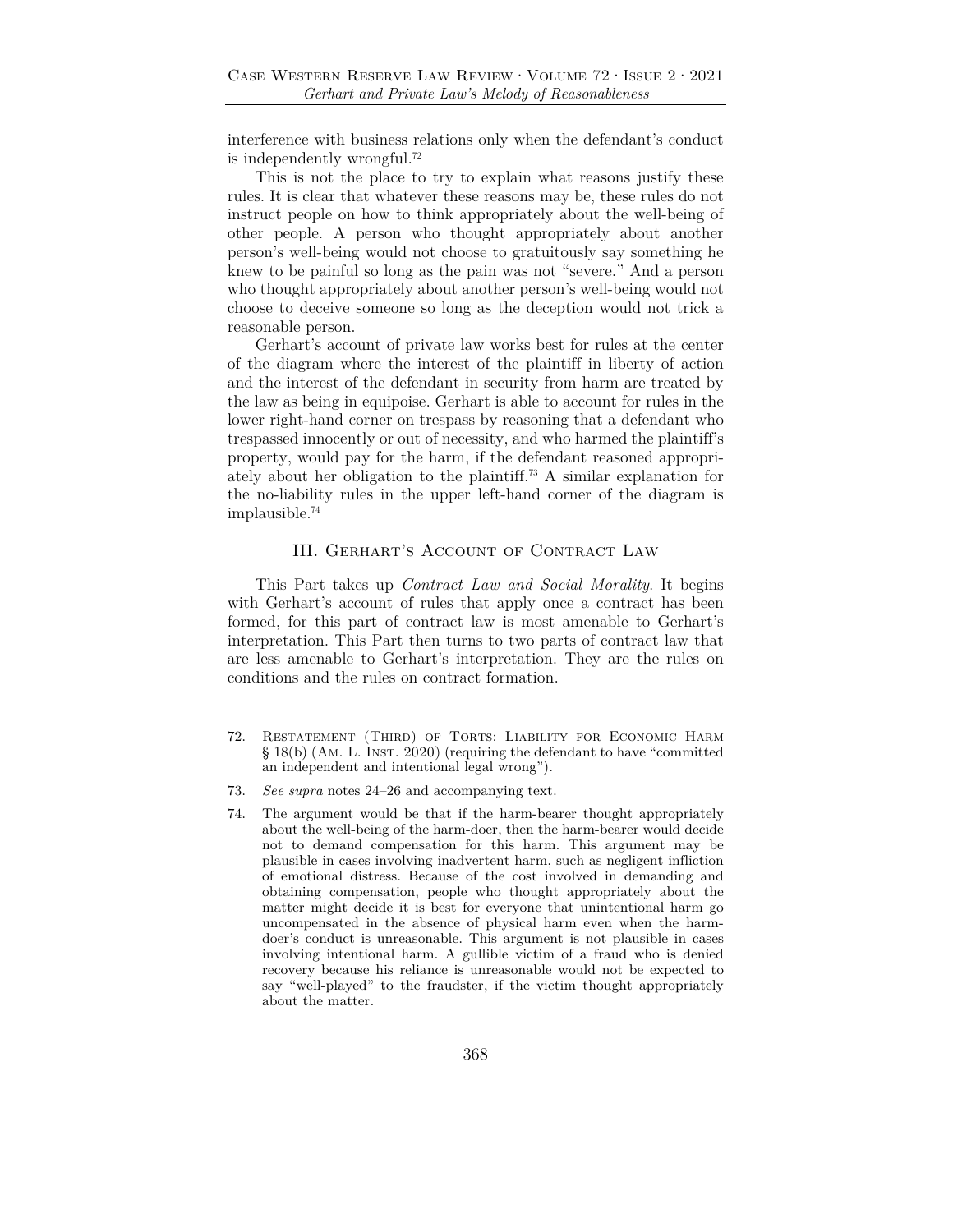interference with business relations only when the defendant's conduct is independently wrongful.72

This is not the place to try to explain what reasons justify these rules. It is clear that whatever these reasons may be, these rules do not instruct people on how to think appropriately about the well-being of other people. A person who thought appropriately about another person's well-being would not choose to gratuitously say something he knew to be painful so long as the pain was not "severe." And a person who thought appropriately about another person's well-being would not choose to deceive someone so long as the deception would not trick a reasonable person.

Gerhart's account of private law works best for rules at the center of the diagram where the interest of the plaintiff in liberty of action and the interest of the defendant in security from harm are treated by the law as being in equipoise. Gerhart is able to account for rules in the lower right-hand corner on trespass by reasoning that a defendant who trespassed innocently or out of necessity, and who harmed the plaintiff's property, would pay for the harm, if the defendant reasoned appropriately about her obligation to the plaintiff.73 A similar explanation for the no-liability rules in the upper left-hand corner of the diagram is implausible.74

# III. Gerhart's Account of Contract Law

This Part takes up *Contract Law and Social Morality*. It begins with Gerhart's account of rules that apply once a contract has been formed, for this part of contract law is most amenable to Gerhart's interpretation. This Part then turns to two parts of contract law that are less amenable to Gerhart's interpretation. They are the rules on conditions and the rules on contract formation.

<sup>72.</sup> Restatement (Third) of Torts: Liability for Economic Harm § 18(b) (Am. L. Inst. 2020) (requiring the defendant to have "committed an independent and intentional legal wrong").

<sup>73.</sup> *See supra* notes 24–26 and accompanying text.

<sup>74.</sup> The argument would be that if the harm-bearer thought appropriately about the well-being of the harm-doer, then the harm-bearer would decide not to demand compensation for this harm. This argument may be plausible in cases involving inadvertent harm, such as negligent infliction of emotional distress. Because of the cost involved in demanding and obtaining compensation, people who thought appropriately about the matter might decide it is best for everyone that unintentional harm go uncompensated in the absence of physical harm even when the harmdoer's conduct is unreasonable. This argument is not plausible in cases involving intentional harm. A gullible victim of a fraud who is denied recovery because his reliance is unreasonable would not be expected to say "well-played" to the fraudster, if the victim thought appropriately about the matter.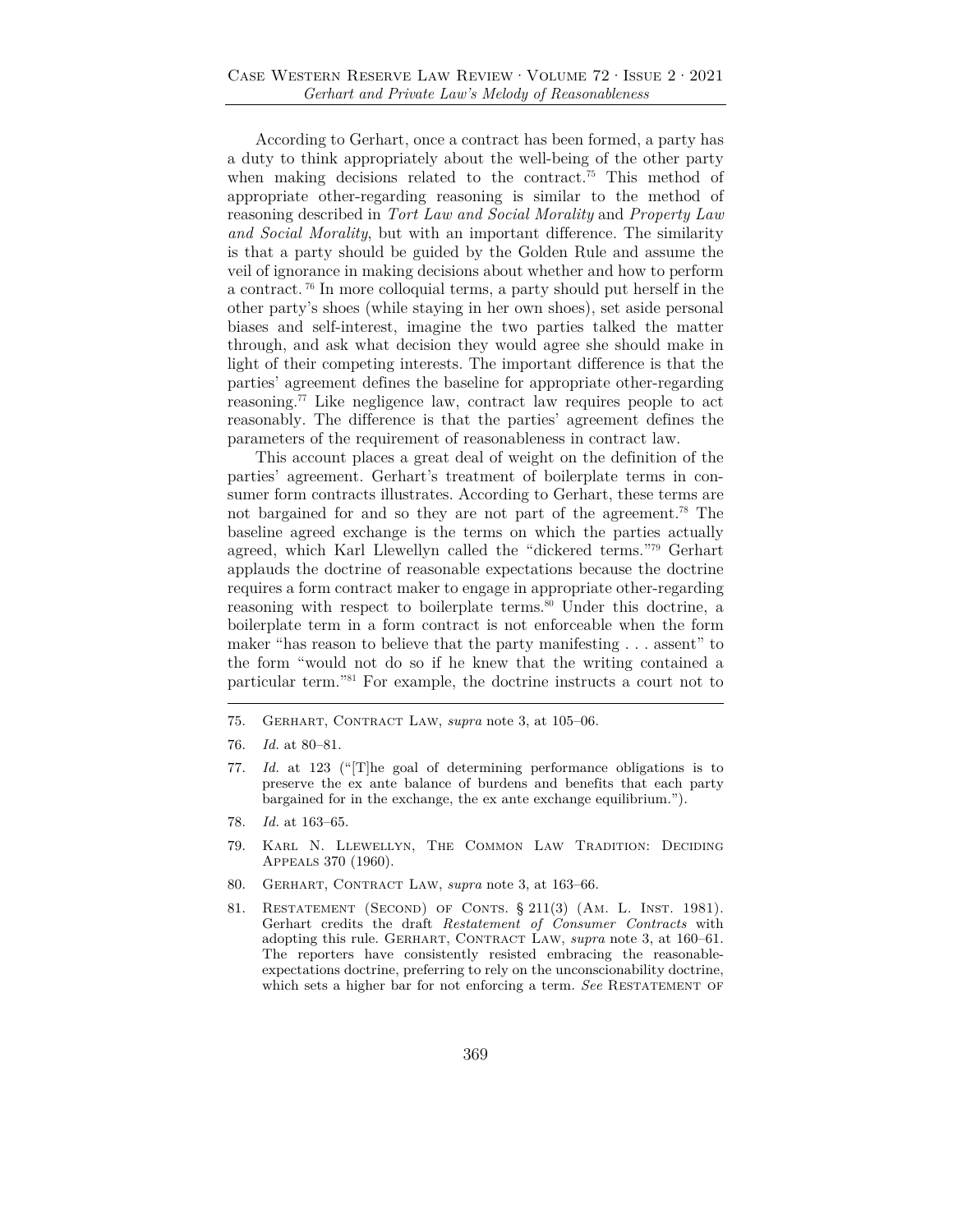According to Gerhart, once a contract has been formed, a party has a duty to think appropriately about the well-being of the other party when making decisions related to the contract.<sup>75</sup> This method of appropriate other-regarding reasoning is similar to the method of reasoning described in *Tort Law and Social Morality* and *Property Law and Social Morality*, but with an important difference. The similarity is that a party should be guided by the Golden Rule and assume the veil of ignorance in making decisions about whether and how to perform a contract. 76 In more colloquial terms, a party should put herself in the other party's shoes (while staying in her own shoes), set aside personal biases and self-interest, imagine the two parties talked the matter through, and ask what decision they would agree she should make in light of their competing interests. The important difference is that the parties' agreement defines the baseline for appropriate other-regarding reasoning.77 Like negligence law, contract law requires people to act reasonably. The difference is that the parties' agreement defines the parameters of the requirement of reasonableness in contract law.

This account places a great deal of weight on the definition of the parties' agreement. Gerhart's treatment of boilerplate terms in consumer form contracts illustrates. According to Gerhart, these terms are not bargained for and so they are not part of the agreement.78 The baseline agreed exchange is the terms on which the parties actually agreed, which Karl Llewellyn called the "dickered terms."79 Gerhart applauds the doctrine of reasonable expectations because the doctrine requires a form contract maker to engage in appropriate other-regarding reasoning with respect to boilerplate terms.<sup>80</sup> Under this doctrine, a boilerplate term in a form contract is not enforceable when the form maker "has reason to believe that the party manifesting . . . assent" to the form "would not do so if he knew that the writing contained a particular term."81 For example, the doctrine instructs a court not to

- 75. Gerhart, Contract Law, *supra* note 3, at 105–06.
- 76. *Id.* at 80–81.
- 77. *Id.* at 123 ("[T]he goal of determining performance obligations is to preserve the ex ante balance of burdens and benefits that each party bargained for in the exchange, the ex ante exchange equilibrium.").
- 78. *Id.* at 163–65.
- 79. Karl N. Llewellyn, The Common Law Tradition: Deciding Appeals 370 (1960).
- 80. GERHART, CONTRACT LAW, *supra* note 3, at 163-66.
- 81. Restatement (Second) of Conts. § 211(3) (Am. L. Inst. 1981). Gerhart credits the draft *Restatement of Consumer Contracts* with adopting this rule. GERHART, CONTRACT LAW, *supra* note 3, at 160-61. The reporters have consistently resisted embracing the reasonableexpectations doctrine, preferring to rely on the unconscionability doctrine, which sets a higher bar for not enforcing a term. See RESTATEMENT OF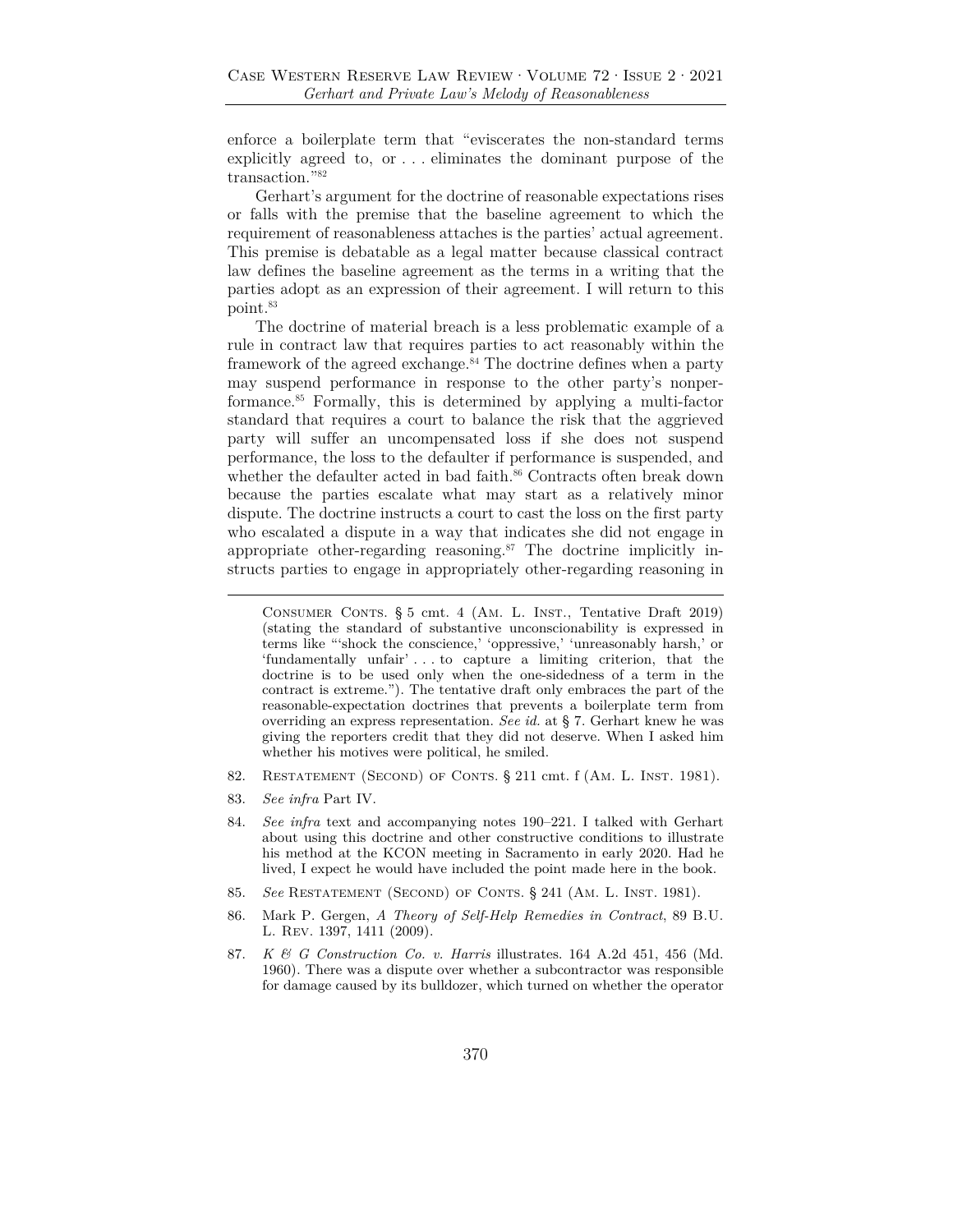enforce a boilerplate term that "eviscerates the non-standard terms explicitly agreed to, or . . . eliminates the dominant purpose of the transaction."82

Gerhart's argument for the doctrine of reasonable expectations rises or falls with the premise that the baseline agreement to which the requirement of reasonableness attaches is the parties' actual agreement. This premise is debatable as a legal matter because classical contract law defines the baseline agreement as the terms in a writing that the parties adopt as an expression of their agreement. I will return to this point.83

The doctrine of material breach is a less problematic example of a rule in contract law that requires parties to act reasonably within the framework of the agreed exchange.<sup>84</sup> The doctrine defines when a party may suspend performance in response to the other party's nonperformance.85 Formally, this is determined by applying a multi-factor standard that requires a court to balance the risk that the aggrieved party will suffer an uncompensated loss if she does not suspend performance, the loss to the defaulter if performance is suspended, and whether the defaulter acted in bad faith.<sup>86</sup> Contracts often break down because the parties escalate what may start as a relatively minor dispute. The doctrine instructs a court to cast the loss on the first party who escalated a dispute in a way that indicates she did not engage in appropriate other-regarding reasoning.<sup>87</sup> The doctrine implicitly instructs parties to engage in appropriately other-regarding reasoning in

- 82. RESTATEMENT (SECOND) OF CONTS. § 211 cmt. f (AM. L. INST. 1981).
- 83. *See infra* Part IV.

- 85. *See* Restatement (Second) of Conts. § 241 (Am. L. Inst. 1981).
- 86. Mark P. Gergen, *A Theory of Self-Help Remedies in Contract*, 89 B.U. L. Rev. 1397, 1411 (2009).
- 87. *K & G Construction Co. v. Harris* illustrates. 164 A.2d 451, 456 (Md. 1960). There was a dispute over whether a subcontractor was responsible for damage caused by its bulldozer, which turned on whether the operator

CONSUMER CONTS. § 5 cmt. 4 (AM. L. INST., Tentative Draft 2019) (stating the standard of substantive unconscionability is expressed in terms like "'shock the conscience,' 'oppressive,' 'unreasonably harsh,' or 'fundamentally unfair' . . . to capture a limiting criterion, that the doctrine is to be used only when the one-sidedness of a term in the contract is extreme."). The tentative draft only embraces the part of the reasonable-expectation doctrines that prevents a boilerplate term from overriding an express representation. *See id.* at § 7. Gerhart knew he was giving the reporters credit that they did not deserve. When I asked him whether his motives were political, he smiled.

<sup>84.</sup> *See infra* text and accompanying notes 190–221. I talked with Gerhart about using this doctrine and other constructive conditions to illustrate his method at the KCON meeting in Sacramento in early 2020. Had he lived, I expect he would have included the point made here in the book.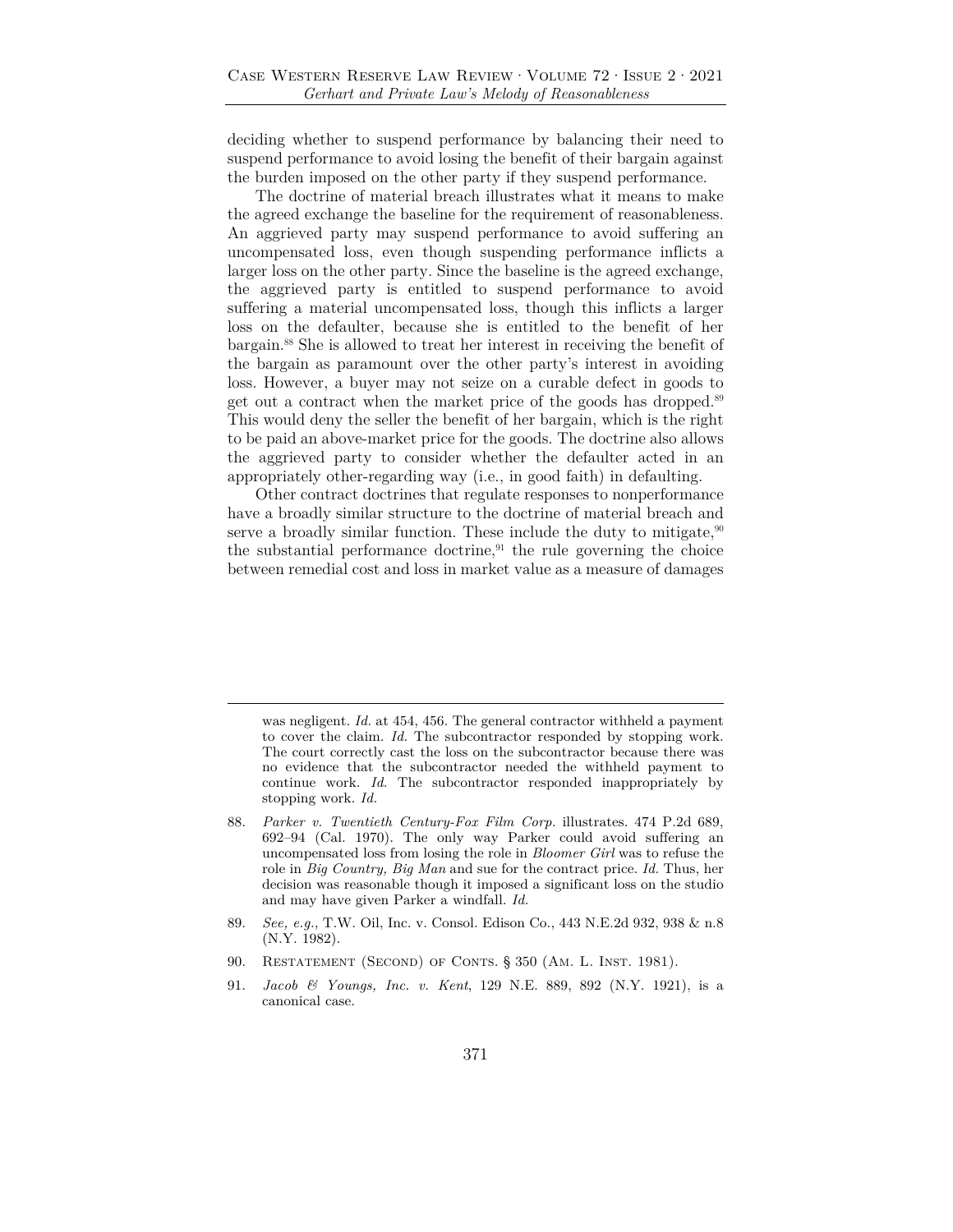deciding whether to suspend performance by balancing their need to suspend performance to avoid losing the benefit of their bargain against the burden imposed on the other party if they suspend performance.

The doctrine of material breach illustrates what it means to make the agreed exchange the baseline for the requirement of reasonableness. An aggrieved party may suspend performance to avoid suffering an uncompensated loss, even though suspending performance inflicts a larger loss on the other party. Since the baseline is the agreed exchange, the aggrieved party is entitled to suspend performance to avoid suffering a material uncompensated loss, though this inflicts a larger loss on the defaulter, because she is entitled to the benefit of her bargain.88 She is allowed to treat her interest in receiving the benefit of the bargain as paramount over the other party's interest in avoiding loss. However, a buyer may not seize on a curable defect in goods to get out a contract when the market price of the goods has dropped.<sup>89</sup> This would deny the seller the benefit of her bargain, which is the right to be paid an above-market price for the goods. The doctrine also allows the aggrieved party to consider whether the defaulter acted in an appropriately other-regarding way (i.e., in good faith) in defaulting.

Other contract doctrines that regulate responses to nonperformance have a broadly similar structure to the doctrine of material breach and serve a broadly similar function. These include the duty to mitigate, $90$ the substantial performance doctrine, $91$  the rule governing the choice between remedial cost and loss in market value as a measure of damages

was negligent. *Id.* at 454, 456. The general contractor withheld a payment to cover the claim. *Id.* The subcontractor responded by stopping work. The court correctly cast the loss on the subcontractor because there was no evidence that the subcontractor needed the withheld payment to continue work. *Id.* The subcontractor responded inappropriately by stopping work. *Id.*

- 88. *Parker v. Twentieth Century-Fox Film Corp.* illustrates. 474 P.2d 689, 692–94 (Cal. 1970). The only way Parker could avoid suffering an uncompensated loss from losing the role in *Bloomer Girl* was to refuse the role in *Big Country, Big Man* and sue for the contract price. *Id.* Thus, her decision was reasonable though it imposed a significant loss on the studio and may have given Parker a windfall. *Id.*
- 89. *See, e.g.*, T.W. Oil, Inc. v. Consol. Edison Co., 443 N.E.2d 932, 938 & n.8 (N.Y. 1982).
- 90. RESTATEMENT (SECOND) OF CONTS. § 350 (AM. L. INST. 1981).
- 91. *Jacob & Youngs, Inc. v. Kent*, 129 N.E. 889, 892 (N.Y. 1921), is a canonical case.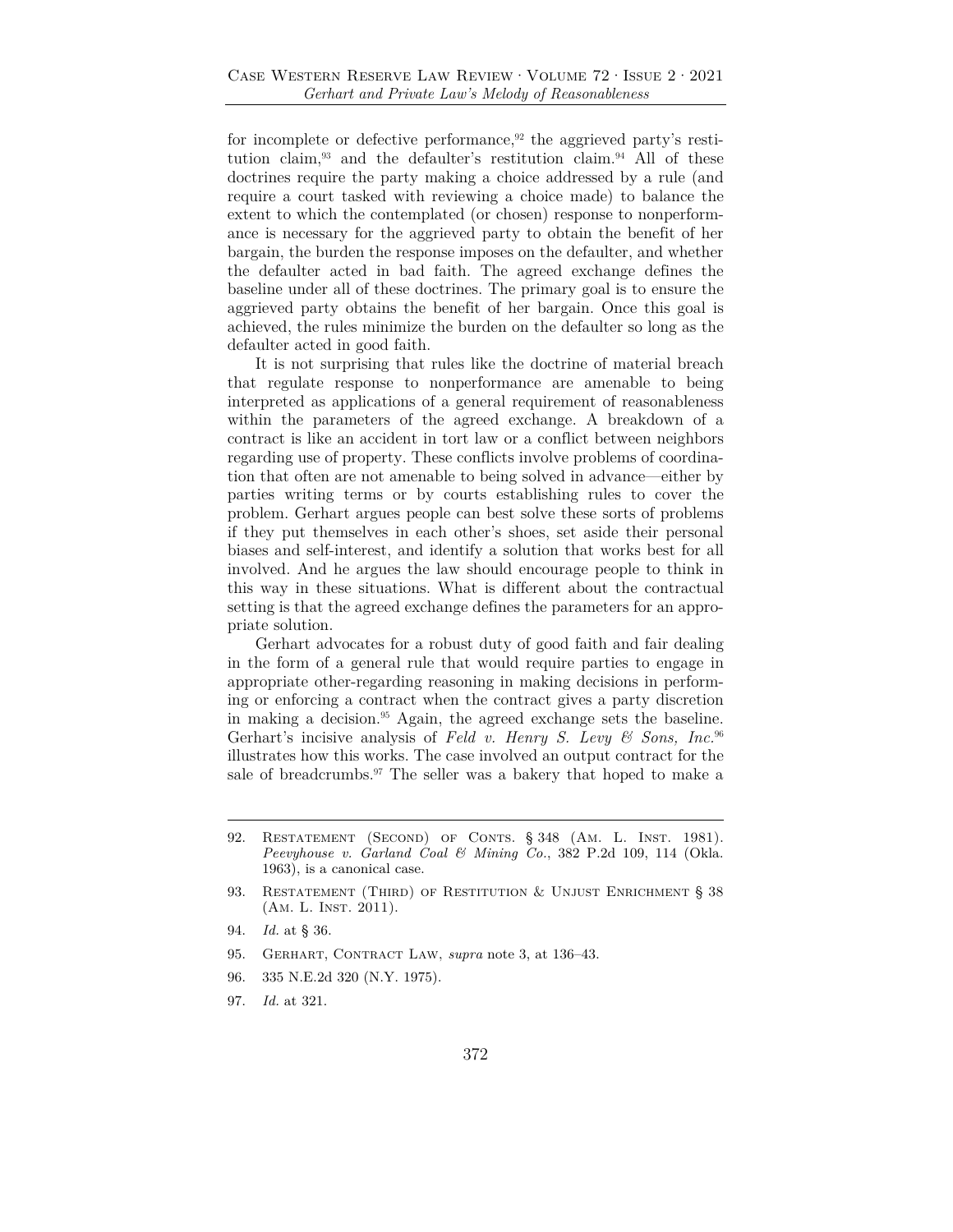for incomplete or defective performance, $92$  the aggrieved party's restitution claim,<sup>93</sup> and the defaulter's restitution claim.<sup>94</sup> All of these doctrines require the party making a choice addressed by a rule (and require a court tasked with reviewing a choice made) to balance the extent to which the contemplated (or chosen) response to nonperformance is necessary for the aggrieved party to obtain the benefit of her bargain, the burden the response imposes on the defaulter, and whether the defaulter acted in bad faith. The agreed exchange defines the baseline under all of these doctrines. The primary goal is to ensure the aggrieved party obtains the benefit of her bargain. Once this goal is achieved, the rules minimize the burden on the defaulter so long as the defaulter acted in good faith.

It is not surprising that rules like the doctrine of material breach that regulate response to nonperformance are amenable to being interpreted as applications of a general requirement of reasonableness within the parameters of the agreed exchange. A breakdown of a contract is like an accident in tort law or a conflict between neighbors regarding use of property. These conflicts involve problems of coordination that often are not amenable to being solved in advance—either by parties writing terms or by courts establishing rules to cover the problem. Gerhart argues people can best solve these sorts of problems if they put themselves in each other's shoes, set aside their personal biases and self-interest, and identify a solution that works best for all involved. And he argues the law should encourage people to think in this way in these situations. What is different about the contractual setting is that the agreed exchange defines the parameters for an appropriate solution.

Gerhart advocates for a robust duty of good faith and fair dealing in the form of a general rule that would require parties to engage in appropriate other-regarding reasoning in making decisions in performing or enforcing a contract when the contract gives a party discretion in making a decision.95 Again, the agreed exchange sets the baseline. Gerhart's incisive analysis of *Feld v. Henry S. Levy & Sons, Inc.*<sup>96</sup> illustrates how this works. The case involved an output contract for the sale of breadcrumbs.<sup>97</sup> The seller was a bakery that hoped to make a

- 95. GERHART, CONTRACT LAW, *supra* note 3, at 136-43.
- 96. 335 N.E.2d 320 (N.Y. 1975).
- 97. *Id.* at 321.

<sup>92.</sup> RESTATEMENT (SECOND) OF CONTS. § 348 (AM. L. INST. 1981). *Peevyhouse v. Garland Coal & Mining Co.*, 382 P.2d 109, 114 (Okla. 1963), is a canonical case.

<sup>93.</sup> RESTATEMENT (THIRD) OF RESTITUTION & UNJUST ENRICHMENT § 38 (AM. L. INST. 2011).

<sup>94.</sup> *Id.* at § 36.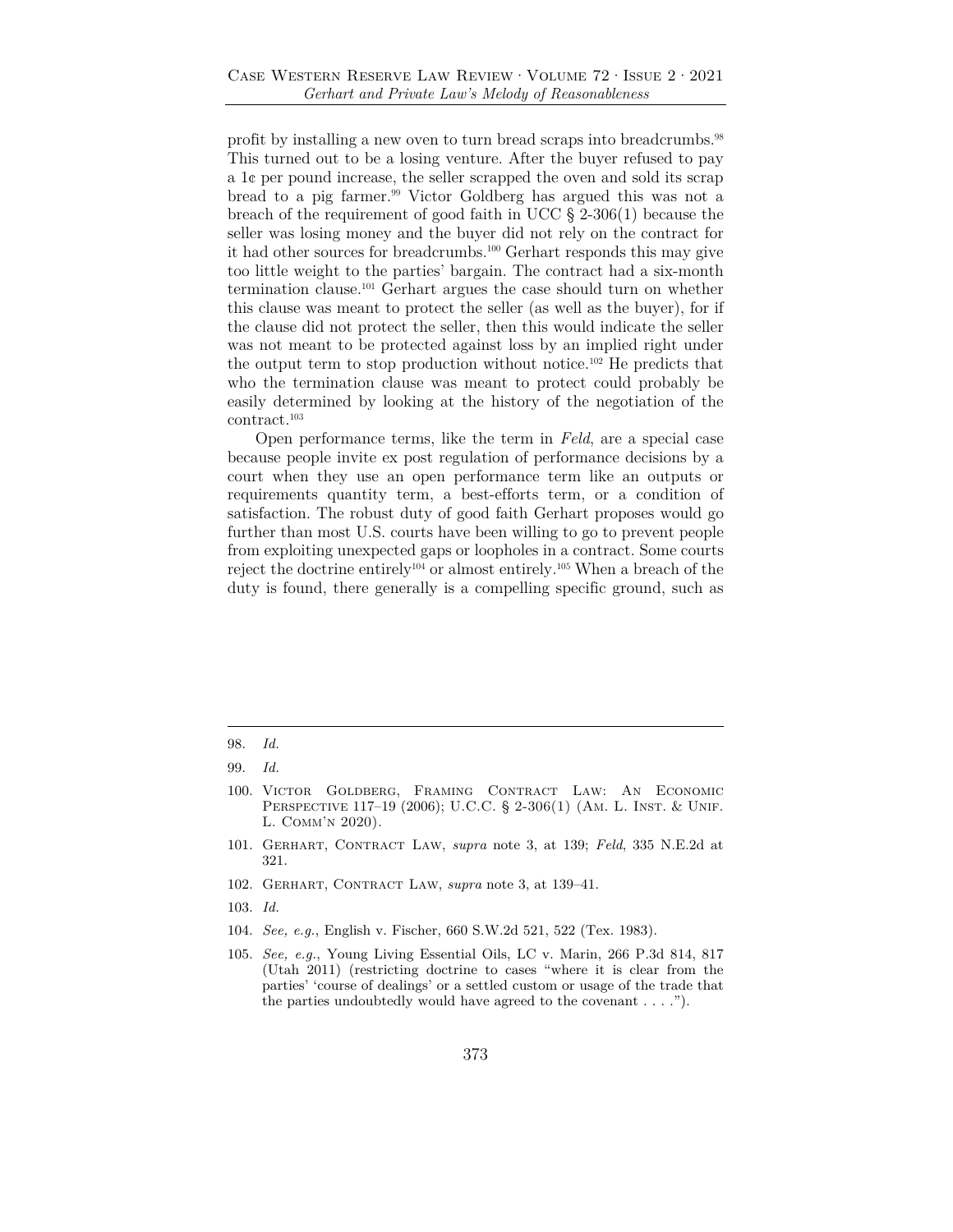profit by installing a new oven to turn bread scraps into breadcrumbs.<sup>98</sup> This turned out to be a losing venture. After the buyer refused to pay a 1¢ per pound increase, the seller scrapped the oven and sold its scrap bread to a pig farmer.99 Victor Goldberg has argued this was not a breach of the requirement of good faith in UCC § 2-306(1) because the seller was losing money and the buyer did not rely on the contract for it had other sources for breadcrumbs.100 Gerhart responds this may give too little weight to the parties' bargain. The contract had a six-month termination clause.101 Gerhart argues the case should turn on whether this clause was meant to protect the seller (as well as the buyer), for if the clause did not protect the seller, then this would indicate the seller was not meant to be protected against loss by an implied right under the output term to stop production without notice.102 He predicts that who the termination clause was meant to protect could probably be easily determined by looking at the history of the negotiation of the contract.103

Open performance terms, like the term in *Feld*, are a special case because people invite ex post regulation of performance decisions by a court when they use an open performance term like an outputs or requirements quantity term, a best-efforts term, or a condition of satisfaction. The robust duty of good faith Gerhart proposes would go further than most U.S. courts have been willing to go to prevent people from exploiting unexpected gaps or loopholes in a contract. Some courts reject the doctrine entirely104 or almost entirely.105 When a breach of the duty is found, there generally is a compelling specific ground, such as

- 101. Gerhart, Contract Law, *supra* note 3, at 139; *Feld*, 335 N.E.2d at 321.
- 102. Gerhart, Contract Law, *supra* note 3, at 139–41.
- 103. *Id.*
- 104. *See, e.g.*, English v. Fischer, 660 S.W.2d 521, 522 (Tex. 1983).

<sup>98.</sup> *Id.* 

<sup>99.</sup> *Id.*

<sup>100.</sup> Victor Goldberg, Framing Contract Law: An Economic PERSPECTIVE 117-19 (2006); U.C.C. § 2-306(1) (AM. L. INST. & UNIF. L. Comm'n 2020).

<sup>105.</sup> *See, e.g.*, Young Living Essential Oils, LC v. Marin, 266 P.3d 814, 817 (Utah 2011) (restricting doctrine to cases "where it is clear from the parties' 'course of dealings' or a settled custom or usage of the trade that the parties undoubtedly would have agreed to the covenant . . . .").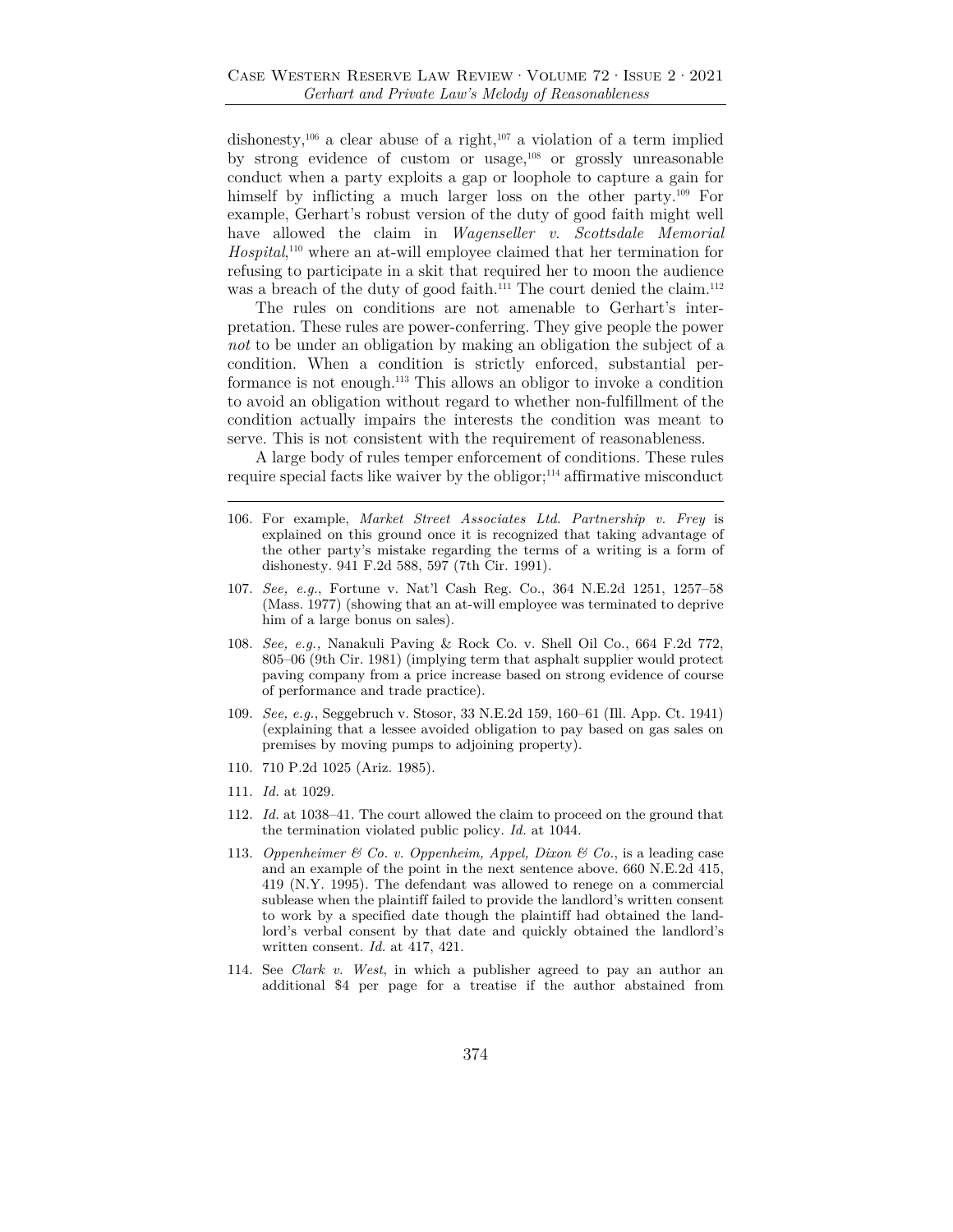dishonesty,<sup>106</sup> a clear abuse of a right,<sup>107</sup> a violation of a term implied by strong evidence of custom or usage,108 or grossly unreasonable conduct when a party exploits a gap or loophole to capture a gain for himself by inflicting a much larger loss on the other party.<sup>109</sup> For example, Gerhart's robust version of the duty of good faith might well have allowed the claim in *Wagenseller v. Scottsdale Memorial Hospital*, 110 where an at-will employee claimed that her termination for refusing to participate in a skit that required her to moon the audience was a breach of the duty of good faith.<sup>111</sup> The court denied the claim.<sup>112</sup>

The rules on conditions are not amenable to Gerhart's interpretation. These rules are power-conferring. They give people the power *not* to be under an obligation by making an obligation the subject of a condition. When a condition is strictly enforced, substantial performance is not enough.113 This allows an obligor to invoke a condition to avoid an obligation without regard to whether non-fulfillment of the condition actually impairs the interests the condition was meant to serve. This is not consistent with the requirement of reasonableness.

A large body of rules temper enforcement of conditions. These rules require special facts like waiver by the obligor; $114$  affirmative misconduct

- 106. For example, *Market Street Associates Ltd. Partnership v. Frey* is explained on this ground once it is recognized that taking advantage of the other party's mistake regarding the terms of a writing is a form of dishonesty. 941 F.2d 588, 597 (7th Cir. 1991).
- 107. *See, e.g.*, Fortune v. Nat'l Cash Reg. Co., 364 N.E.2d 1251, 1257–58 (Mass. 1977) (showing that an at-will employee was terminated to deprive him of a large bonus on sales).
- 108. *See, e.g.,* Nanakuli Paving & Rock Co. v. Shell Oil Co., 664 F.2d 772, 805–06 (9th Cir. 1981) (implying term that asphalt supplier would protect paving company from a price increase based on strong evidence of course of performance and trade practice).
- 109. *See, e.g.*, Seggebruch v. Stosor, 33 N.E.2d 159, 160–61 (Ill. App. Ct. 1941) (explaining that a lessee avoided obligation to pay based on gas sales on premises by moving pumps to adjoining property).
- 110. 710 P.2d 1025 (Ariz. 1985).
- 111. *Id.* at 1029.
- 112. *Id.* at 1038–41. The court allowed the claim to proceed on the ground that the termination violated public policy. *Id.* at 1044.
- 113. *Oppenheimer & Co. v. Oppenheim, Appel, Dixon & Co.*, is a leading case and an example of the point in the next sentence above. 660 N.E.2d 415, 419 (N.Y. 1995). The defendant was allowed to renege on a commercial sublease when the plaintiff failed to provide the landlord's written consent to work by a specified date though the plaintiff had obtained the landlord's verbal consent by that date and quickly obtained the landlord's written consent. *Id.* at 417, 421.
- 114. See *Clark v. West*, in which a publisher agreed to pay an author an additional \$4 per page for a treatise if the author abstained from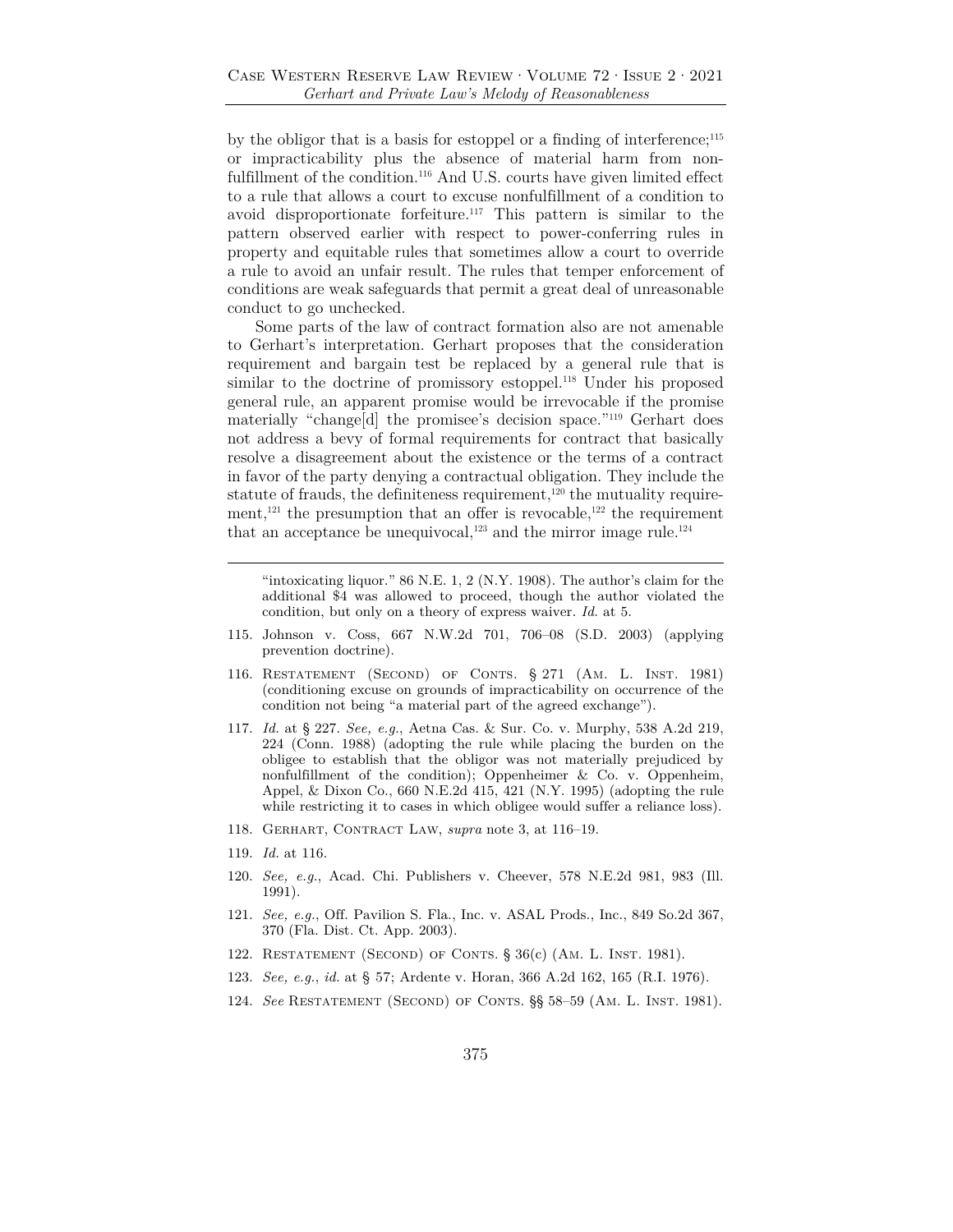by the obligor that is a basis for estoppel or a finding of interference;<sup>115</sup> or impracticability plus the absence of material harm from nonfulfillment of the condition.<sup>116</sup> And U.S. courts have given limited effect to a rule that allows a court to excuse nonfulfillment of a condition to avoid disproportionate forfeiture.117 This pattern is similar to the pattern observed earlier with respect to power-conferring rules in property and equitable rules that sometimes allow a court to override a rule to avoid an unfair result. The rules that temper enforcement of conditions are weak safeguards that permit a great deal of unreasonable conduct to go unchecked.

Some parts of the law of contract formation also are not amenable to Gerhart's interpretation. Gerhart proposes that the consideration requirement and bargain test be replaced by a general rule that is similar to the doctrine of promissory estoppel.<sup>118</sup> Under his proposed general rule, an apparent promise would be irrevocable if the promise materially "change[d] the promisee's decision space."119 Gerhart does not address a bevy of formal requirements for contract that basically resolve a disagreement about the existence or the terms of a contract in favor of the party denying a contractual obligation. They include the statute of frauds, the definiteness requirement,<sup>120</sup> the mutuality requirement,<sup>121</sup> the presumption that an offer is revocable,<sup>122</sup> the requirement that an acceptance be unequivocal,<sup>123</sup> and the mirror image rule.<sup>124</sup>

"intoxicating liquor."  $86$  N.E. 1, 2 (N.Y. 1908). The author's claim for the additional \$4 was allowed to proceed, though the author violated the condition, but only on a theory of express waiver. *Id.* at 5.

- 115. Johnson v. Coss, 667 N.W.2d 701, 706–08 (S.D. 2003) (applying prevention doctrine).
- 116. Restatement (Second) of Conts. § 271 (Am. L. Inst. 1981) (conditioning excuse on grounds of impracticability on occurrence of the condition not being "a material part of the agreed exchange").
- 117. *Id.* at § 227. *See, e.g.*, Aetna Cas. & Sur. Co. v. Murphy, 538 A.2d 219, 224 (Conn. 1988) (adopting the rule while placing the burden on the obligee to establish that the obligor was not materially prejudiced by nonfulfillment of the condition); Oppenheimer  $\&$  Co. v. Oppenheim, Appel, & Dixon Co., 660 N.E.2d 415, 421 (N.Y. 1995) (adopting the rule while restricting it to cases in which obligee would suffer a reliance loss).
- 118. Gerhart, Contract Law, *supra* note 3, at 116–19.
- 119. *Id.* at 116.
- 120. *See, e.g.*, Acad. Chi. Publishers v. Cheever, 578 N.E.2d 981, 983 (Ill. 1991).
- 121. *See, e.g.*, Off. Pavilion S. Fla., Inc. v. ASAL Prods., Inc., 849 So.2d 367, 370 (Fla. Dist. Ct. App. 2003).
- 122. Restatement (Second) of Conts. § 36(c) (Am. L. Inst. 1981).
- 123. *See, e.g.*, *id.* at § 57; Ardente v. Horan, 366 A.2d 162, 165 (R.I. 1976).
- 124. *See* Restatement (Second) of Conts. §§ 58–59 (Am. L. Inst. 1981).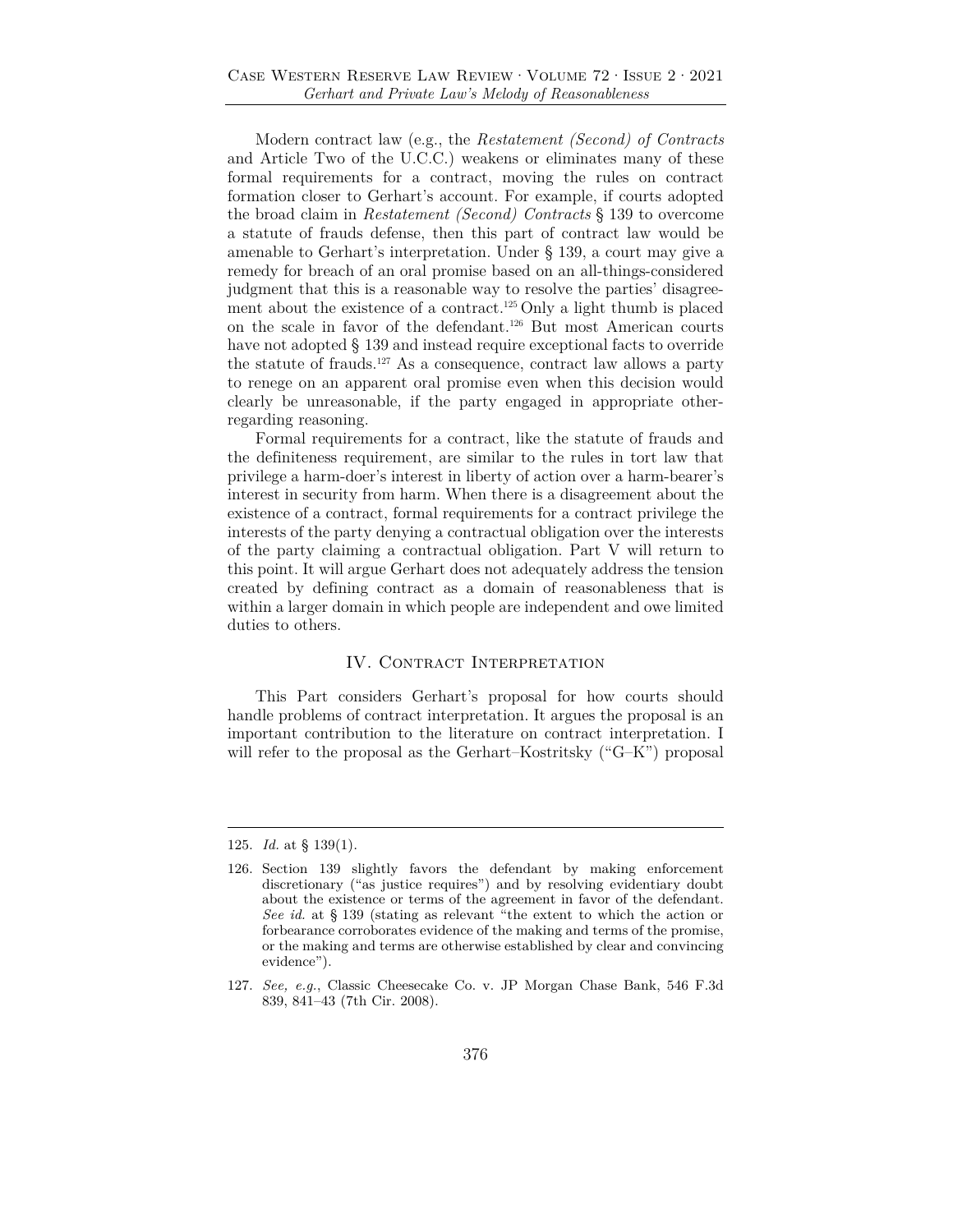Modern contract law (e.g., the *Restatement (Second) of Contracts* and Article Two of the U.C.C.) weakens or eliminates many of these formal requirements for a contract, moving the rules on contract formation closer to Gerhart's account. For example, if courts adopted the broad claim in *Restatement (Second) Contracts* § 139 to overcome a statute of frauds defense, then this part of contract law would be amenable to Gerhart's interpretation. Under § 139, a court may give a remedy for breach of an oral promise based on an all-things-considered judgment that this is a reasonable way to resolve the parties' disagreement about the existence of a contract.<sup>125</sup> Only a light thumb is placed on the scale in favor of the defendant.126 But most American courts have not adopted § 139 and instead require exceptional facts to override the statute of frauds.127 As a consequence, contract law allows a party to renege on an apparent oral promise even when this decision would clearly be unreasonable, if the party engaged in appropriate otherregarding reasoning.

Formal requirements for a contract, like the statute of frauds and the definiteness requirement, are similar to the rules in tort law that privilege a harm-doer's interest in liberty of action over a harm-bearer's interest in security from harm. When there is a disagreement about the existence of a contract, formal requirements for a contract privilege the interests of the party denying a contractual obligation over the interests of the party claiming a contractual obligation. Part V will return to this point. It will argue Gerhart does not adequately address the tension created by defining contract as a domain of reasonableness that is within a larger domain in which people are independent and owe limited duties to others.

# IV. CONTRACT INTERPRETATION

This Part considers Gerhart's proposal for how courts should handle problems of contract interpretation. It argues the proposal is an important contribution to the literature on contract interpretation. I will refer to the proposal as the Gerhart–Kostritsky ("G–K") proposal

<sup>125.</sup> *Id.* at § 139(1).

<sup>126.</sup> Section 139 slightly favors the defendant by making enforcement discretionary ("as justice requires") and by resolving evidentiary doubt about the existence or terms of the agreement in favor of the defendant. *See id.* at § 139 (stating as relevant "the extent to which the action or forbearance corroborates evidence of the making and terms of the promise, or the making and terms are otherwise established by clear and convincing evidence").

<sup>127.</sup> *See, e.g.*, Classic Cheesecake Co. v. JP Morgan Chase Bank, 546 F.3d 839, 841–43 (7th Cir. 2008).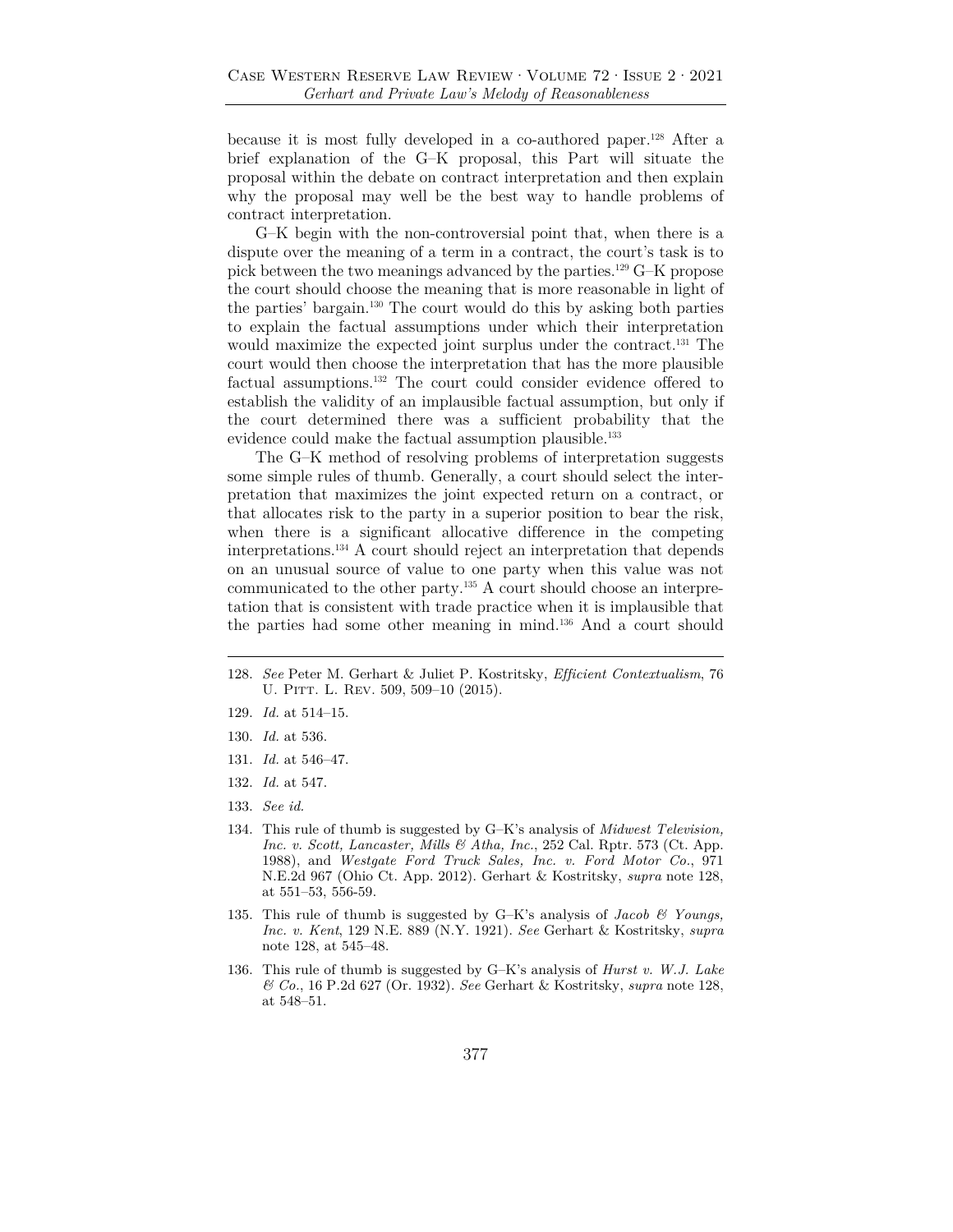because it is most fully developed in a co-authored paper.128 After a brief explanation of the G–K proposal, this Part will situate the proposal within the debate on contract interpretation and then explain why the proposal may well be the best way to handle problems of contract interpretation.

G–K begin with the non-controversial point that, when there is a dispute over the meaning of a term in a contract, the court's task is to pick between the two meanings advanced by the parties.129 G–K propose the court should choose the meaning that is more reasonable in light of the parties' bargain.130 The court would do this by asking both parties to explain the factual assumptions under which their interpretation would maximize the expected joint surplus under the contract.131 The court would then choose the interpretation that has the more plausible factual assumptions.132 The court could consider evidence offered to establish the validity of an implausible factual assumption, but only if the court determined there was a sufficient probability that the evidence could make the factual assumption plausible.<sup>133</sup>

The G–K method of resolving problems of interpretation suggests some simple rules of thumb. Generally, a court should select the interpretation that maximizes the joint expected return on a contract, or that allocates risk to the party in a superior position to bear the risk, when there is a significant allocative difference in the competing interpretations.134 A court should reject an interpretation that depends on an unusual source of value to one party when this value was not communicated to the other party.135 A court should choose an interpretation that is consistent with trade practice when it is implausible that the parties had some other meaning in mind.136 And a court should

- 129. *Id.* at 514–15.
- 130. *Id.* at 536.
- 131. *Id.* at 546–47.
- 132. *Id.* at 547.
- 133. *See id.*
- 134. This rule of thumb is suggested by G–K's analysis of *Midwest Television, Inc. v. Scott, Lancaster, Mills & Atha, Inc.*, 252 Cal. Rptr. 573 (Ct. App. 1988), and *Westgate Ford Truck Sales, Inc. v. Ford Motor Co.*, 971 N.E.2d 967 (Ohio Ct. App. 2012). Gerhart & Kostritsky, *supra* note 128, at 551–53, 556-59.
- 135. This rule of thumb is suggested by G–K's analysis of *Jacob & Youngs, Inc. v. Kent*, 129 N.E. 889 (N.Y. 1921). *See* Gerhart & Kostritsky, *supra* note 128, at 545–48.
- 136. This rule of thumb is suggested by G–K's analysis of *Hurst v. W.J. Lake & Co.*, 16 P.2d 627 (Or. 1932). *See* Gerhart & Kostritsky, *supra* note 128, at 548–51.

<sup>128.</sup> *See* Peter M. Gerhart & Juliet P. Kostritsky, *Efficient Contextualism*, 76 U. PITT. L. REV. 509, 509-10 (2015).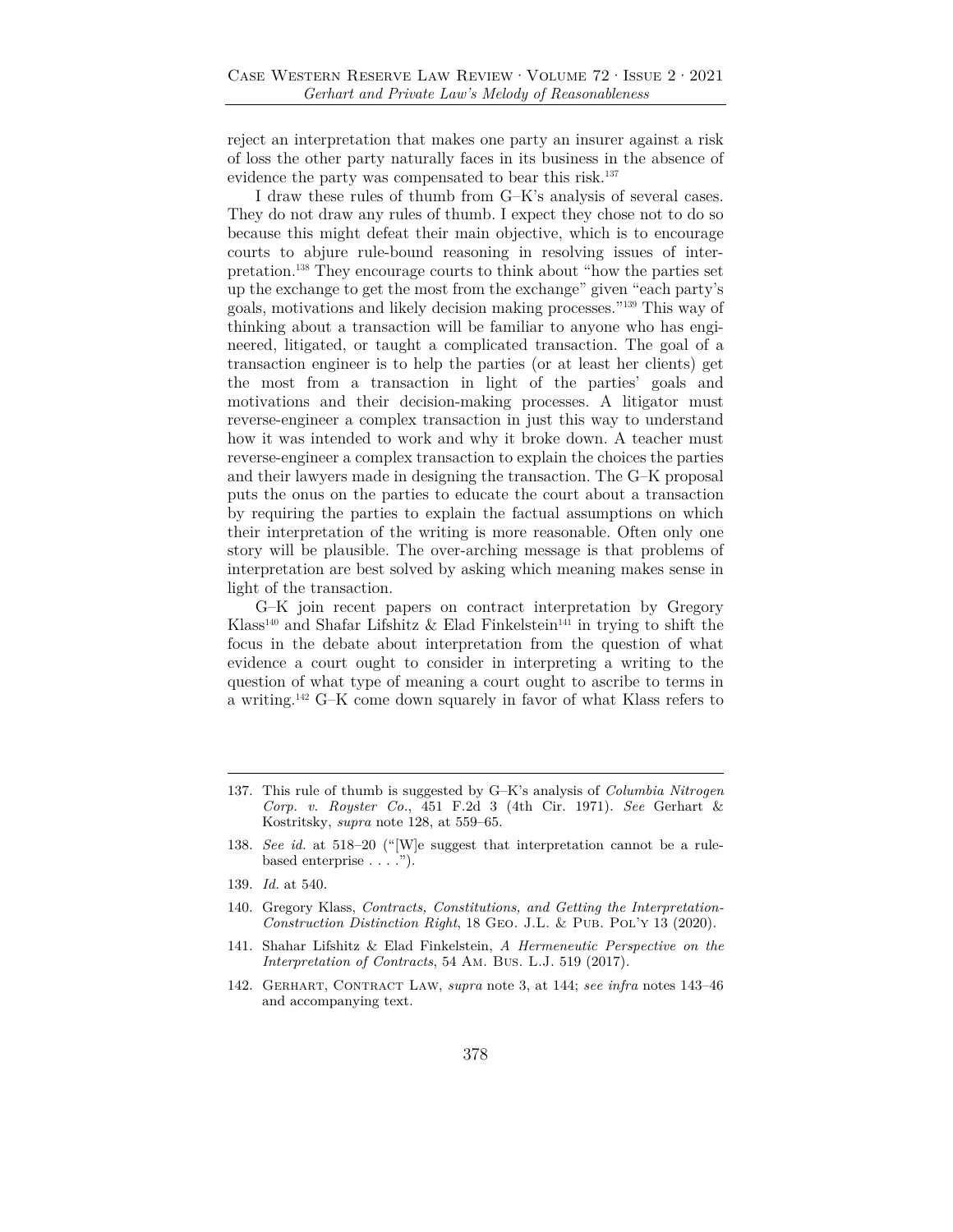reject an interpretation that makes one party an insurer against a risk of loss the other party naturally faces in its business in the absence of evidence the party was compensated to bear this risk.137

I draw these rules of thumb from G–K's analysis of several cases. They do not draw any rules of thumb. I expect they chose not to do so because this might defeat their main objective, which is to encourage courts to abjure rule-bound reasoning in resolving issues of interpretation.138 They encourage courts to think about "how the parties set up the exchange to get the most from the exchange" given "each party's goals, motivations and likely decision making processes."139 This way of thinking about a transaction will be familiar to anyone who has engineered, litigated, or taught a complicated transaction. The goal of a transaction engineer is to help the parties (or at least her clients) get the most from a transaction in light of the parties' goals and motivations and their decision-making processes. A litigator must reverse-engineer a complex transaction in just this way to understand how it was intended to work and why it broke down. A teacher must reverse-engineer a complex transaction to explain the choices the parties and their lawyers made in designing the transaction. The G–K proposal puts the onus on the parties to educate the court about a transaction by requiring the parties to explain the factual assumptions on which their interpretation of the writing is more reasonable. Often only one story will be plausible. The over-arching message is that problems of interpretation are best solved by asking which meaning makes sense in light of the transaction.

G–K join recent papers on contract interpretation by Gregory Klass<sup>140</sup> and Shafar Lifshitz & Elad Finkelstein<sup>141</sup> in trying to shift the focus in the debate about interpretation from the question of what evidence a court ought to consider in interpreting a writing to the question of what type of meaning a court ought to ascribe to terms in a writing.142 G–K come down squarely in favor of what Klass refers to

- 141. Shahar Lifshitz & Elad Finkelstein, *A Hermeneutic Perspective on the Interpretation of Contracts*, 54 Am. Bus. L.J. 519 (2017).
- 142. Gerhart, Contract Law, *supra* note 3, at 144; *see infra* notes 143–46 and accompanying text.

<sup>137.</sup> This rule of thumb is suggested by G–K's analysis of *Columbia Nitrogen Corp. v. Royster Co.*, 451 F.2d 3 (4th Cir. 1971). *See* Gerhart & Kostritsky, *supra* note 128, at 559–65.

<sup>138.</sup> *See id.* at 518–20 ("[W]e suggest that interpretation cannot be a rulebased enterprise . . . .").

<sup>139.</sup> *Id.* at 540.

<sup>140.</sup> Gregory Klass, *Contracts, Constitutions, and Getting the Interpretation-Construction Distinction Right*, 18 GEO. J.L. & PUB. POL'Y 13 (2020).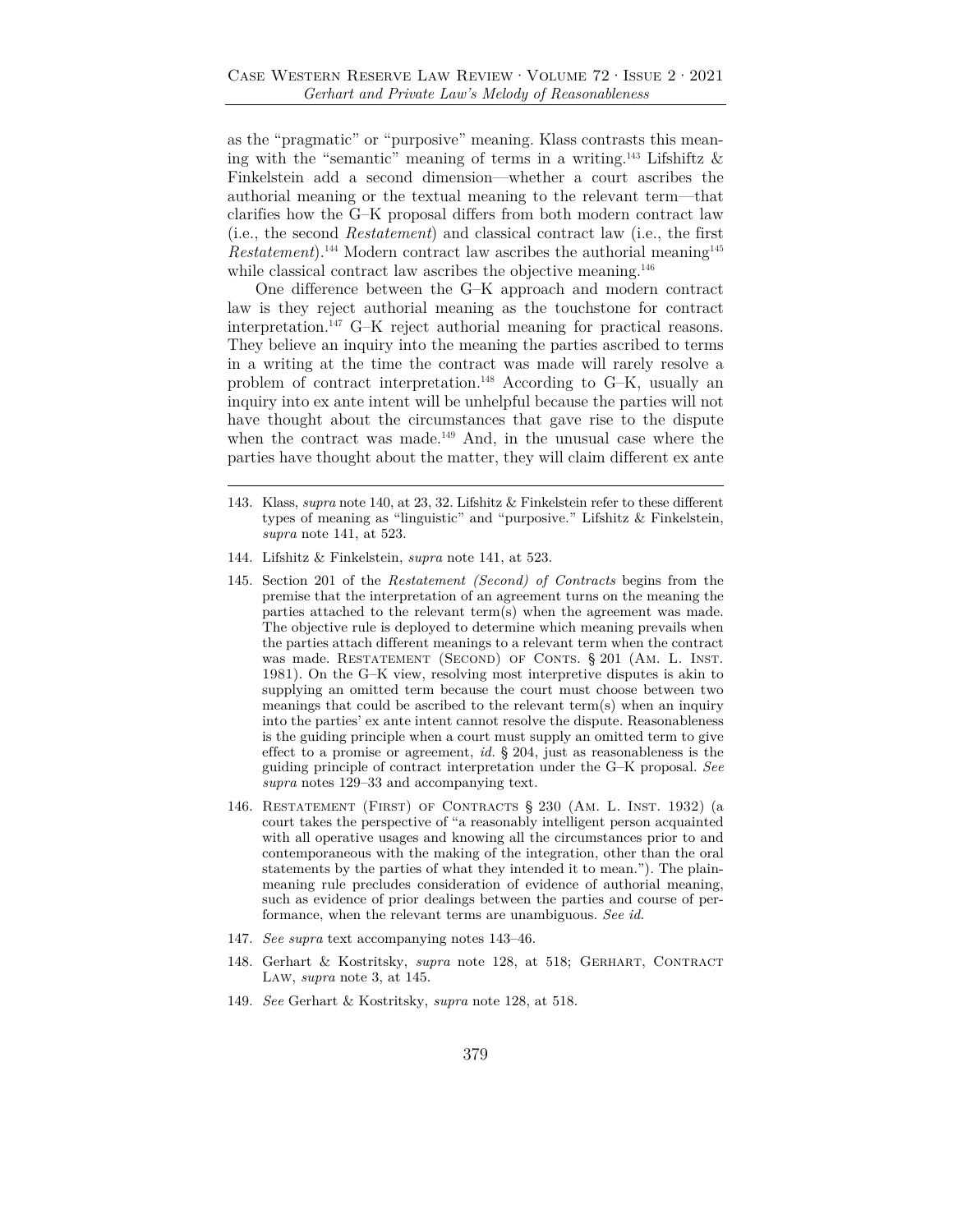as the "pragmatic" or "purposive" meaning. Klass contrasts this meaning with the "semantic" meaning of terms in a writing.<sup>143</sup> Lifshiftz  $\&$ Finkelstein add a second dimension—whether a court ascribes the authorial meaning or the textual meaning to the relevant term—that clarifies how the G–K proposal differs from both modern contract law (i.e., the second *Restatement*) and classical contract law (i.e., the first *Restatement*).<sup>144</sup> Modern contract law ascribes the authorial meaning<sup>145</sup> while classical contract law ascribes the objective meaning.<sup>146</sup>

One difference between the G–K approach and modern contract law is they reject authorial meaning as the touchstone for contract interpretation.147 G–K reject authorial meaning for practical reasons. They believe an inquiry into the meaning the parties ascribed to terms in a writing at the time the contract was made will rarely resolve a problem of contract interpretation.148 According to G–K, usually an inquiry into ex ante intent will be unhelpful because the parties will not have thought about the circumstances that gave rise to the dispute when the contract was made.<sup>149</sup> And, in the unusual case where the parties have thought about the matter, they will claim different ex ante

- 144. Lifshitz & Finkelstein, *supra* note 141, at 523.
- 145. Section 201 of the *Restatement (Second) of Contracts* begins from the premise that the interpretation of an agreement turns on the meaning the parties attached to the relevant term(s) when the agreement was made. The objective rule is deployed to determine which meaning prevails when the parties attach different meanings to a relevant term when the contract was made. RESTATEMENT (SECOND) OF CONTS. § 201 (AM. L. INST. 1981). On the G–K view, resolving most interpretive disputes is akin to supplying an omitted term because the court must choose between two meanings that could be ascribed to the relevant term(s) when an inquiry into the parties' ex ante intent cannot resolve the dispute. Reasonableness is the guiding principle when a court must supply an omitted term to give effect to a promise or agreement, *id.* § 204, just as reasonableness is the guiding principle of contract interpretation under the G–K proposal. *See supra* notes 129–33 and accompanying text.
- 146. Restatement (First) of Contracts § 230 (Am. L. Inst. 1932) (a court takes the perspective of "a reasonably intelligent person acquainted with all operative usages and knowing all the circumstances prior to and contemporaneous with the making of the integration, other than the oral statements by the parties of what they intended it to mean."). The plainmeaning rule precludes consideration of evidence of authorial meaning, such as evidence of prior dealings between the parties and course of performance, when the relevant terms are unambiguous. *See id.*
- 147. *See supra* text accompanying notes 143–46.
- 148. Gerhart & Kostritsky, *supra* note 128, at 518; GERHART, CONTRACT Law, *supra* note 3, at 145.
- 149. *See* Gerhart & Kostritsky, *supra* note 128, at 518.

<sup>143.</sup> Klass, *supra* note 140, at 23, 32. Lifshitz & Finkelstein refer to these different types of meaning as "linguistic" and "purposive." Lifshitz & Finkelstein, *supra* note 141, at 523.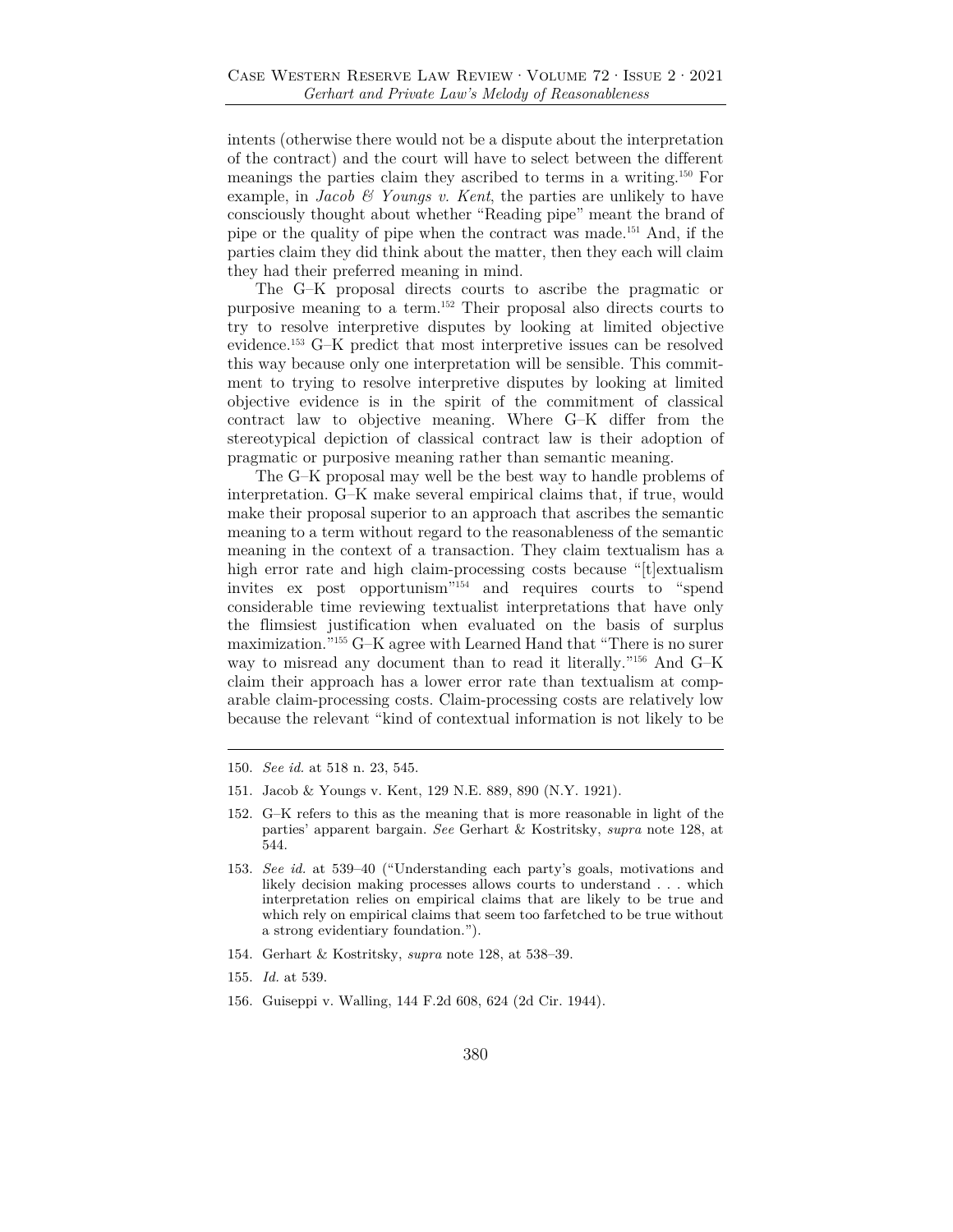intents (otherwise there would not be a dispute about the interpretation of the contract) and the court will have to select between the different meanings the parties claim they ascribed to terms in a writing.150 For example, in *Jacob & Youngs v. Kent*, the parties are unlikely to have consciously thought about whether "Reading pipe" meant the brand of pipe or the quality of pipe when the contract was made.151 And, if the parties claim they did think about the matter, then they each will claim they had their preferred meaning in mind.

The G–K proposal directs courts to ascribe the pragmatic or purposive meaning to a term.152 Their proposal also directs courts to try to resolve interpretive disputes by looking at limited objective evidence.153 G–K predict that most interpretive issues can be resolved this way because only one interpretation will be sensible. This commitment to trying to resolve interpretive disputes by looking at limited objective evidence is in the spirit of the commitment of classical contract law to objective meaning. Where G–K differ from the stereotypical depiction of classical contract law is their adoption of pragmatic or purposive meaning rather than semantic meaning.

The G–K proposal may well be the best way to handle problems of interpretation. G–K make several empirical claims that, if true, would make their proposal superior to an approach that ascribes the semantic meaning to a term without regard to the reasonableness of the semantic meaning in the context of a transaction. They claim textualism has a high error rate and high claim-processing costs because "[t]extualism invites ex post opportunism"154 and requires courts to "spend considerable time reviewing textualist interpretations that have only the flimsiest justification when evaluated on the basis of surplus maximization."155 G–K agree with Learned Hand that "There is no surer way to misread any document than to read it literally."156 And G–K claim their approach has a lower error rate than textualism at comparable claim-processing costs. Claim-processing costs are relatively low because the relevant "kind of contextual information is not likely to be

- 154. Gerhart & Kostritsky, *supra* note 128, at 538–39.
- 155. *Id.* at 539.
- 156. Guiseppi v. Walling, 144 F.2d 608, 624 (2d Cir. 1944).

<sup>150.</sup> *See id.* at 518 n. 23, 545.

<sup>151.</sup> Jacob & Youngs v. Kent, 129 N.E. 889, 890 (N.Y. 1921).

<sup>152.</sup> G–K refers to this as the meaning that is more reasonable in light of the parties' apparent bargain. *See* Gerhart & Kostritsky, *supra* note 128, at 544.

<sup>153.</sup> *See id.* at 539–40 ("Understanding each party's goals, motivations and likely decision making processes allows courts to understand . . . which interpretation relies on empirical claims that are likely to be true and which rely on empirical claims that seem too farfetched to be true without a strong evidentiary foundation.").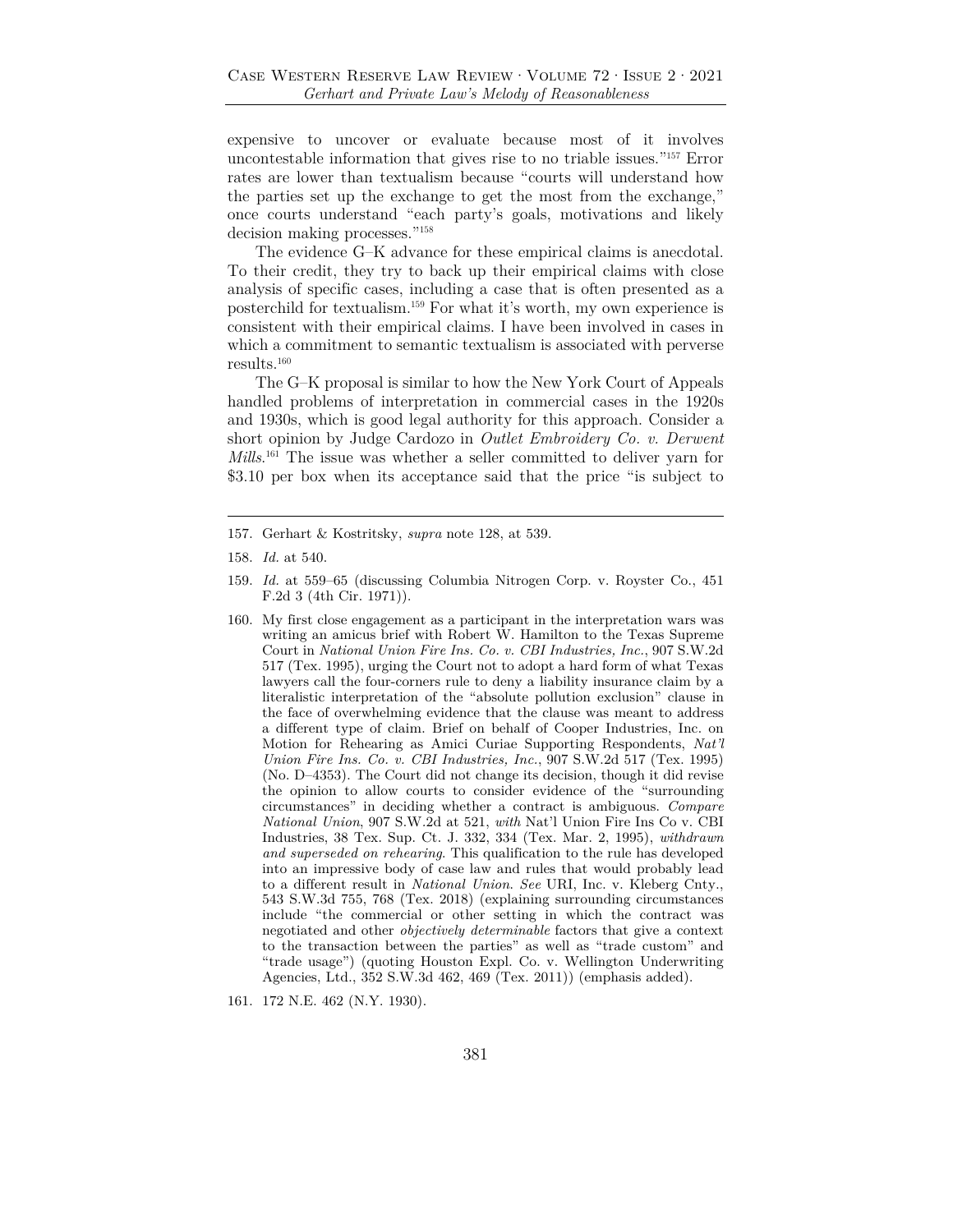expensive to uncover or evaluate because most of it involves uncontestable information that gives rise to no triable issues."157 Error rates are lower than textualism because "courts will understand how the parties set up the exchange to get the most from the exchange," once courts understand "each party's goals, motivations and likely decision making processes."158

The evidence G–K advance for these empirical claims is anecdotal. To their credit, they try to back up their empirical claims with close analysis of specific cases, including a case that is often presented as a posterchild for textualism.159 For what it's worth, my own experience is consistent with their empirical claims. I have been involved in cases in which a commitment to semantic textualism is associated with perverse results.160

The G–K proposal is similar to how the New York Court of Appeals handled problems of interpretation in commercial cases in the 1920s and 1930s, which is good legal authority for this approach. Consider a short opinion by Judge Cardozo in *Outlet Embroidery Co. v. Derwent Mills*.<sup>161</sup> The issue was whether a seller committed to deliver yarn for \$3.10 per box when its acceptance said that the price "is subject to

161. 172 N.E. 462 (N.Y. 1930).

<sup>157.</sup> Gerhart & Kostritsky, *supra* note 128, at 539.

<sup>158.</sup> *Id.* at 540.

<sup>159.</sup> *Id.* at 559–65 (discussing Columbia Nitrogen Corp. v. Royster Co., 451 F.2d 3 (4th Cir. 1971)).

<sup>160.</sup> My first close engagement as a participant in the interpretation wars was writing an amicus brief with Robert W. Hamilton to the Texas Supreme Court in *National Union Fire Ins. Co. v. CBI Industries, Inc.*, 907 S.W.2d 517 (Tex. 1995), urging the Court not to adopt a hard form of what Texas lawyers call the four-corners rule to deny a liability insurance claim by a literalistic interpretation of the "absolute pollution exclusion" clause in the face of overwhelming evidence that the clause was meant to address a different type of claim. Brief on behalf of Cooper Industries, Inc. on Motion for Rehearing as Amici Curiae Supporting Respondents, *Nat'l Union Fire Ins. Co. v. CBI Industries, Inc.*, 907 S.W.2d 517 (Tex. 1995) (No. D–4353). The Court did not change its decision, though it did revise the opinion to allow courts to consider evidence of the "surrounding circumstances" in deciding whether a contract is ambiguous. *Compare National Union*, 907 S.W*.*2d at 521, *with* Nat'l Union Fire Ins Co v. CBI Industries, 38 Tex. Sup. Ct. J. 332, 334 (Tex. Mar. 2, 1995), *withdrawn and superseded on rehearing*. This qualification to the rule has developed into an impressive body of case law and rules that would probably lead to a different result in *National Union*. *See* URI, Inc. v. Kleberg Cnty., 543 S.W.3d 755, 768 (Tex. 2018) (explaining surrounding circumstances include "the commercial or other setting in which the contract was negotiated and other *objectively determinable* factors that give a context to the transaction between the parties" as well as "trade custom" and "trade usage") (quoting Houston Expl. Co. v. Wellington Underwriting Agencies, Ltd., 352 S.W.3d 462, 469 (Tex. 2011)) (emphasis added).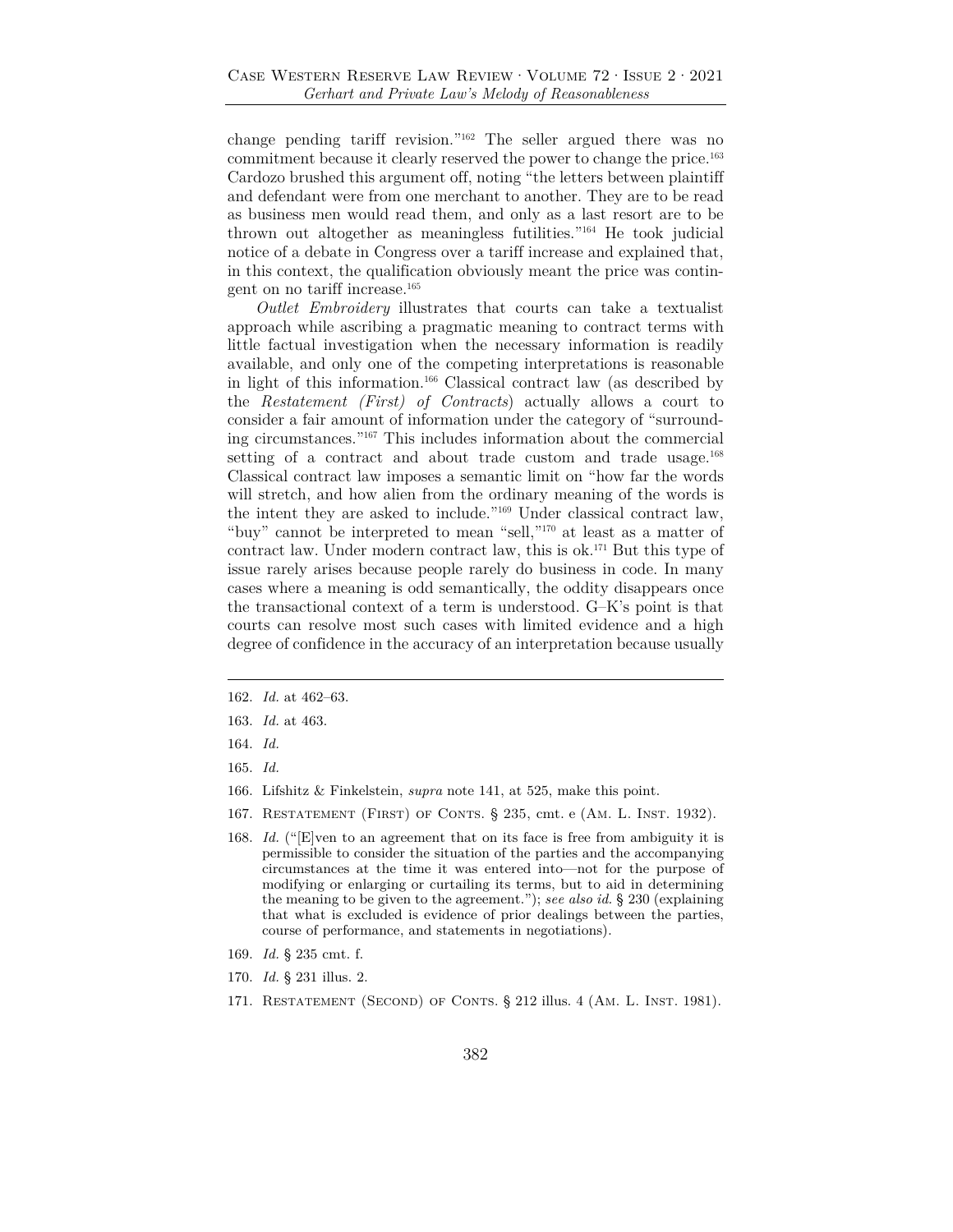change pending tariff revision."162 The seller argued there was no commitment because it clearly reserved the power to change the price.163 Cardozo brushed this argument off, noting "the letters between plaintiff and defendant were from one merchant to another. They are to be read as business men would read them, and only as a last resort are to be thrown out altogether as meaningless futilities."164 He took judicial notice of a debate in Congress over a tariff increase and explained that, in this context, the qualification obviously meant the price was contingent on no tariff increase.165

*Outlet Embroidery* illustrates that courts can take a textualist approach while ascribing a pragmatic meaning to contract terms with little factual investigation when the necessary information is readily available, and only one of the competing interpretations is reasonable in light of this information.166 Classical contract law (as described by the *Restatement (First) of Contracts*) actually allows a court to consider a fair amount of information under the category of "surrounding circumstances."167 This includes information about the commercial setting of a contract and about trade custom and trade usage.<sup>168</sup> Classical contract law imposes a semantic limit on "how far the words will stretch, and how alien from the ordinary meaning of the words is the intent they are asked to include."169 Under classical contract law, "buy" cannot be interpreted to mean "sell,"170 at least as a matter of contract law. Under modern contract law, this is ok.171 But this type of issue rarely arises because people rarely do business in code. In many cases where a meaning is odd semantically, the oddity disappears once the transactional context of a term is understood. G–K's point is that courts can resolve most such cases with limited evidence and a high degree of confidence in the accuracy of an interpretation because usually

162. *Id.* at 462–63.

- 164. *Id.*
- 165. *Id.*
- 166. Lifshitz & Finkelstein, *supra* note 141, at 525, make this point.
- 167. Restatement (First) of Conts. § 235, cmt. e (Am. L. Inst. 1932).
- 168. *Id.* ("[E]ven to an agreement that on its face is free from ambiguity it is permissible to consider the situation of the parties and the accompanying circumstances at the time it was entered into—not for the purpose of modifying or enlarging or curtailing its terms, but to aid in determining the meaning to be given to the agreement."); *see also id.* § 230 (explaining that what is excluded is evidence of prior dealings between the parties, course of performance, and statements in negotiations).
- 169. *Id.* § 235 cmt. f.
- 170. *Id.* § 231 illus. 2.
- 171. RESTATEMENT (SECOND) OF CONTS. § 212 illus. 4 (AM. L. INST. 1981).

<sup>163.</sup> *Id.* at 463.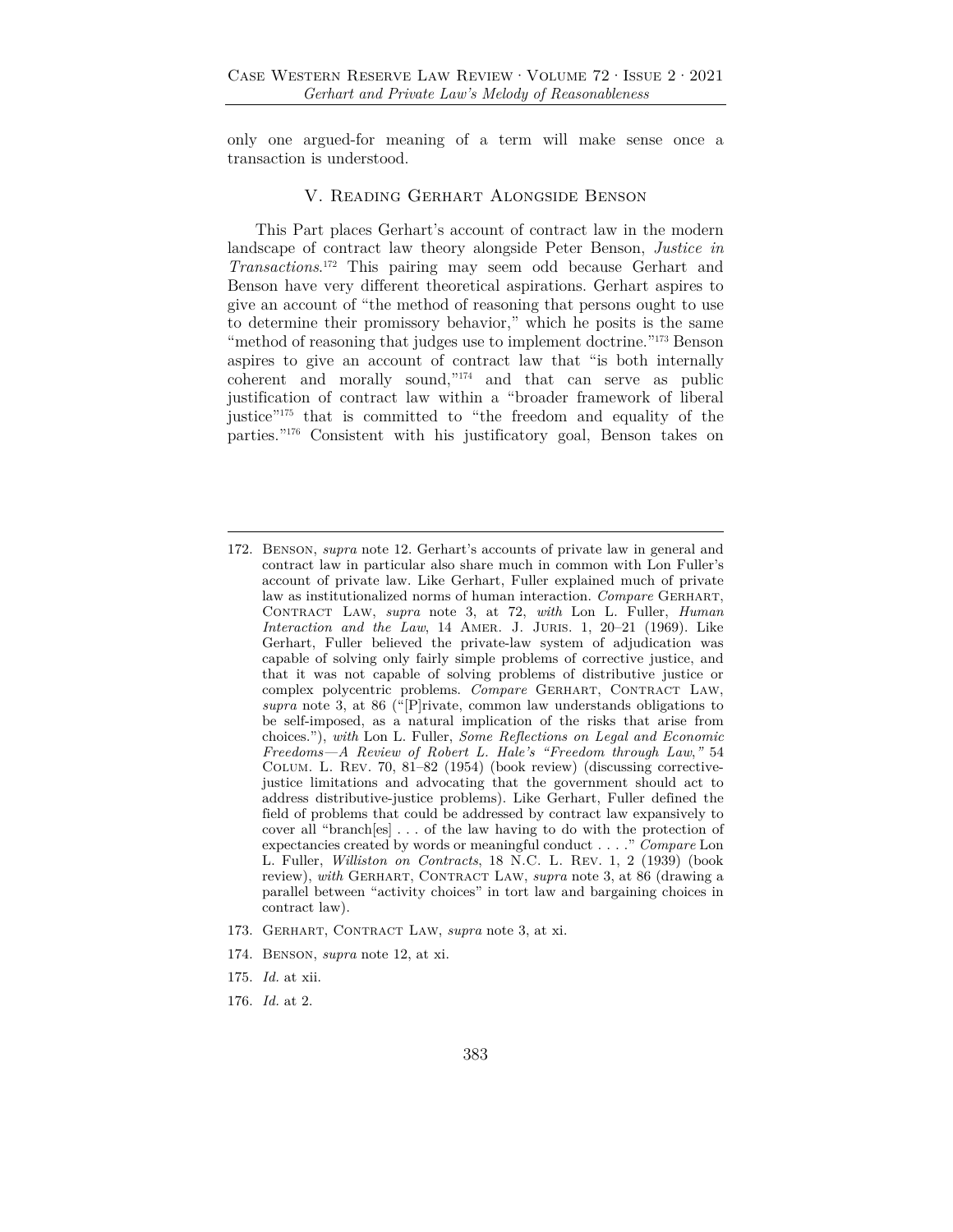only one argued-for meaning of a term will make sense once a transaction is understood.

#### V. Reading Gerhart Alongside Benson

This Part places Gerhart's account of contract law in the modern landscape of contract law theory alongside Peter Benson, *Justice in Transactions*. 172 This pairing may seem odd because Gerhart and Benson have very different theoretical aspirations. Gerhart aspires to give an account of "the method of reasoning that persons ought to use to determine their promissory behavior," which he posits is the same "method of reasoning that judges use to implement doctrine."<sup>173</sup> Benson aspires to give an account of contract law that "is both internally coherent and morally sound,"174 and that can serve as public justification of contract law within a "broader framework of liberal justice"<sup>175</sup> that is committed to "the freedom and equality of the parties."176 Consistent with his justificatory goal, Benson takes on

- 173. Gerhart, Contract Law, *supra* note 3, at xi.
- 174. Benson, *supra* note 12, at xi.
- 175. *Id.* at xii.
- 176. *Id.* at 2.

<sup>172.</sup> Benson, *supra* note 12. Gerhart's accounts of private law in general and contract law in particular also share much in common with Lon Fuller's account of private law. Like Gerhart, Fuller explained much of private law as institutionalized norms of human interaction. *Compare* GERHART, Contract Law, *supra* note 3, at 72, *with* Lon L. Fuller, *Human Interaction and the Law*, 14 Amer. J. Juris. 1, 20–21 (1969). Like Gerhart, Fuller believed the private-law system of adjudication was capable of solving only fairly simple problems of corrective justice, and that it was not capable of solving problems of distributive justice or complex polycentric problems. *Compare* Gerhart, Contract Law, *supra* note 3, at 86 ("[P]rivate, common law understands obligations to be self-imposed, as a natural implication of the risks that arise from choices."), *with* Lon L. Fuller, *Some Reflections on Legal and Economic Freedoms—A Review of Robert L. Hale's "Freedom through Law*,*"* 54 Colum. L. Rev. 70, 81–82 (1954) (book review) (discussing correctivejustice limitations and advocating that the government should act to address distributive-justice problems). Like Gerhart, Fuller defined the field of problems that could be addressed by contract law expansively to cover all "branch[es] . . . of the law having to do with the protection of expectancies created by words or meaningful conduct . . . ." *Compare* Lon L. Fuller, *Williston on Contracts*, 18 N.C. L. Rev. 1, 2 (1939) (book review), with GERHART, CONTRACT LAW, *supra* note 3, at 86 (drawing a parallel between "activity choices" in tort law and bargaining choices in contract law).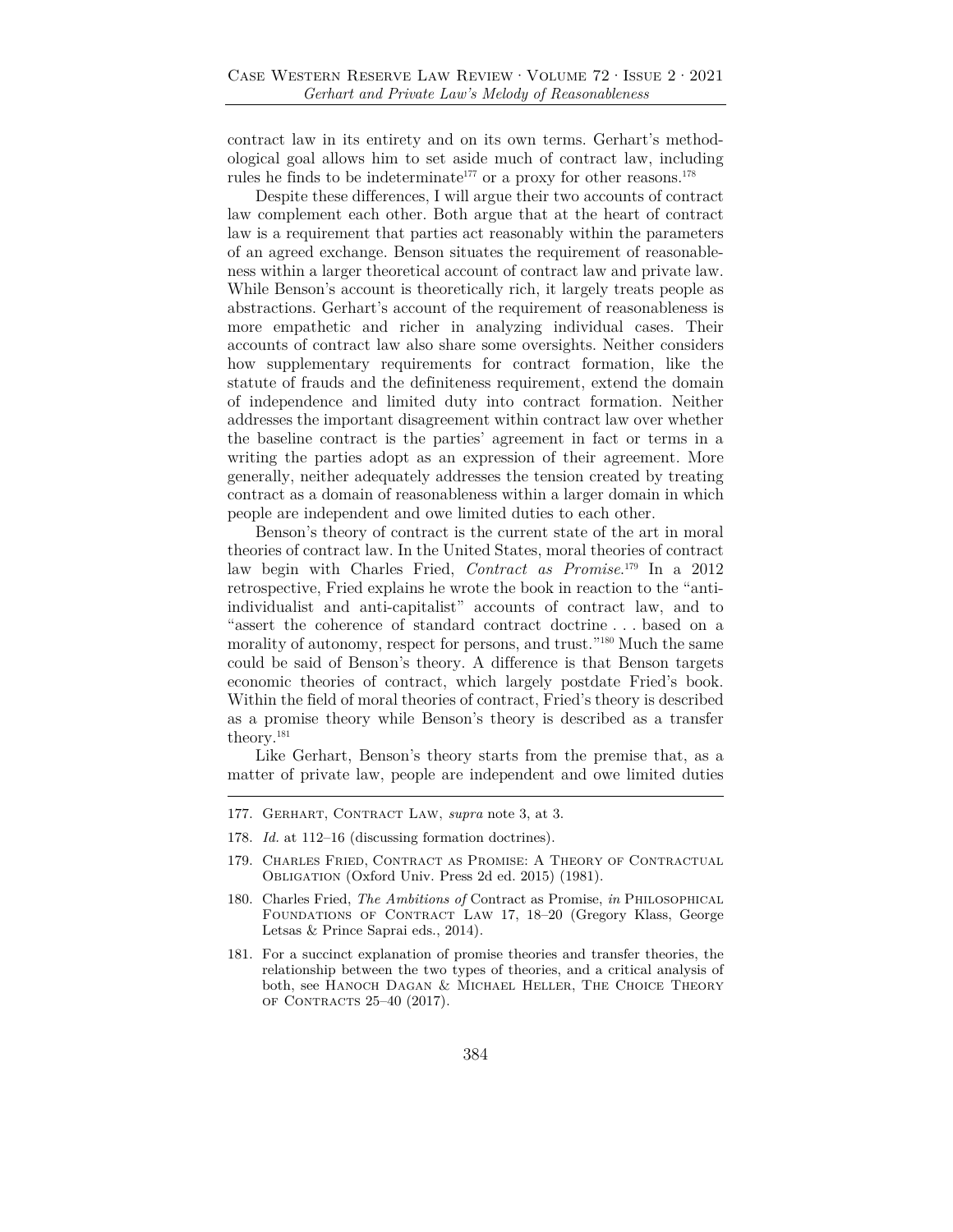contract law in its entirety and on its own terms. Gerhart's methodological goal allows him to set aside much of contract law, including rules he finds to be indeterminate<sup>177</sup> or a proxy for other reasons.<sup>178</sup>

Despite these differences, I will argue their two accounts of contract law complement each other. Both argue that at the heart of contract law is a requirement that parties act reasonably within the parameters of an agreed exchange. Benson situates the requirement of reasonableness within a larger theoretical account of contract law and private law. While Benson's account is theoretically rich, it largely treats people as abstractions. Gerhart's account of the requirement of reasonableness is more empathetic and richer in analyzing individual cases. Their accounts of contract law also share some oversights. Neither considers how supplementary requirements for contract formation, like the statute of frauds and the definiteness requirement, extend the domain of independence and limited duty into contract formation. Neither addresses the important disagreement within contract law over whether the baseline contract is the parties' agreement in fact or terms in a writing the parties adopt as an expression of their agreement. More generally, neither adequately addresses the tension created by treating contract as a domain of reasonableness within a larger domain in which people are independent and owe limited duties to each other.

Benson's theory of contract is the current state of the art in moral theories of contract law. In the United States, moral theories of contract law begin with Charles Fried, *Contract as Promise*. 179 In a 2012 retrospective, Fried explains he wrote the book in reaction to the "antiindividualist and anti-capitalist" accounts of contract law, and to "assert the coherence of standard contract doctrine . . . based on a morality of autonomy, respect for persons, and trust."<sup>180</sup> Much the same could be said of Benson's theory. A difference is that Benson targets economic theories of contract, which largely postdate Fried's book. Within the field of moral theories of contract, Fried's theory is described as a promise theory while Benson's theory is described as a transfer theory.181

Like Gerhart, Benson's theory starts from the premise that, as a matter of private law, people are independent and owe limited duties

- 177. Gerhart, Contract Law, *supra* note 3, at 3.
- 178. *Id.* at 112–16 (discussing formation doctrines).
- 179. Charles Fried, Contract as Promise: A Theory of Contractual Obligation (Oxford Univ. Press 2d ed. 2015) (1981).
- 180. Charles Fried, *The Ambitions of* Contract as Promise, *in* Philosophical FOUNDATIONS OF CONTRACT LAW 17, 18-20 (Gregory Klass, George Letsas & Prince Saprai eds., 2014).
- 181. For a succinct explanation of promise theories and transfer theories, the relationship between the two types of theories, and a critical analysis of both, see HANOCH DAGAN & MICHAEL HELLER, THE CHOICE THEORY of Contracts 25–40 (2017).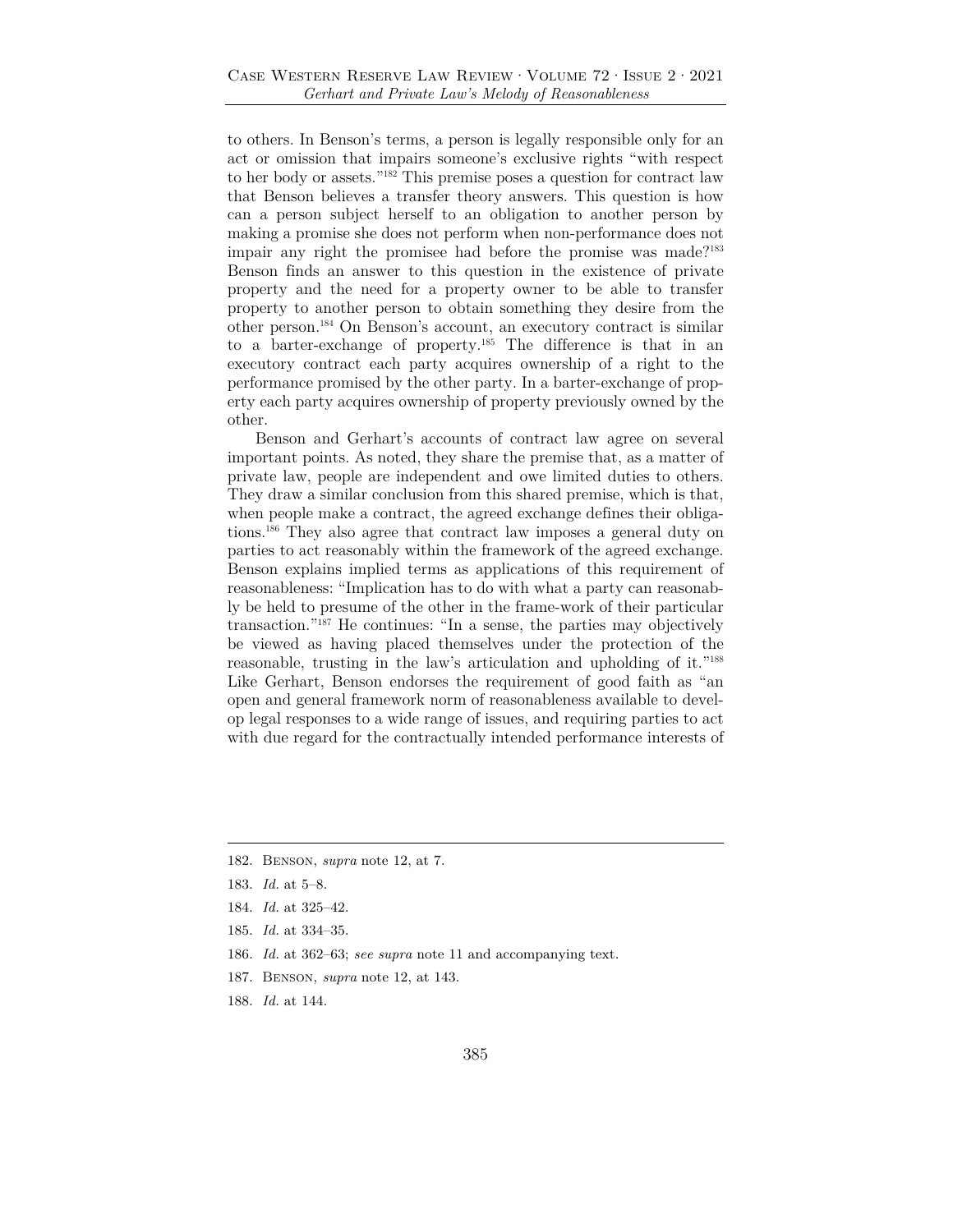to others. In Benson's terms, a person is legally responsible only for an act or omission that impairs someone's exclusive rights "with respect to her body or assets."182 This premise poses a question for contract law that Benson believes a transfer theory answers. This question is how can a person subject herself to an obligation to another person by making a promise she does not perform when non-performance does not impair any right the promisee had before the promise was made?<sup>183</sup> Benson finds an answer to this question in the existence of private property and the need for a property owner to be able to transfer property to another person to obtain something they desire from the other person.184 On Benson's account, an executory contract is similar to a barter-exchange of property.185 The difference is that in an executory contract each party acquires ownership of a right to the performance promised by the other party. In a barter-exchange of property each party acquires ownership of property previously owned by the other.

Benson and Gerhart's accounts of contract law agree on several important points. As noted, they share the premise that, as a matter of private law, people are independent and owe limited duties to others. They draw a similar conclusion from this shared premise, which is that, when people make a contract, the agreed exchange defines their obligations.186 They also agree that contract law imposes a general duty on parties to act reasonably within the framework of the agreed exchange. Benson explains implied terms as applications of this requirement of reasonableness: "Implication has to do with what a party can reasonably be held to presume of the other in the frame-work of their particular transaction."187 He continues: "In a sense, the parties may objectively be viewed as having placed themselves under the protection of the reasonable, trusting in the law's articulation and upholding of it."188 Like Gerhart, Benson endorses the requirement of good faith as "an open and general framework norm of reasonableness available to develop legal responses to a wide range of issues, and requiring parties to act with due regard for the contractually intended performance interests of

- 186. *Id.* at 362–63; *see supra* note 11 and accompanying text.
- 187. Benson, *supra* note 12, at 143.
- 188. *Id.* at 144.

<sup>182.</sup> Benson, *supra* note 12, at 7.

<sup>183.</sup> *Id.* at 5–8.

<sup>184.</sup> *Id.* at 325–42.

<sup>185.</sup> *Id.* at 334–35.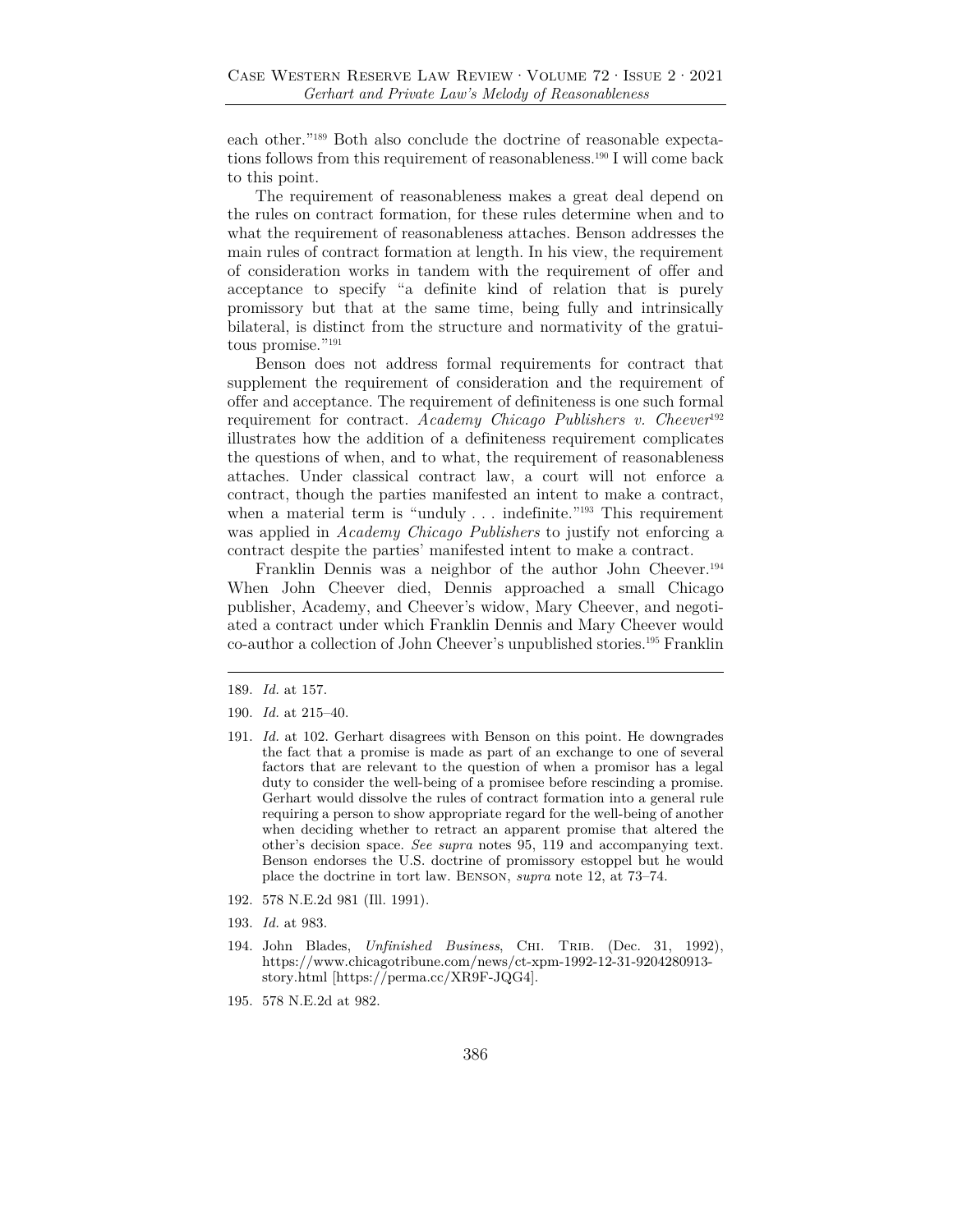each other."189 Both also conclude the doctrine of reasonable expectations follows from this requirement of reasonableness.190 I will come back to this point.

The requirement of reasonableness makes a great deal depend on the rules on contract formation, for these rules determine when and to what the requirement of reasonableness attaches. Benson addresses the main rules of contract formation at length. In his view, the requirement of consideration works in tandem with the requirement of offer and acceptance to specify "a definite kind of relation that is purely promissory but that at the same time, being fully and intrinsically bilateral, is distinct from the structure and normativity of the gratuitous promise."191

Benson does not address formal requirements for contract that supplement the requirement of consideration and the requirement of offer and acceptance. The requirement of definiteness is one such formal requirement for contract. *Academy Chicago Publishers v. Cheever*<sup>192</sup> illustrates how the addition of a definiteness requirement complicates the questions of when, and to what, the requirement of reasonableness attaches. Under classical contract law, a court will not enforce a contract, though the parties manifested an intent to make a contract, when a material term is "unduly . . . indefinite."<sup>193</sup> This requirement was applied in *Academy Chicago Publishers* to justify not enforcing a contract despite the parties' manifested intent to make a contract.

Franklin Dennis was a neighbor of the author John Cheever.194 When John Cheever died, Dennis approached a small Chicago publisher, Academy, and Cheever's widow, Mary Cheever, and negotiated a contract under which Franklin Dennis and Mary Cheever would co-author a collection of John Cheever's unpublished stories.195 Franklin

- 191. *Id.* at 102. Gerhart disagrees with Benson on this point. He downgrades the fact that a promise is made as part of an exchange to one of several factors that are relevant to the question of when a promisor has a legal duty to consider the well-being of a promisee before rescinding a promise. Gerhart would dissolve the rules of contract formation into a general rule requiring a person to show appropriate regard for the well-being of another when deciding whether to retract an apparent promise that altered the other's decision space. *See supra* notes 95, 119 and accompanying text. Benson endorses the U.S. doctrine of promissory estoppel but he would place the doctrine in tort law. Benson, *supra* note 12, at 73–74.
- 192. 578 N.E.2d 981 (Ill. 1991).
- 193. *Id.* at 983.
- 194. John Blades, *Unfinished Business*, Chi. Trib. (Dec. 31, 1992), https://www.chicagotribune.com/news/ct-xpm-1992-12-31-9204280913 story.html [https://perma.cc/XR9F-JQG4].
- 195. 578 N.E.2d at 982.

<sup>189.</sup> *Id.* at 157.

<sup>190.</sup> *Id.* at 215–40.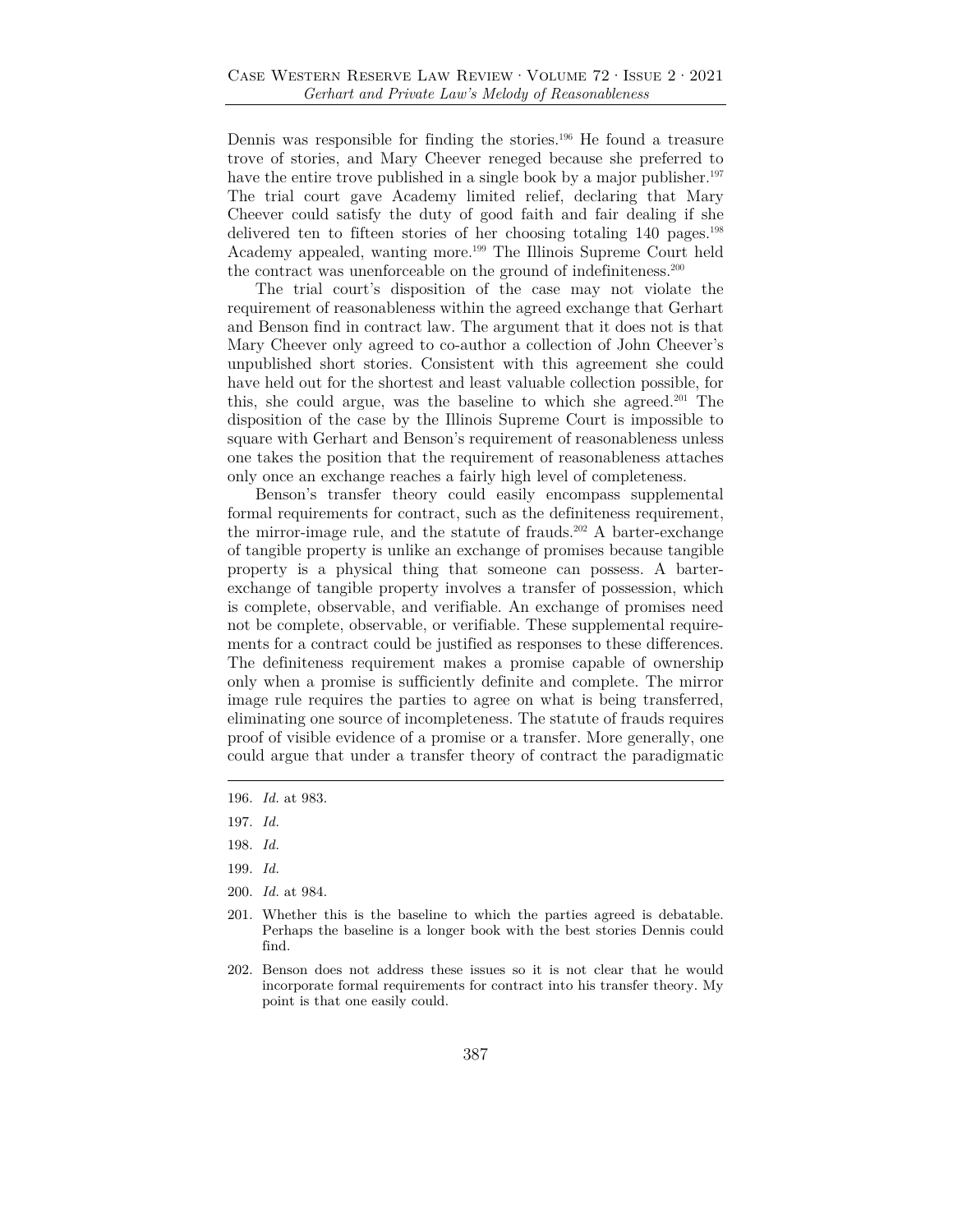Dennis was responsible for finding the stories.196 He found a treasure trove of stories, and Mary Cheever reneged because she preferred to have the entire trove published in a single book by a major publisher.<sup>197</sup> The trial court gave Academy limited relief, declaring that Mary Cheever could satisfy the duty of good faith and fair dealing if she delivered ten to fifteen stories of her choosing totaling 140 pages.198 Academy appealed, wanting more.199 The Illinois Supreme Court held the contract was unenforceable on the ground of indefiniteness.200

The trial court's disposition of the case may not violate the requirement of reasonableness within the agreed exchange that Gerhart and Benson find in contract law. The argument that it does not is that Mary Cheever only agreed to co-author a collection of John Cheever's unpublished short stories. Consistent with this agreement she could have held out for the shortest and least valuable collection possible, for this, she could argue, was the baseline to which she agreed.201 The disposition of the case by the Illinois Supreme Court is impossible to square with Gerhart and Benson's requirement of reasonableness unless one takes the position that the requirement of reasonableness attaches only once an exchange reaches a fairly high level of completeness.

Benson's transfer theory could easily encompass supplemental formal requirements for contract, such as the definiteness requirement, the mirror-image rule, and the statute of frauds.<sup>202</sup> A barter-exchange of tangible property is unlike an exchange of promises because tangible property is a physical thing that someone can possess. A barterexchange of tangible property involves a transfer of possession, which is complete, observable, and verifiable. An exchange of promises need not be complete, observable, or verifiable. These supplemental requirements for a contract could be justified as responses to these differences. The definiteness requirement makes a promise capable of ownership only when a promise is sufficiently definite and complete. The mirror image rule requires the parties to agree on what is being transferred, eliminating one source of incompleteness. The statute of frauds requires proof of visible evidence of a promise or a transfer. More generally, one could argue that under a transfer theory of contract the paradigmatic

201. Whether this is the baseline to which the parties agreed is debatable. Perhaps the baseline is a longer book with the best stories Dennis could find.

202. Benson does not address these issues so it is not clear that he would incorporate formal requirements for contract into his transfer theory. My point is that one easily could.

<sup>196.</sup> *Id.* at 983.

<sup>197.</sup> *Id.*

<sup>198.</sup> *Id.*

<sup>199.</sup> *Id.*

<sup>200.</sup> *Id.* at 984.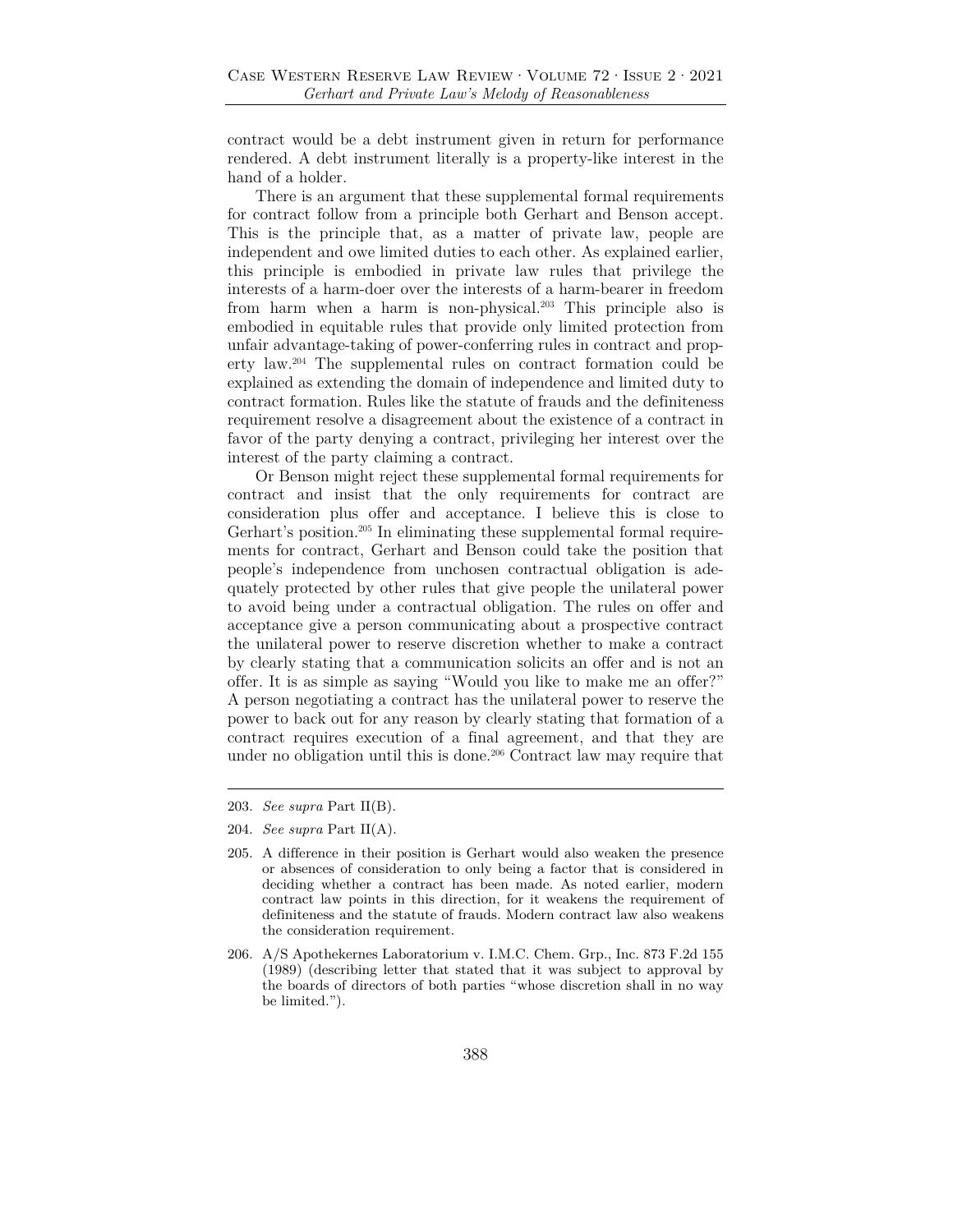contract would be a debt instrument given in return for performance rendered. A debt instrument literally is a property-like interest in the hand of a holder.

There is an argument that these supplemental formal requirements for contract follow from a principle both Gerhart and Benson accept. This is the principle that, as a matter of private law, people are independent and owe limited duties to each other. As explained earlier, this principle is embodied in private law rules that privilege the interests of a harm-doer over the interests of a harm-bearer in freedom from harm when a harm is non-physical.203 This principle also is embodied in equitable rules that provide only limited protection from unfair advantage-taking of power-conferring rules in contract and property law.204 The supplemental rules on contract formation could be explained as extending the domain of independence and limited duty to contract formation. Rules like the statute of frauds and the definiteness requirement resolve a disagreement about the existence of a contract in favor of the party denying a contract, privileging her interest over the interest of the party claiming a contract.

Or Benson might reject these supplemental formal requirements for contract and insist that the only requirements for contract are consideration plus offer and acceptance. I believe this is close to Gerhart's position.<sup>205</sup> In eliminating these supplemental formal requirements for contract, Gerhart and Benson could take the position that people's independence from unchosen contractual obligation is adequately protected by other rules that give people the unilateral power to avoid being under a contractual obligation. The rules on offer and acceptance give a person communicating about a prospective contract the unilateral power to reserve discretion whether to make a contract by clearly stating that a communication solicits an offer and is not an offer. It is as simple as saying "Would you like to make me an offer?" A person negotiating a contract has the unilateral power to reserve the power to back out for any reason by clearly stating that formation of a contract requires execution of a final agreement, and that they are under no obligation until this is done.<sup>206</sup> Contract law may require that

<sup>203.</sup> *See supra* Part II(B).

<sup>204.</sup> *See supra* Part II(A).

<sup>205.</sup> A difference in their position is Gerhart would also weaken the presence or absences of consideration to only being a factor that is considered in deciding whether a contract has been made. As noted earlier, modern contract law points in this direction, for it weakens the requirement of definiteness and the statute of frauds. Modern contract law also weakens the consideration requirement.

<sup>206.</sup> A/S Apothekernes Laboratorium v. I.M.C. Chem. Grp., Inc. 873 F.2d 155 (1989) (describing letter that stated that it was subject to approval by the boards of directors of both parties "whose discretion shall in no way be limited.").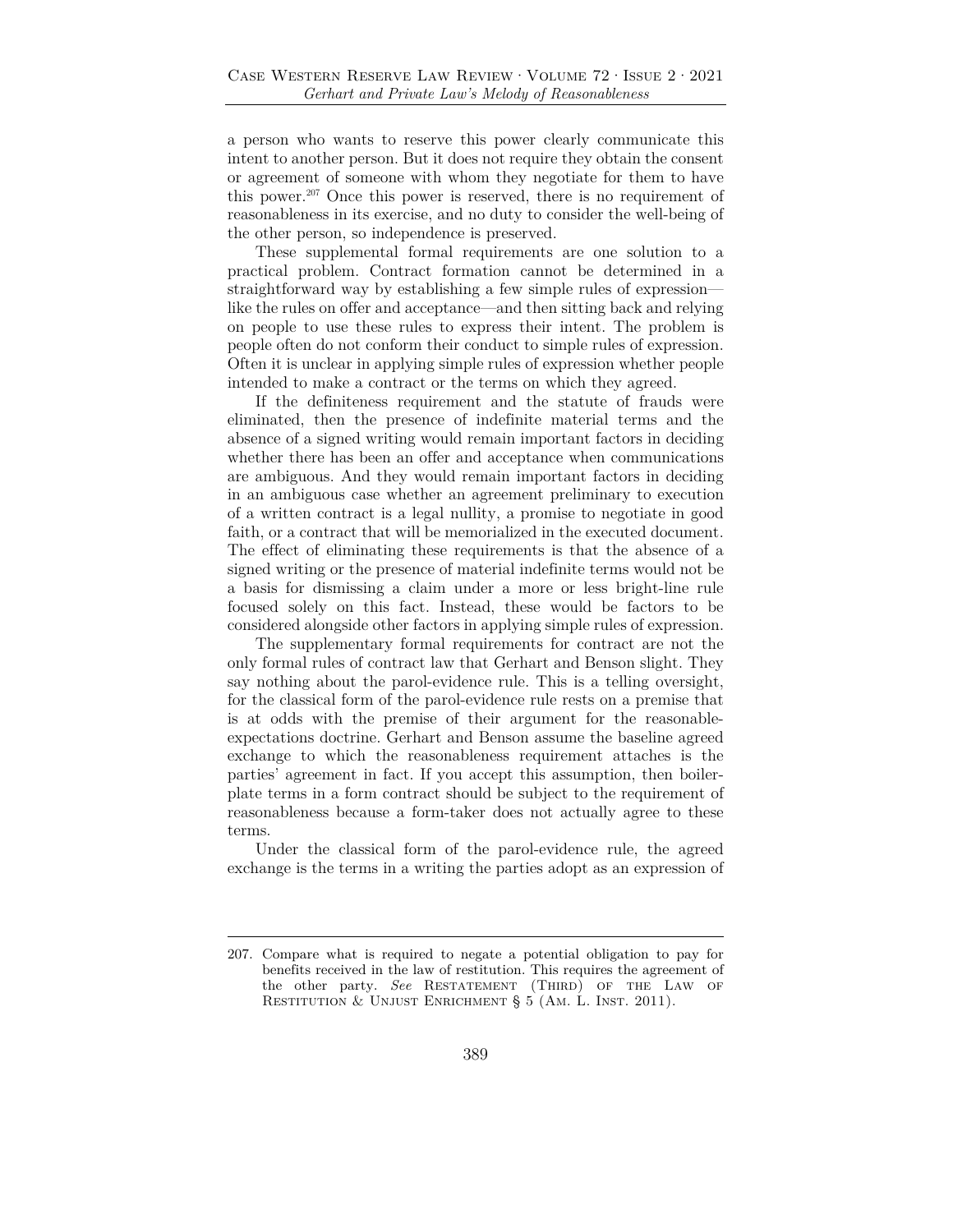a person who wants to reserve this power clearly communicate this intent to another person. But it does not require they obtain the consent or agreement of someone with whom they negotiate for them to have this power.207 Once this power is reserved, there is no requirement of reasonableness in its exercise, and no duty to consider the well-being of the other person, so independence is preserved.

These supplemental formal requirements are one solution to a practical problem. Contract formation cannot be determined in a straightforward way by establishing a few simple rules of expression like the rules on offer and acceptance—and then sitting back and relying on people to use these rules to express their intent. The problem is people often do not conform their conduct to simple rules of expression. Often it is unclear in applying simple rules of expression whether people intended to make a contract or the terms on which they agreed.

If the definiteness requirement and the statute of frauds were eliminated, then the presence of indefinite material terms and the absence of a signed writing would remain important factors in deciding whether there has been an offer and acceptance when communications are ambiguous. And they would remain important factors in deciding in an ambiguous case whether an agreement preliminary to execution of a written contract is a legal nullity, a promise to negotiate in good faith, or a contract that will be memorialized in the executed document. The effect of eliminating these requirements is that the absence of a signed writing or the presence of material indefinite terms would not be a basis for dismissing a claim under a more or less bright-line rule focused solely on this fact. Instead, these would be factors to be considered alongside other factors in applying simple rules of expression.

The supplementary formal requirements for contract are not the only formal rules of contract law that Gerhart and Benson slight. They say nothing about the parol-evidence rule. This is a telling oversight, for the classical form of the parol-evidence rule rests on a premise that is at odds with the premise of their argument for the reasonableexpectations doctrine. Gerhart and Benson assume the baseline agreed exchange to which the reasonableness requirement attaches is the parties' agreement in fact. If you accept this assumption, then boilerplate terms in a form contract should be subject to the requirement of reasonableness because a form-taker does not actually agree to these terms.

Under the classical form of the parol-evidence rule, the agreed exchange is the terms in a writing the parties adopt as an expression of

<sup>207.</sup> Compare what is required to negate a potential obligation to pay for benefits received in the law of restitution. This requires the agreement of the other party. See RESTATEMENT (THIRD) OF THE LAW OF RESTITUTION & UNJUST ENRICHMENT § 5 (AM. L. INST. 2011).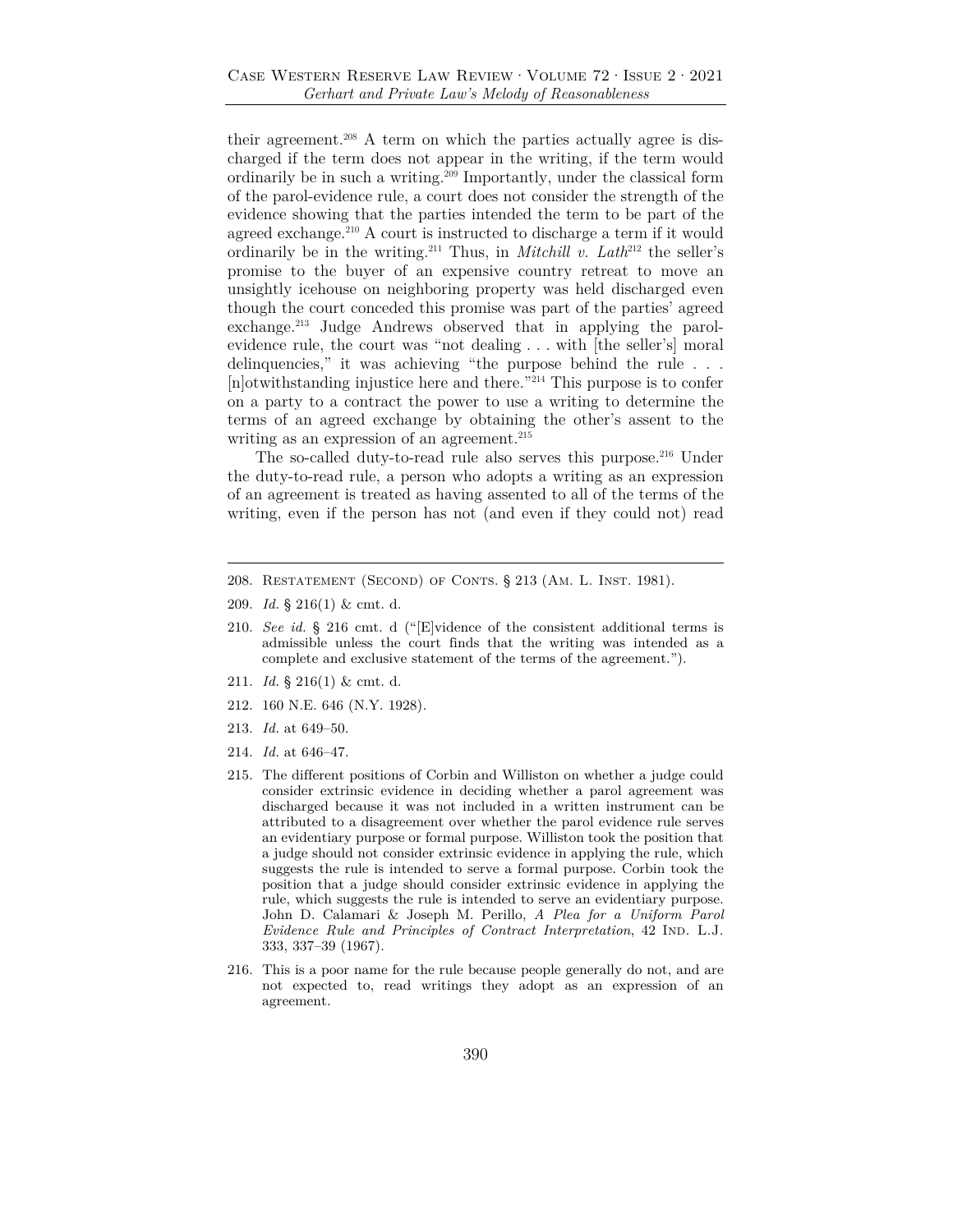their agreement.<sup>208</sup> A term on which the parties actually agree is discharged if the term does not appear in the writing, if the term would ordinarily be in such a writing.209 Importantly, under the classical form of the parol-evidence rule, a court does not consider the strength of the evidence showing that the parties intended the term to be part of the agreed exchange.<sup>210</sup> A court is instructed to discharge a term if it would ordinarily be in the writing.<sup>211</sup> Thus, in *Mitchill v. Lath*<sup>212</sup> the seller's promise to the buyer of an expensive country retreat to move an unsightly icehouse on neighboring property was held discharged even though the court conceded this promise was part of the parties' agreed exchange.213 Judge Andrews observed that in applying the parolevidence rule, the court was "not dealing . . . with [the seller's] moral delinquencies," it was achieving "the purpose behind the rule . . . [n]otwithstanding injustice here and there."214 This purpose is to confer on a party to a contract the power to use a writing to determine the terms of an agreed exchange by obtaining the other's assent to the writing as an expression of an agreement.<sup>215</sup>

The so-called duty-to-read rule also serves this purpose.<sup>216</sup> Under the duty-to-read rule, a person who adopts a writing as an expression of an agreement is treated as having assented to all of the terms of the writing, even if the person has not (and even if they could not) read

- 209. *Id.* § 216(1) & cmt. d.
- 210. *See id.* § 216 cmt. d ("[E]vidence of the consistent additional terms is admissible unless the court finds that the writing was intended as a complete and exclusive statement of the terms of the agreement.").
- 211. *Id.* § 216(1) & cmt. d.
- 212. 160 N.E. 646 (N.Y. 1928).
- 213. *Id.* at 649–50.
- 214. *Id.* at 646–47.
- 215. The different positions of Corbin and Williston on whether a judge could consider extrinsic evidence in deciding whether a parol agreement was discharged because it was not included in a written instrument can be attributed to a disagreement over whether the parol evidence rule serves an evidentiary purpose or formal purpose. Williston took the position that a judge should not consider extrinsic evidence in applying the rule, which suggests the rule is intended to serve a formal purpose. Corbin took the position that a judge should consider extrinsic evidence in applying the rule, which suggests the rule is intended to serve an evidentiary purpose. John D. Calamari & Joseph M. Perillo, *A Plea for a Uniform Parol Evidence Rule and Principles of Contract Interpretation*, 42 IND. L.J. 333, 337–39 (1967).
- 216. This is a poor name for the rule because people generally do not, and are not expected to, read writings they adopt as an expression of an agreement.

<sup>208.</sup> Restatement (Second) of Conts. § 213 (Am. L. Inst. 1981).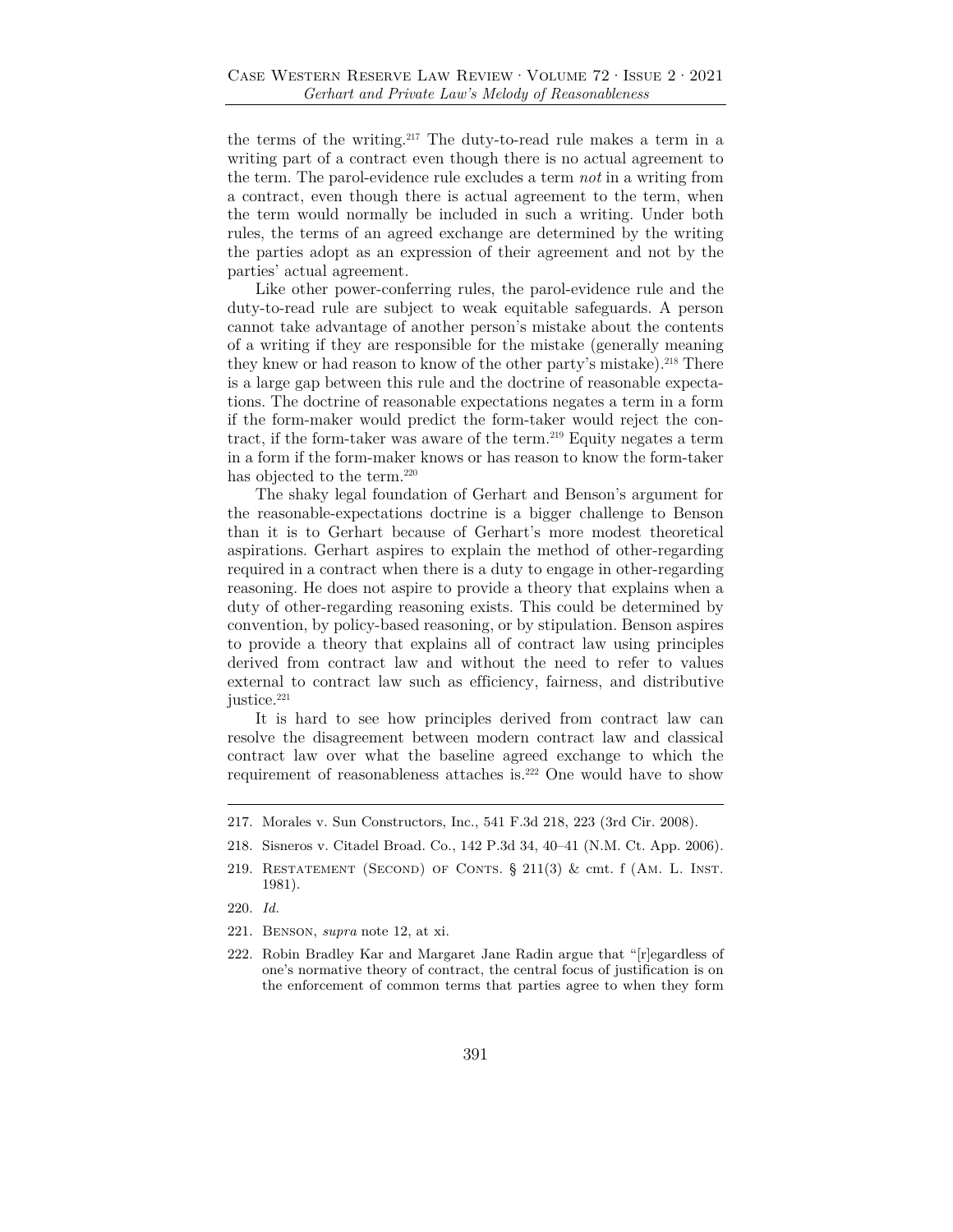the terms of the writing.217 The duty-to-read rule makes a term in a writing part of a contract even though there is no actual agreement to the term. The parol-evidence rule excludes a term *not* in a writing from a contract, even though there is actual agreement to the term, when the term would normally be included in such a writing. Under both rules, the terms of an agreed exchange are determined by the writing the parties adopt as an expression of their agreement and not by the parties' actual agreement.

Like other power-conferring rules, the parol-evidence rule and the duty-to-read rule are subject to weak equitable safeguards. A person cannot take advantage of another person's mistake about the contents of a writing if they are responsible for the mistake (generally meaning they knew or had reason to know of the other party's mistake).<sup>218</sup> There is a large gap between this rule and the doctrine of reasonable expectations. The doctrine of reasonable expectations negates a term in a form if the form-maker would predict the form-taker would reject the contract, if the form-taker was aware of the term.<sup>219</sup> Equity negates a term in a form if the form-maker knows or has reason to know the form-taker has objected to the term.<sup>220</sup>

The shaky legal foundation of Gerhart and Benson's argument for the reasonable-expectations doctrine is a bigger challenge to Benson than it is to Gerhart because of Gerhart's more modest theoretical aspirations. Gerhart aspires to explain the method of other-regarding required in a contract when there is a duty to engage in other-regarding reasoning. He does not aspire to provide a theory that explains when a duty of other-regarding reasoning exists. This could be determined by convention, by policy-based reasoning, or by stipulation. Benson aspires to provide a theory that explains all of contract law using principles derived from contract law and without the need to refer to values external to contract law such as efficiency, fairness, and distributive justice.<sup>221</sup>

It is hard to see how principles derived from contract law can resolve the disagreement between modern contract law and classical contract law over what the baseline agreed exchange to which the requirement of reasonableness attaches is.222 One would have to show

- 220. *Id.*
- 221. Benson, *supra* note 12, at xi.
- 222. Robin Bradley Kar and Margaret Jane Radin argue that "[r]egardless of one's normative theory of contract, the central focus of justification is on the enforcement of common terms that parties agree to when they form

<sup>217.</sup> Morales v. Sun Constructors, Inc., 541 F.3d 218, 223 (3rd Cir. 2008).

<sup>218.</sup> Sisneros v. Citadel Broad. Co., 142 P.3d 34, 40–41 (N.M. Ct. App. 2006).

<sup>219.</sup> RESTATEMENT (SECOND) OF CONTS.  $\S$  211(3) & cmt. f (AM. L. INST. 1981).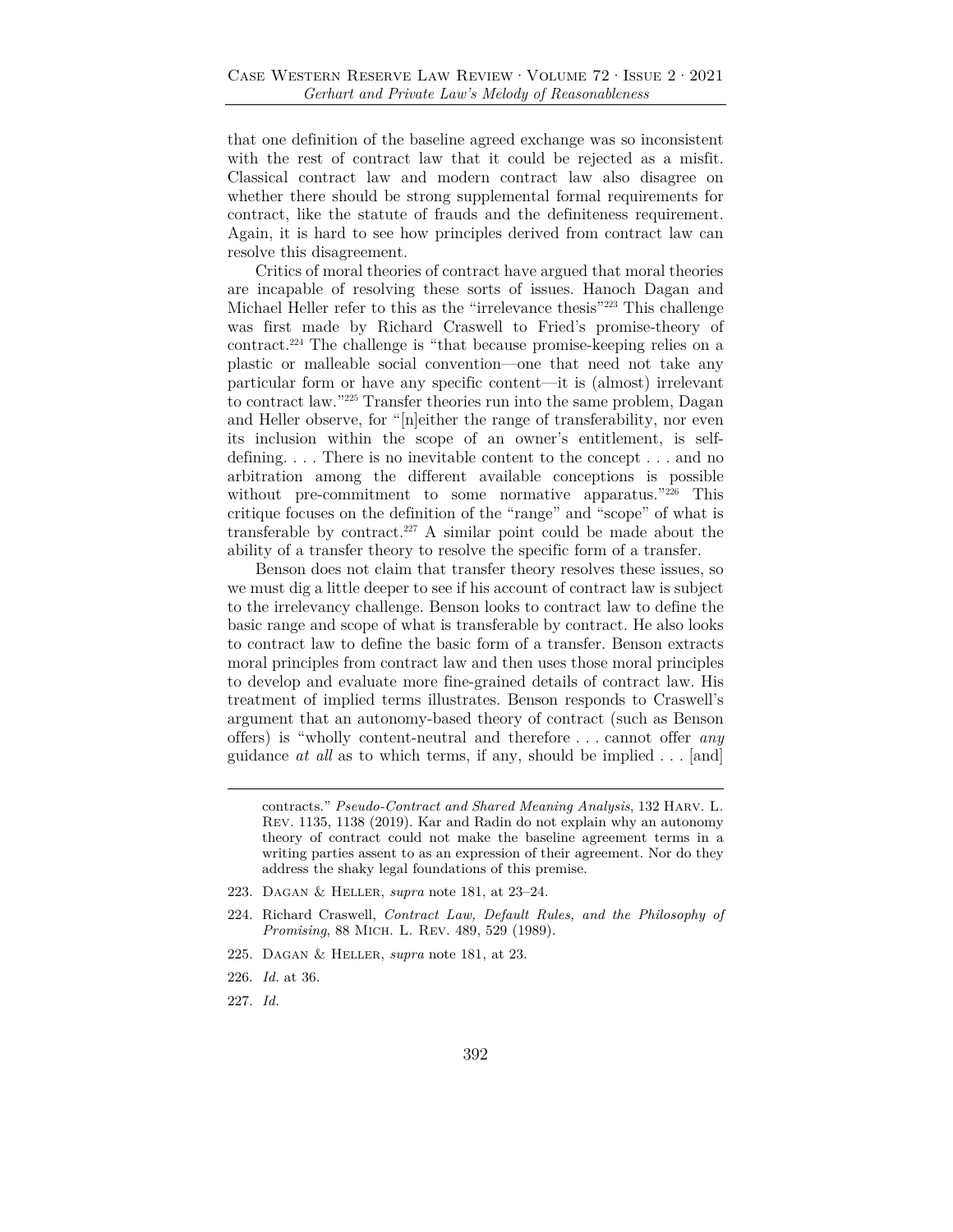that one definition of the baseline agreed exchange was so inconsistent with the rest of contract law that it could be rejected as a misfit. Classical contract law and modern contract law also disagree on whether there should be strong supplemental formal requirements for contract, like the statute of frauds and the definiteness requirement. Again, it is hard to see how principles derived from contract law can resolve this disagreement.

Critics of moral theories of contract have argued that moral theories are incapable of resolving these sorts of issues. Hanoch Dagan and Michael Heller refer to this as the "irrelevance thesis"223 This challenge was first made by Richard Craswell to Fried's promise-theory of contract.224 The challenge is "that because promise-keeping relies on a plastic or malleable social convention—one that need not take any particular form or have any specific content—it is (almost) irrelevant to contract law."225 Transfer theories run into the same problem, Dagan and Heller observe, for "[n]either the range of transferability, nor even its inclusion within the scope of an owner's entitlement, is selfdefining. . . . There is no inevitable content to the concept . . . and no arbitration among the different available conceptions is possible without pre-commitment to some normative apparatus."226 This critique focuses on the definition of the "range" and "scope" of what is transferable by contract.<sup>227</sup> A similar point could be made about the ability of a transfer theory to resolve the specific form of a transfer.

Benson does not claim that transfer theory resolves these issues, so we must dig a little deeper to see if his account of contract law is subject to the irrelevancy challenge. Benson looks to contract law to define the basic range and scope of what is transferable by contract. He also looks to contract law to define the basic form of a transfer. Benson extracts moral principles from contract law and then uses those moral principles to develop and evaluate more fine-grained details of contract law. His treatment of implied terms illustrates. Benson responds to Craswell's argument that an autonomy-based theory of contract (such as Benson offers) is "wholly content-neutral and therefore . . . cannot offer *any* guidance *at all* as to which terms, if any, should be implied . . . [and]

- 223. Dagan & Heller, *supra* note 181, at 23–24.
- 224. Richard Craswell, *Contract Law, Default Rules, and the Philosophy of Promising*, 88 Mich. L. Rev. 489, 529 (1989).
- 225. Dagan & Heller, *supra* note 181, at 23.
- 226. *Id.* at 36.
- 227. *Id.*

contracts." *Pseudo-Contract and Shared Meaning Analysis*, 132 Harv. L. Rev. 1135, 1138 (2019). Kar and Radin do not explain why an autonomy theory of contract could not make the baseline agreement terms in a writing parties assent to as an expression of their agreement. Nor do they address the shaky legal foundations of this premise.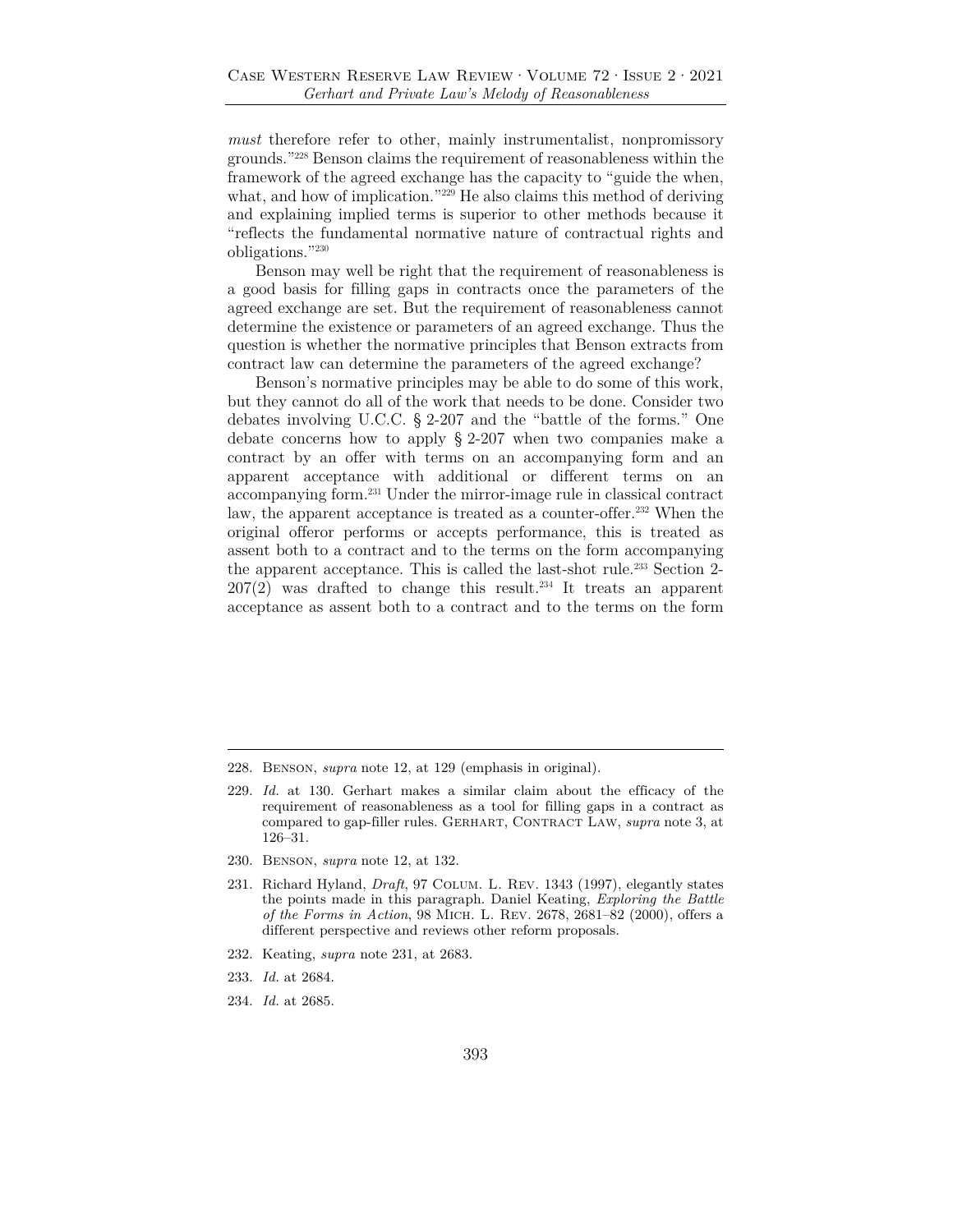*must* therefore refer to other, mainly instrumentalist, nonpromissory grounds."228 Benson claims the requirement of reasonableness within the framework of the agreed exchange has the capacity to "guide the when, what, and how of implication."<sup>229</sup> He also claims this method of deriving and explaining implied terms is superior to other methods because it "reflects the fundamental normative nature of contractual rights and obligations."230

Benson may well be right that the requirement of reasonableness is a good basis for filling gaps in contracts once the parameters of the agreed exchange are set. But the requirement of reasonableness cannot determine the existence or parameters of an agreed exchange. Thus the question is whether the normative principles that Benson extracts from contract law can determine the parameters of the agreed exchange?

Benson's normative principles may be able to do some of this work, but they cannot do all of the work that needs to be done. Consider two debates involving U.C.C. § 2-207 and the "battle of the forms." One debate concerns how to apply § 2-207 when two companies make a contract by an offer with terms on an accompanying form and an apparent acceptance with additional or different terms on an accompanying form.231 Under the mirror-image rule in classical contract law, the apparent acceptance is treated as a counter-offer.<sup>232</sup> When the original offeror performs or accepts performance, this is treated as assent both to a contract and to the terms on the form accompanying the apparent acceptance. This is called the last-shot rule.<sup>233</sup> Section 2- $207(2)$  was drafted to change this result.<sup>234</sup> It treats an apparent acceptance as assent both to a contract and to the terms on the form

230. Benson, *supra* note 12, at 132.

- 232. Keating, *supra* note 231, at 2683.
- 233. *Id.* at 2684.
- 234. *Id.* at 2685.

<sup>228.</sup> Benson, *supra* note 12, at 129 (emphasis in original).

<sup>229.</sup> *Id.* at 130. Gerhart makes a similar claim about the efficacy of the requirement of reasonableness as a tool for filling gaps in a contract as compared to gap-filler rules. GERHART, CONTRACT LAW, *supra* note 3, at 126–31.

<sup>231.</sup> Richard Hyland, *Draft*, 97 Colum. L. Rev. 1343 (1997), elegantly states the points made in this paragraph. Daniel Keating, *Exploring the Battle of the Forms in Action*, 98 Mich. L. Rev. 2678, 2681–82 (2000), offers a different perspective and reviews other reform proposals.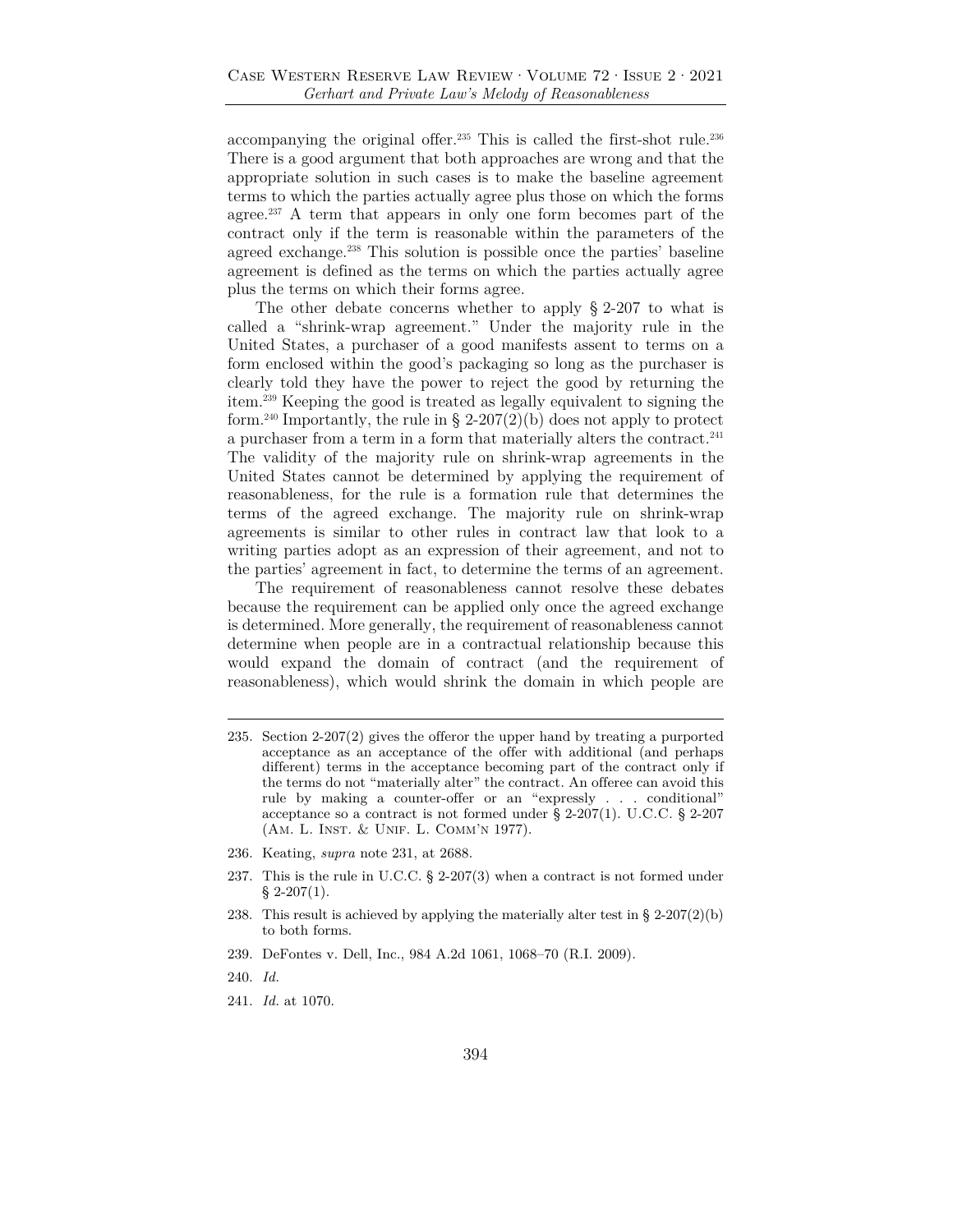accompanying the original offer.235 This is called the first-shot rule.236 There is a good argument that both approaches are wrong and that the appropriate solution in such cases is to make the baseline agreement terms to which the parties actually agree plus those on which the forms agree.<sup>237</sup> A term that appears in only one form becomes part of the contract only if the term is reasonable within the parameters of the agreed exchange.<sup>238</sup> This solution is possible once the parties' baseline agreement is defined as the terms on which the parties actually agree plus the terms on which their forms agree.

The other debate concerns whether to apply § 2-207 to what is called a "shrink-wrap agreement." Under the majority rule in the United States, a purchaser of a good manifests assent to terms on a form enclosed within the good's packaging so long as the purchaser is clearly told they have the power to reject the good by returning the item.239 Keeping the good is treated as legally equivalent to signing the form.<sup>240</sup> Importantly, the rule in § 2-207(2)(b) does not apply to protect a purchaser from a term in a form that materially alters the contract.<sup>241</sup> The validity of the majority rule on shrink-wrap agreements in the United States cannot be determined by applying the requirement of reasonableness, for the rule is a formation rule that determines the terms of the agreed exchange. The majority rule on shrink-wrap agreements is similar to other rules in contract law that look to a writing parties adopt as an expression of their agreement, and not to the parties' agreement in fact, to determine the terms of an agreement.

The requirement of reasonableness cannot resolve these debates because the requirement can be applied only once the agreed exchange is determined. More generally, the requirement of reasonableness cannot determine when people are in a contractual relationship because this would expand the domain of contract (and the requirement of reasonableness), which would shrink the domain in which people are

- 236. Keating, *supra* note 231, at 2688.
- 237. This is the rule in U.C.C. § 2-207(3) when a contract is not formed under  $§$  2-207(1).
- 238. This result is achieved by applying the materially alter test in §  $2\n-207(2)(b)$ to both forms.
- 239. DeFontes v. Dell, Inc., 984 A.2d 1061, 1068–70 (R.I. 2009).
- 240. *Id.*
- 241. *Id.* at 1070.

<sup>235.</sup> Section 2-207(2) gives the offeror the upper hand by treating a purported acceptance as an acceptance of the offer with additional (and perhaps different) terms in the acceptance becoming part of the contract only if the terms do not "materially alter" the contract. An offeree can avoid this rule by making a counter-offer or an "expressly . . . conditional" acceptance so a contract is not formed under § 2-207(1). U.C.C. § 2-207 (Am. L. Inst. & Unif. L. Comm'n 1977).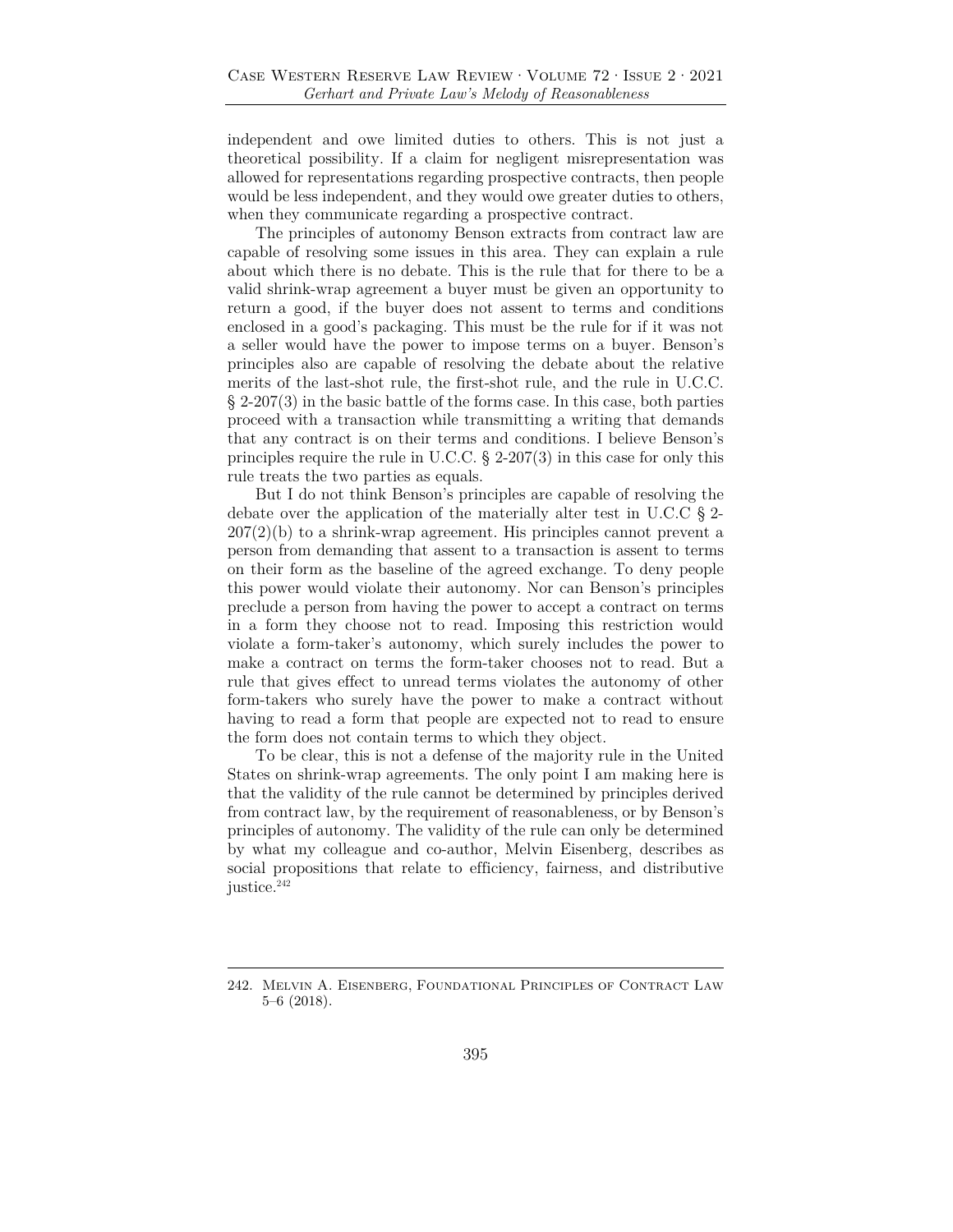independent and owe limited duties to others. This is not just a theoretical possibility. If a claim for negligent misrepresentation was allowed for representations regarding prospective contracts, then people would be less independent, and they would owe greater duties to others, when they communicate regarding a prospective contract.

The principles of autonomy Benson extracts from contract law are capable of resolving some issues in this area. They can explain a rule about which there is no debate. This is the rule that for there to be a valid shrink-wrap agreement a buyer must be given an opportunity to return a good, if the buyer does not assent to terms and conditions enclosed in a good's packaging. This must be the rule for if it was not a seller would have the power to impose terms on a buyer. Benson's principles also are capable of resolving the debate about the relative merits of the last-shot rule, the first-shot rule, and the rule in U.C.C.  $\S 2-207(3)$  in the basic battle of the forms case. In this case, both parties proceed with a transaction while transmitting a writing that demands that any contract is on their terms and conditions. I believe Benson's principles require the rule in U.C.C. § 2-207(3) in this case for only this rule treats the two parties as equals.

But I do not think Benson's principles are capable of resolving the debate over the application of the materially alter test in U.C.C § 2-  $207(2)(b)$  to a shrink-wrap agreement. His principles cannot prevent a person from demanding that assent to a transaction is assent to terms on their form as the baseline of the agreed exchange. To deny people this power would violate their autonomy. Nor can Benson's principles preclude a person from having the power to accept a contract on terms in a form they choose not to read. Imposing this restriction would violate a form-taker's autonomy, which surely includes the power to make a contract on terms the form-taker chooses not to read. But a rule that gives effect to unread terms violates the autonomy of other form-takers who surely have the power to make a contract without having to read a form that people are expected not to read to ensure the form does not contain terms to which they object.

To be clear, this is not a defense of the majority rule in the United States on shrink-wrap agreements. The only point I am making here is that the validity of the rule cannot be determined by principles derived from contract law, by the requirement of reasonableness, or by Benson's principles of autonomy. The validity of the rule can only be determined by what my colleague and co-author, Melvin Eisenberg, describes as social propositions that relate to efficiency, fairness, and distributive justice.<sup>242</sup>

<sup>242.</sup> Melvin A. Eisenberg, Foundational Principles of Contract Law 5–6 (2018).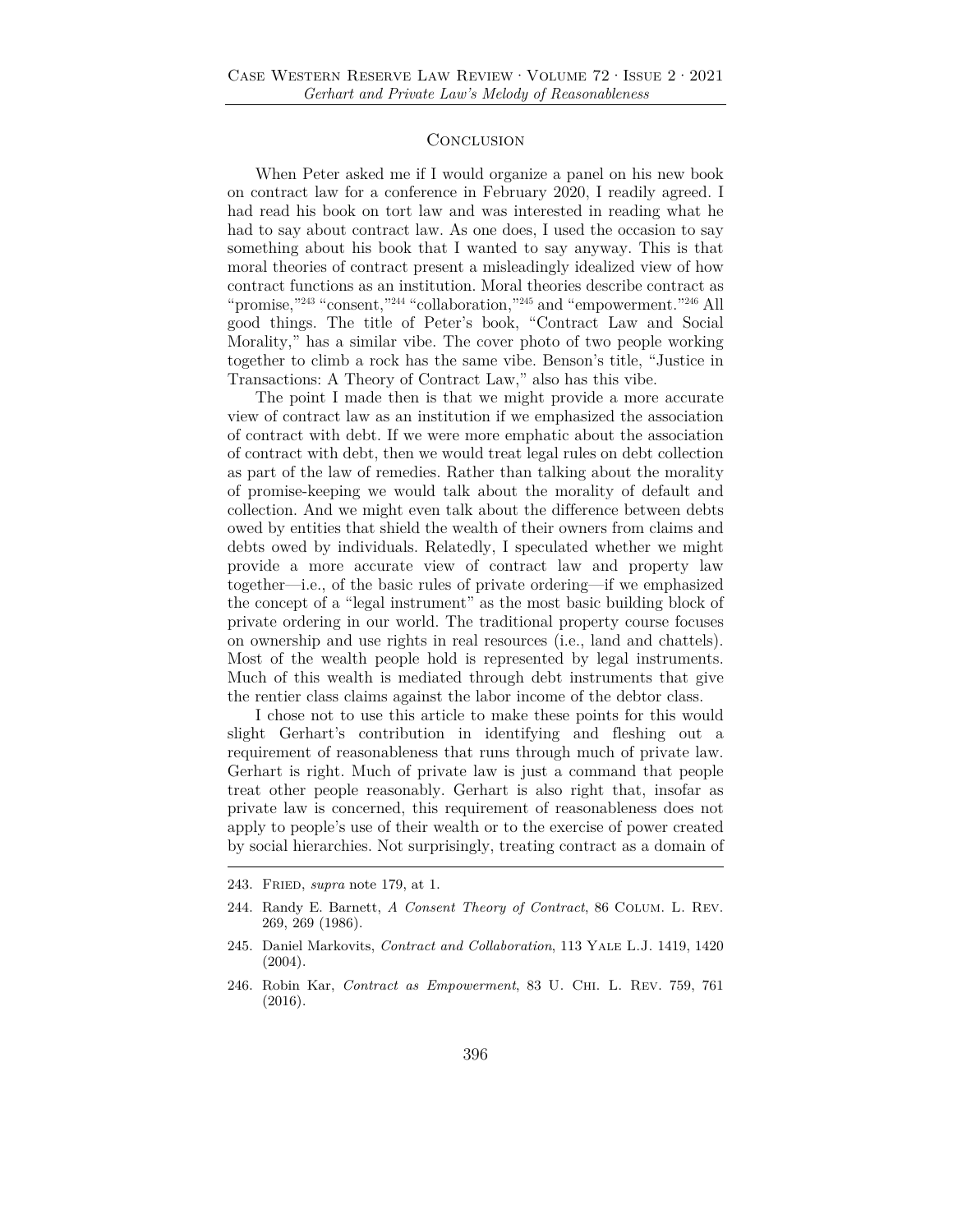#### **CONCLUSION**

When Peter asked me if I would organize a panel on his new book on contract law for a conference in February 2020, I readily agreed. I had read his book on tort law and was interested in reading what he had to say about contract law. As one does, I used the occasion to say something about his book that I wanted to say anyway. This is that moral theories of contract present a misleadingly idealized view of how contract functions as an institution. Moral theories describe contract as "promise,"243 "consent,"244 "collaboration,"245 and "empowerment."246 All good things. The title of Peter's book, "Contract Law and Social Morality," has a similar vibe. The cover photo of two people working together to climb a rock has the same vibe. Benson's title, "Justice in Transactions: A Theory of Contract Law," also has this vibe.

The point I made then is that we might provide a more accurate view of contract law as an institution if we emphasized the association of contract with debt. If we were more emphatic about the association of contract with debt, then we would treat legal rules on debt collection as part of the law of remedies. Rather than talking about the morality of promise-keeping we would talk about the morality of default and collection. And we might even talk about the difference between debts owed by entities that shield the wealth of their owners from claims and debts owed by individuals. Relatedly, I speculated whether we might provide a more accurate view of contract law and property law together—i.e., of the basic rules of private ordering—if we emphasized the concept of a "legal instrument" as the most basic building block of private ordering in our world. The traditional property course focuses on ownership and use rights in real resources (i.e., land and chattels). Most of the wealth people hold is represented by legal instruments. Much of this wealth is mediated through debt instruments that give the rentier class claims against the labor income of the debtor class.

I chose not to use this article to make these points for this would slight Gerhart's contribution in identifying and fleshing out a requirement of reasonableness that runs through much of private law. Gerhart is right. Much of private law is just a command that people treat other people reasonably. Gerhart is also right that, insofar as private law is concerned, this requirement of reasonableness does not apply to people's use of their wealth or to the exercise of power created by social hierarchies. Not surprisingly, treating contract as a domain of

<sup>243.</sup> Fried, *supra* note 179, at 1.

<sup>244.</sup> Randy E. Barnett, *A Consent Theory of Contract*, 86 Colum. L. Rev. 269, 269 (1986).

<sup>245.</sup> Daniel Markovits, *Contract and Collaboration*, 113 Yale L.J. 1419, 1420 (2004).

<sup>246.</sup> Robin Kar, *Contract as Empowerment*, 83 U. Chi. L. Rev. 759, 761 (2016).